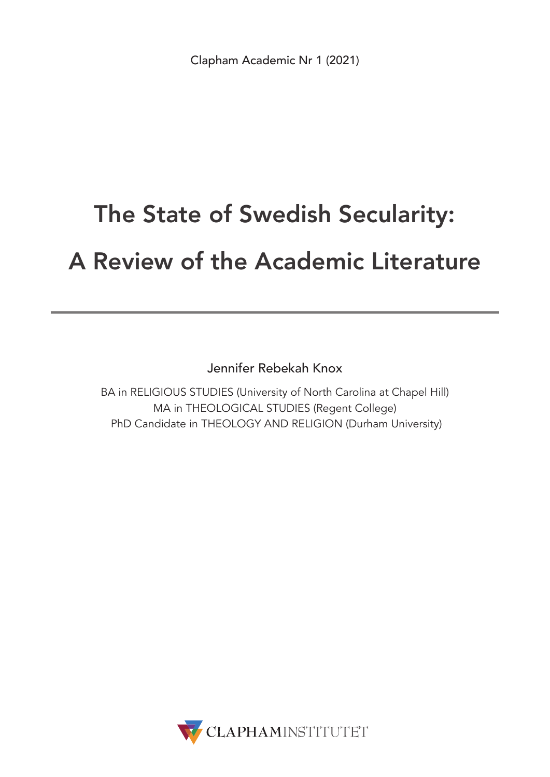# The State of Swedish Secularity: A Review of the Academic Literature

Jennifer Rebekah Knox

BA in RELIGIOUS STUDIES (University of North Carolina at Chapel Hill) MA in THEOLOGICAL STUDIES (Regent College) PhD Candidate in THEOLOGY AND RELIGION (Durham University)

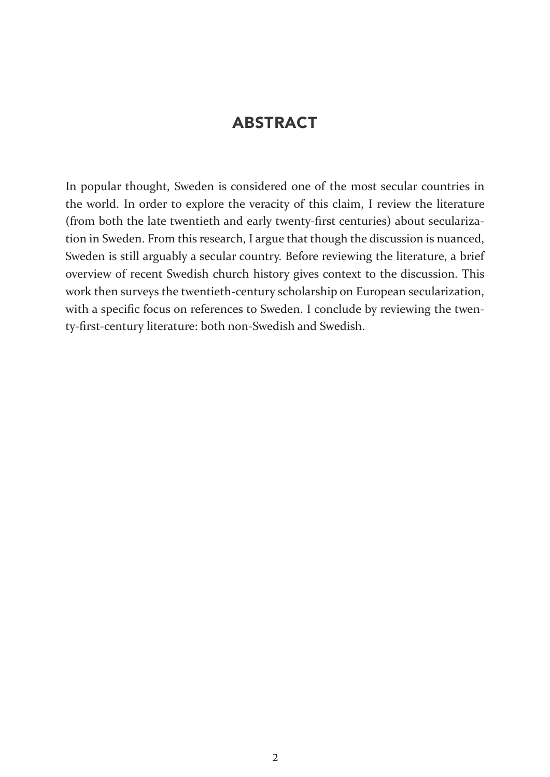## ABSTRACT

In popular thought, Sweden is considered one of the most secular countries in the world. In order to explore the veracity of this claim, I review the literature (from both the late twentieth and early twenty-first centuries) about secularization in Sweden. From this research, I argue that though the discussion is nuanced, Sweden is still arguably a secular country. Before reviewing the literature, a brief overview of recent Swedish church history gives context to the discussion. This work then surveys the twentieth-century scholarship on European secularization, with a specific focus on references to Sweden. I conclude by reviewing the twenty-first-century literature: both non-Swedish and Swedish.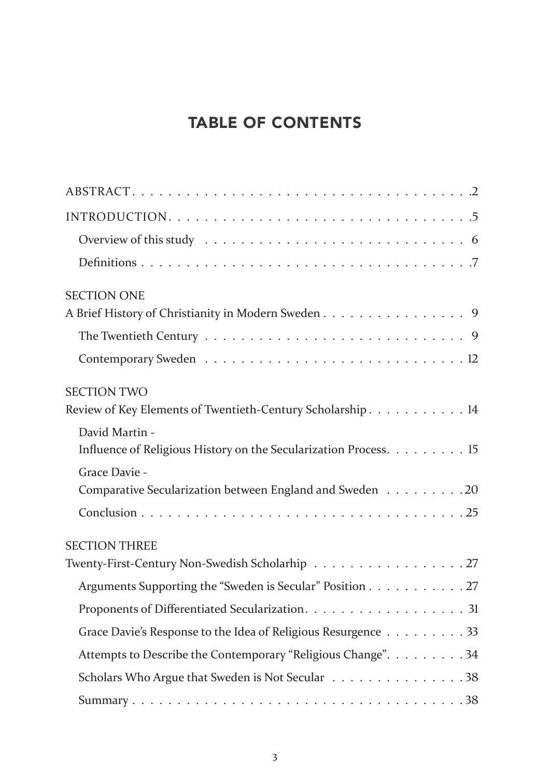## TABLE OF CONTENTS

| <b>SECTION ONE</b>                                                                 |
|------------------------------------------------------------------------------------|
| A Brief History of Christianity in Modern Sweden 9                                 |
|                                                                                    |
|                                                                                    |
| <b>SECTION TWO</b>                                                                 |
| Review of Key Elements of Twentieth-Century Scholarship 14                         |
| David Martin -<br>Influence of Religious History on the Secularization Process. 15 |
| Grace Davie -                                                                      |
| Comparative Secularization between England and Sweden 20                           |
|                                                                                    |
| <b>SECTION THREE</b>                                                               |
| Twenty-First-Century Non-Swedish Scholarhip 27                                     |
| Arguments Supporting the "Sweden is Secular" Position 27                           |
|                                                                                    |
| Grace Davie's Response to the Idea of Religious Resurgence 33                      |
| Attempts to Describe the Contemporary "Religious Change". 34                       |
| Scholars Who Argue that Sweden is Not Secular 38                                   |
|                                                                                    |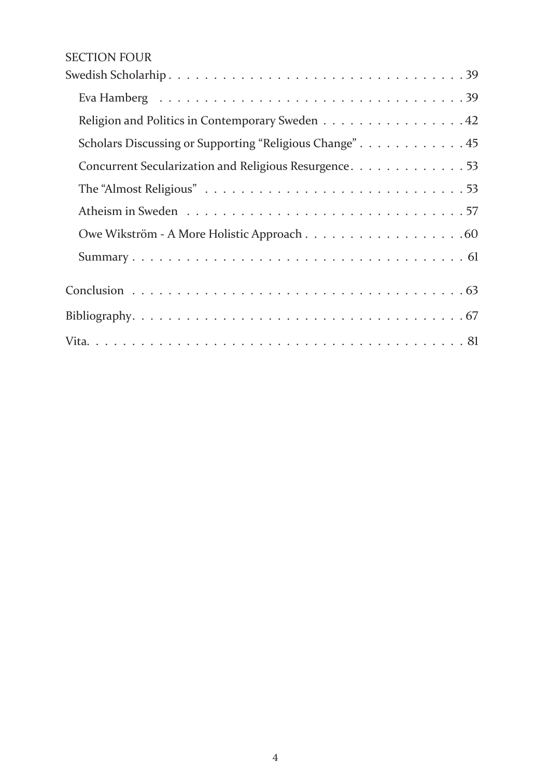### SECTION FOUR

| Religion and Politics in Contemporary Sweden 42         |  |
|---------------------------------------------------------|--|
| Scholars Discussing or Supporting "Religious Change" 45 |  |
| Concurrent Secularization and Religious Resurgence. 53  |  |
|                                                         |  |
|                                                         |  |
|                                                         |  |
|                                                         |  |
|                                                         |  |
|                                                         |  |
|                                                         |  |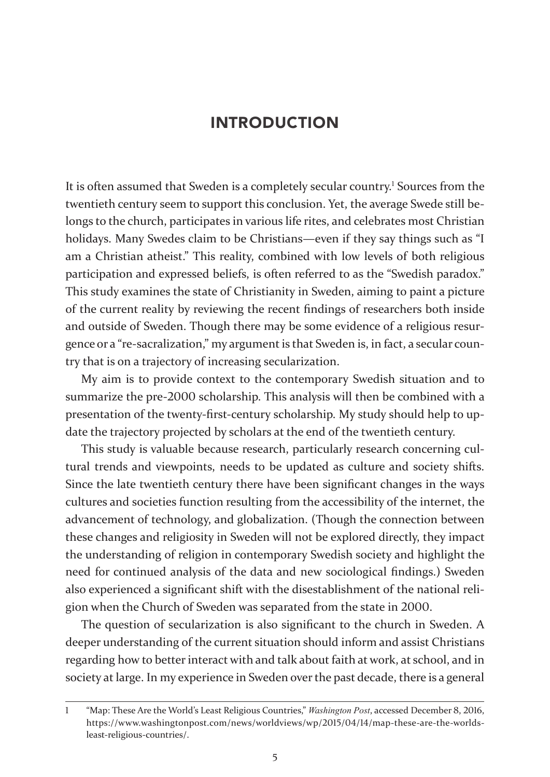### INTRODUCTION

It is often assumed that Sweden is a completely secular country.<sup>1</sup> Sources from the twentieth century seem to support this conclusion. Yet, the average Swede still belongs to the church, participates in various life rites, and celebrates most Christian holidays. Many Swedes claim to be Christians—even if they say things such as "I am a Christian atheist." This reality, combined with low levels of both religious participation and expressed beliefs, is often referred to as the "Swedish paradox." This study examines the state of Christianity in Sweden, aiming to paint a picture of the current reality by reviewing the recent findings of researchers both inside and outside of Sweden. Though there may be some evidence of a religious resurgence or a "re-sacralization," my argument is that Sweden is, in fact, a secular country that is on a trajectory of increasing secularization.

My aim is to provide context to the contemporary Swedish situation and to summarize the pre-2000 scholarship. This analysis will then be combined with a presentation of the twenty-first-century scholarship. My study should help to update the trajectory projected by scholars at the end of the twentieth century.

This study is valuable because research, particularly research concerning cultural trends and viewpoints, needs to be updated as culture and society shifts. Since the late twentieth century there have been significant changes in the ways cultures and societies function resulting from the accessibility of the internet, the advancement of technology, and globalization. (Though the connection between these changes and religiosity in Sweden will not be explored directly, they impact the understanding of religion in contemporary Swedish society and highlight the need for continued analysis of the data and new sociological findings.) Sweden also experienced a significant shift with the disestablishment of the national religion when the Church of Sweden was separated from the state in 2000.

The question of secularization is also significant to the church in Sweden. A deeper understanding of the current situation should inform and assist Christians regarding how to better interact with and talk about faith at work, at school, and in society at large. In my experience in Sweden over the past decade, there is a general

<sup>1</sup> "Map: These Are the World's Least Religious Countries," *Washington Post*, accessed December 8, 2016, https://www.washingtonpost.com/news/worldviews/wp/2015/04/14/map-these-are-the-worldsleast-religious-countries/.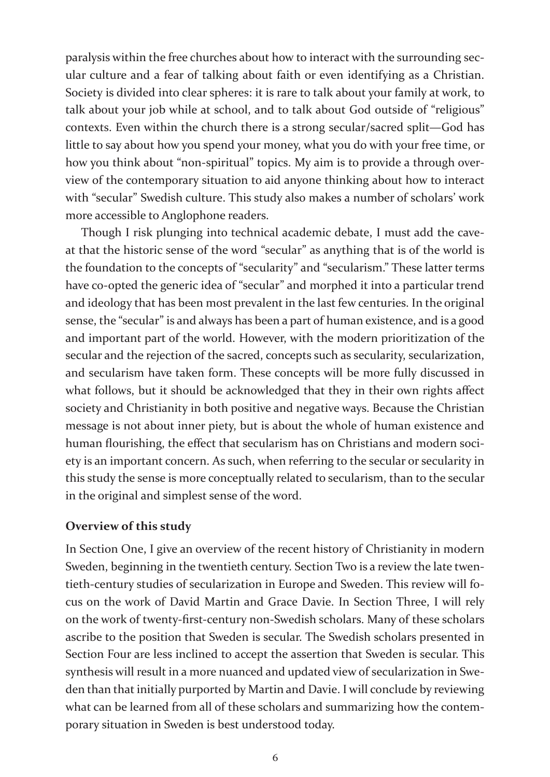paralysis within the free churches about how to interact with the surrounding secular culture and a fear of talking about faith or even identifying as a Christian. Society is divided into clear spheres: it is rare to talk about your family at work, to talk about your job while at school, and to talk about God outside of "religious" contexts. Even within the church there is a strong secular/sacred split—God has little to say about how you spend your money, what you do with your free time, or how you think about "non-spiritual" topics. My aim is to provide a through overview of the contemporary situation to aid anyone thinking about how to interact with "secular" Swedish culture. This study also makes a number of scholars' work more accessible to Anglophone readers.

Though I risk plunging into technical academic debate, I must add the caveat that the historic sense of the word "secular" as anything that is of the world is the foundation to the concepts of "secularity" and "secularism." These latter terms have co-opted the generic idea of "secular" and morphed it into a particular trend and ideology that has been most prevalent in the last few centuries. In the original sense, the "secular" is and always has been a part of human existence, and is a good and important part of the world. However, with the modern prioritization of the secular and the rejection of the sacred, concepts such as secularity, secularization, and secularism have taken form. These concepts will be more fully discussed in what follows, but it should be acknowledged that they in their own rights affect society and Christianity in both positive and negative ways. Because the Christian message is not about inner piety, but is about the whole of human existence and human flourishing, the effect that secularism has on Christians and modern society is an important concern. As such, when referring to the secular or secularity in this study the sense is more conceptually related to secularism, than to the secular in the original and simplest sense of the word.

### **Overview of this study**

In Section One, I give an overview of the recent history of Christianity in modern Sweden, beginning in the twentieth century. Section Two is a review the late twentieth-century studies of secularization in Europe and Sweden. This review will focus on the work of David Martin and Grace Davie. In Section Three, I will rely on the work of twenty-first-century non-Swedish scholars. Many of these scholars ascribe to the position that Sweden is secular. The Swedish scholars presented in Section Four are less inclined to accept the assertion that Sweden is secular. This synthesis will result in a more nuanced and updated view of secularization in Sweden than that initially purported by Martin and Davie. I will conclude by reviewing what can be learned from all of these scholars and summarizing how the contemporary situation in Sweden is best understood today.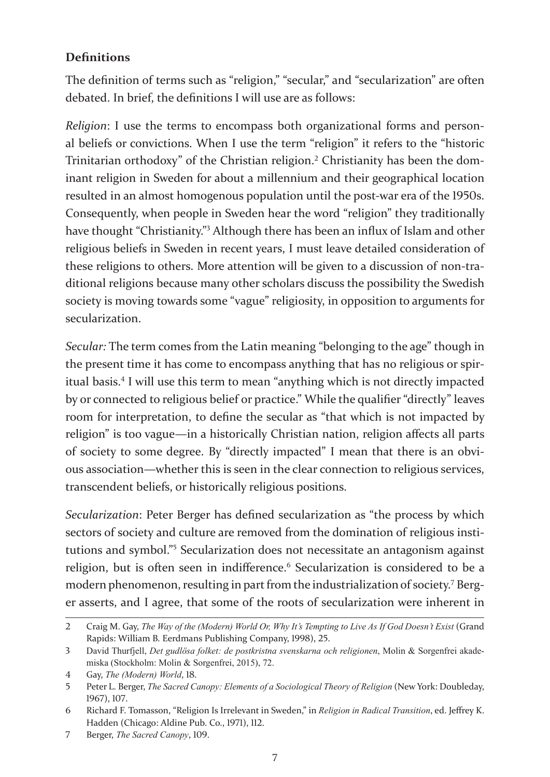### **Definitions**

The definition of terms such as "religion," "secular," and "secularization" are often debated. In brief, the definitions I will use are as follows:

*Religion*: I use the terms to encompass both organizational forms and personal beliefs or convictions. When I use the term "religion" it refers to the "historic Trinitarian orthodoxy" of the Christian religion.<sup>2</sup> Christianity has been the dominant religion in Sweden for about a millennium and their geographical location resulted in an almost homogenous population until the post-war era of the 1950s. Consequently, when people in Sweden hear the word "religion" they traditionally have thought "Christianity."<sup>3</sup> Although there has been an influx of Islam and other religious beliefs in Sweden in recent years, I must leave detailed consideration of these religions to others. More attention will be given to a discussion of non-traditional religions because many other scholars discuss the possibility the Swedish society is moving towards some "vague" religiosity, in opposition to arguments for secularization.

*Secular:* The term comes from the Latin meaning "belonging to the age" though in the present time it has come to encompass anything that has no religious or spiritual basis.<sup>4</sup> I will use this term to mean "anything which is not directly impacted by or connected to religious belief or practice." While the qualifier "directly" leaves room for interpretation, to define the secular as "that which is not impacted by religion" is too vague—in a historically Christian nation, religion affects all parts of society to some degree. By "directly impacted" I mean that there is an obvious association—whether this is seen in the clear connection to religious services, transcendent beliefs, or historically religious positions.

*Secularization*: Peter Berger has defined secularization as "the process by which sectors of society and culture are removed from the domination of religious institutions and symbol."<sup>5</sup> Secularization does not necessitate an antagonism against religion, but is often seen in indifference.<sup>6</sup> Secularization is considered to be a modern phenomenon, resulting in part from the industrialization of society.<sup>7</sup> Berger asserts, and I agree, that some of the roots of secularization were inherent in

<sup>2</sup> Craig M. Gay, *The Way of the (Modern) World Or, Why It's Tempting to Live As If God Doesn't Exist* (Grand Rapids: William B. Eerdmans Publishing Company, 1998), 25.

<sup>3</sup> David Thurfjell, *Det gudlösa folket: de postkristna svenskarna och religionen*, Molin & Sorgenfrei akademiska (Stockholm: Molin & Sorgenfrei, 2015), 72.

<sup>4</sup> Gay, *The (Modern) World*, 18.

<sup>5</sup> Peter L. Berger, *The Sacred Canopy: Elements of a Sociological Theory of Religion* (New York: Doubleday, 1967), 107.

<sup>6</sup> Richard F. Tomasson, "Religion Is Irrelevant in Sweden," in *Religion in Radical Transition*, ed. Jeffrey K. Hadden (Chicago: Aldine Pub. Co., 1971), 112.

<sup>7</sup> Berger, *The Sacred Canopy*, 109.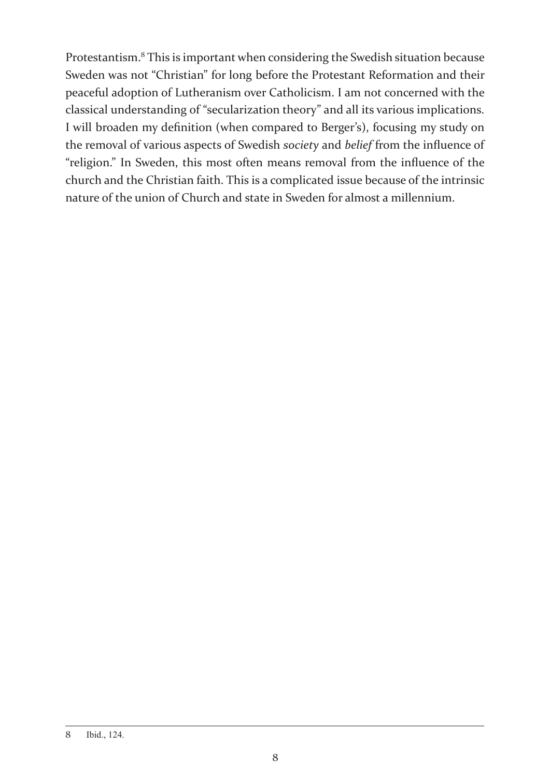Protestantism.8 This is important when considering the Swedish situation because Sweden was not "Christian" for long before the Protestant Reformation and their peaceful adoption of Lutheranism over Catholicism. I am not concerned with the classical understanding of "secularization theory" and all its various implications. I will broaden my definition (when compared to Berger's), focusing my study on the removal of various aspects of Swedish *society* and *belief* from the influence of "religion." In Sweden, this most often means removal from the influence of the church and the Christian faith. This is a complicated issue because of the intrinsic nature of the union of Church and state in Sweden for almost a millennium.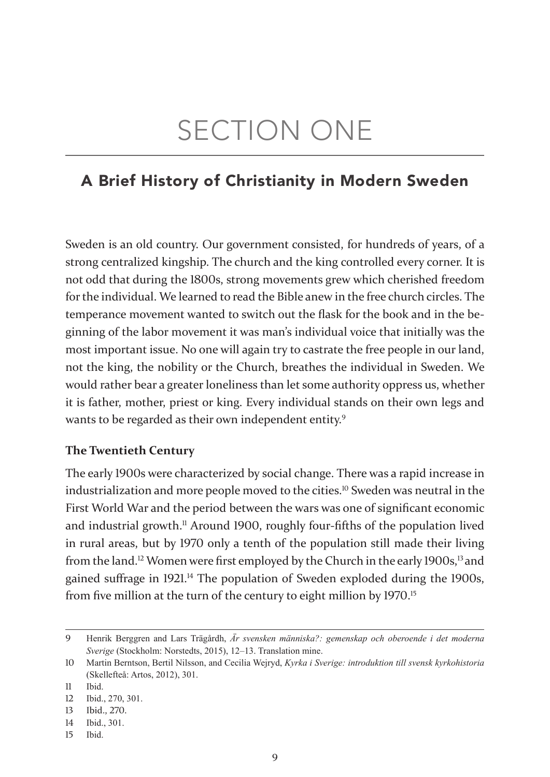# SECTION ONE

## A Brief History of Christianity in Modern Sweden

Sweden is an old country. Our government consisted, for hundreds of years, of a strong centralized kingship. The church and the king controlled every corner. It is not odd that during the 1800s, strong movements grew which cherished freedom for the individual. We learned to read the Bible anew in the free church circles. The temperance movement wanted to switch out the flask for the book and in the beginning of the labor movement it was man's individual voice that initially was the most important issue. No one will again try to castrate the free people in our land, not the king, the nobility or the Church, breathes the individual in Sweden. We would rather bear a greater loneliness than let some authority oppress us, whether it is father, mother, priest or king. Every individual stands on their own legs and wants to be regarded as their own independent entity.<sup>9</sup>

### **The Twentieth Century**

The early 1900s were characterized by social change. There was a rapid increase in industrialization and more people moved to the cities.10 Sweden was neutral in the First World War and the period between the wars was one of significant economic and industrial growth.<sup>11</sup> Around 1900, roughly four-fifths of the population lived in rural areas, but by 1970 only a tenth of the population still made their living from the land.<sup>12</sup> Women were first employed by the Church in the early 1900s,<sup>13</sup> and gained suffrage in 1921.<sup>14</sup> The population of Sweden exploded during the 1900s, from five million at the turn of the century to eight million by 1970.<sup>15</sup>

<sup>9</sup> Henrik Berggren and Lars Trägårdh, *Är svensken människa?: gemenskap och oberoende i det moderna Sverige* (Stockholm: Norstedts, 2015), 12–13. Translation mine.

<sup>10</sup> Martin Berntson, Bertil Nilsson, and Cecilia Wejryd, *Kyrka i Sverige: introduktion till svensk kyrkohistoria* (Skellefteå: Artos, 2012), 301.

<sup>11</sup> Ibid.

<sup>12</sup> Ibid., 270, 301.

<sup>13</sup> Ibid., 270.

<sup>14</sup> Ibid., 301.

<sup>15</sup> Ibid.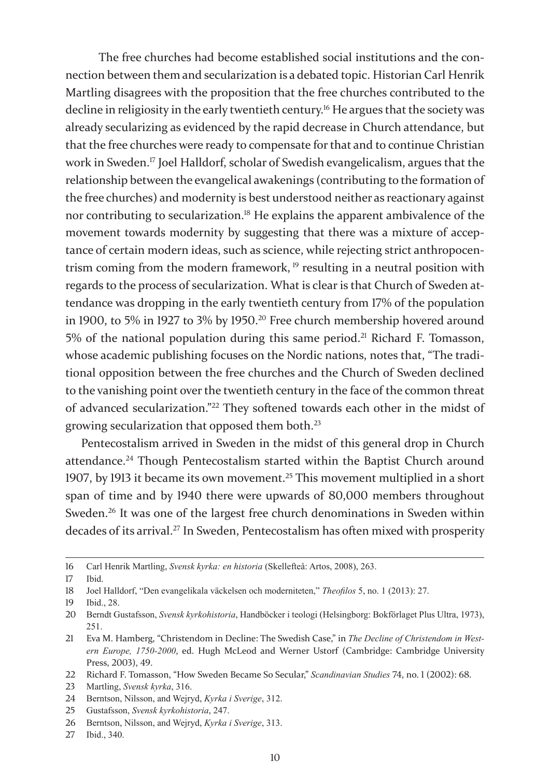The free churches had become established social institutions and the connection between them and secularization is a debated topic. Historian Carl Henrik Martling disagrees with the proposition that the free churches contributed to the decline in religiosity in the early twentieth century.<sup>16</sup> He argues that the society was already secularizing as evidenced by the rapid decrease in Church attendance, but that the free churches were ready to compensate for that and to continue Christian work in Sweden.17 Joel Halldorf, scholar of Swedish evangelicalism, argues that the relationship between the evangelical awakenings (contributing to the formation of the free churches) and modernity is best understood neither as reactionary against nor contributing to secularization.<sup>18</sup> He explains the apparent ambivalence of the movement towards modernity by suggesting that there was a mixture of acceptance of certain modern ideas, such as science, while rejecting strict anthropocentrism coming from the modern framework, <sup>19</sup> resulting in a neutral position with regards to the process of secularization. What is clear is that Church of Sweden attendance was dropping in the early twentieth century from 17% of the population in 1900, to 5% in 1927 to 3% by 1950.20 Free church membership hovered around 5% of the national population during this same period.<sup>21</sup> Richard F. Tomasson, whose academic publishing focuses on the Nordic nations, notes that, "The traditional opposition between the free churches and the Church of Sweden declined to the vanishing point over the twentieth century in the face of the common threat of advanced secularization."22 They softened towards each other in the midst of growing secularization that opposed them both.23

Pentecostalism arrived in Sweden in the midst of this general drop in Church attendance.24 Though Pentecostalism started within the Baptist Church around 1907, by 1913 it became its own movement.25 This movement multiplied in a short span of time and by 1940 there were upwards of 80,000 members throughout Sweden.<sup>26</sup> It was one of the largest free church denominations in Sweden within decades of its arrival.27 In Sweden, Pentecostalism has often mixed with prosperity

23 Martling, *Svensk kyrka*, 316.

25 Gustafsson, *Svensk kyrkohistoria*, 247.

27 Ibid., 340.

<sup>16</sup> Carl Henrik Martling, *Svensk kyrka: en historia* (Skellefteå: Artos, 2008), 263.

<sup>17</sup> Ibid.

<sup>18</sup> Joel Halldorf, "Den evangelikala väckelsen och moderniteten," *Theofilos* 5, no. 1 (2013): 27.

<sup>19</sup> Ibid., 28.

<sup>20</sup> Berndt Gustafsson, *Svensk kyrkohistoria*, Handböcker i teologi (Helsingborg: Bokförlaget Plus Ultra, 1973), 251.

<sup>21</sup> Eva M. Hamberg, "Christendom in Decline: The Swedish Case," in *The Decline of Christendom in Western Europe, 1750-2000*, ed. Hugh McLeod and Werner Ustorf (Cambridge: Cambridge University Press, 2003), 49.

<sup>22</sup> Richard F. Tomasson, "How Sweden Became So Secular," *Scandinavian Studies* 74, no. 1 (2002): 68.

<sup>24</sup> Berntson, Nilsson, and Wejryd, *Kyrka i Sverige*, 312.

<sup>26</sup> Berntson, Nilsson, and Wejryd, *Kyrka i Sverige*, 313.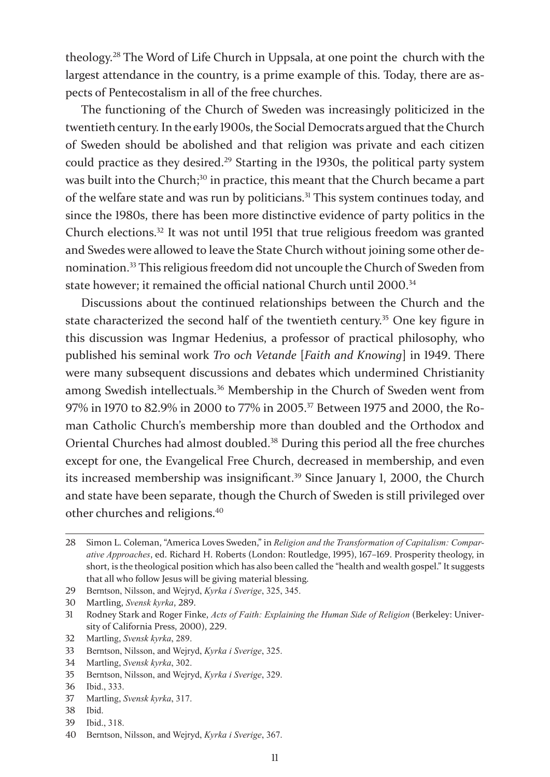theology.28 The Word of Life Church in Uppsala, at one point the church with the largest attendance in the country, is a prime example of this. Today, there are aspects of Pentecostalism in all of the free churches.

The functioning of the Church of Sweden was increasingly politicized in the twentieth century. In the early 1900s, the Social Democrats argued that the Church of Sweden should be abolished and that religion was private and each citizen could practice as they desired.29 Starting in the 1930s, the political party system was built into the Church;<sup>30</sup> in practice, this meant that the Church became a part of the welfare state and was run by politicians.<sup>31</sup> This system continues today, and since the 1980s, there has been more distinctive evidence of party politics in the Church elections.32 It was not until 1951 that true religious freedom was granted and Swedes were allowed to leave the State Church without joining some other denomination.33 This religious freedom did not uncouple the Church of Sweden from state however; it remained the official national Church until 2000.<sup>34</sup>

Discussions about the continued relationships between the Church and the state characterized the second half of the twentieth century.<sup>35</sup> One key figure in this discussion was Ingmar Hedenius, a professor of practical philosophy, who published his seminal work *Tro och Vetande* [*Faith and Knowing*] in 1949. There were many subsequent discussions and debates which undermined Christianity among Swedish intellectuals.<sup>36</sup> Membership in the Church of Sweden went from 97% in 1970 to 82.9% in 2000 to 77% in 2005.37 Between 1975 and 2000, the Roman Catholic Church's membership more than doubled and the Orthodox and Oriental Churches had almost doubled.38 During this period all the free churches except for one, the Evangelical Free Church, decreased in membership, and even its increased membership was insignificant.<sup>39</sup> Since January 1, 2000, the Church and state have been separate, though the Church of Sweden is still privileged over other churches and religions.<sup>40</sup>

<sup>28</sup> Simon L. Coleman, "America Loves Sweden," in *Religion and the Transformation of Capitalism: Comparative Approaches*, ed. Richard H. Roberts (London: Routledge, 1995), 167–169. Prosperity theology, in short, is the theological position which has also been called the "health and wealth gospel." It suggests that all who follow Jesus will be giving material blessing.

<sup>29</sup> Berntson, Nilsson, and Wejryd, *Kyrka i Sverige*, 325, 345.

<sup>30</sup> Martling, *Svensk kyrka*, 289.

<sup>31</sup> Rodney Stark and Roger Finke, *Acts of Faith: Explaining the Human Side of Religion* (Berkeley: University of California Press, 2000), 229.

<sup>32</sup> Martling, *Svensk kyrka*, 289.

<sup>33</sup> Berntson, Nilsson, and Wejryd, *Kyrka i Sverige*, 325.

<sup>34</sup> Martling, *Svensk kyrka*, 302.

<sup>35</sup> Berntson, Nilsson, and Wejryd, *Kyrka i Sverige*, 329.

<sup>36</sup> Ibid., 333.

<sup>37</sup> Martling, *Svensk kyrka*, 317.

<sup>38</sup> Ibid.

<sup>39</sup> Ibid., 318.

<sup>40</sup> Berntson, Nilsson, and Wejryd, *Kyrka i Sverige*, 367.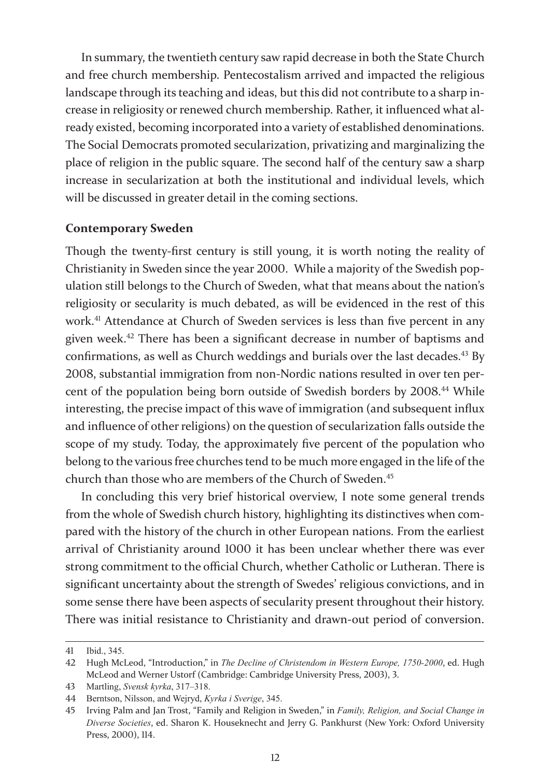In summary, the twentieth century saw rapid decrease in both the State Church and free church membership. Pentecostalism arrived and impacted the religious landscape through its teaching and ideas, but this did not contribute to a sharp increase in religiosity or renewed church membership. Rather, it influenced what already existed, becoming incorporated into a variety of established denominations. The Social Democrats promoted secularization, privatizing and marginalizing the place of religion in the public square. The second half of the century saw a sharp increase in secularization at both the institutional and individual levels, which will be discussed in greater detail in the coming sections.

### **Contemporary Sweden**

Though the twenty-first century is still young, it is worth noting the reality of Christianity in Sweden since the year 2000. While a majority of the Swedish population still belongs to the Church of Sweden, what that means about the nation's religiosity or secularity is much debated, as will be evidenced in the rest of this work.<sup>41</sup> Attendance at Church of Sweden services is less than five percent in any given week.42 There has been a significant decrease in number of baptisms and confirmations, as well as Church weddings and burials over the last decades.<sup>43</sup> By 2008, substantial immigration from non-Nordic nations resulted in over ten percent of the population being born outside of Swedish borders by 2008.44 While interesting, the precise impact of this wave of immigration (and subsequent influx and influence of other religions) on the question of secularization falls outside the scope of my study. Today, the approximately five percent of the population who belong to the various free churches tend to be much more engaged in the life of the church than those who are members of the Church of Sweden.<sup>45</sup>

In concluding this very brief historical overview, I note some general trends from the whole of Swedish church history, highlighting its distinctives when compared with the history of the church in other European nations. From the earliest arrival of Christianity around 1000 it has been unclear whether there was ever strong commitment to the official Church, whether Catholic or Lutheran. There is significant uncertainty about the strength of Swedes' religious convictions, and in some sense there have been aspects of secularity present throughout their history. There was initial resistance to Christianity and drawn-out period of conversion.

<sup>41</sup> Ibid., 345.

<sup>42</sup> Hugh McLeod, "Introduction," in *The Decline of Christendom in Western Europe, 1750-2000*, ed. Hugh McLeod and Werner Ustorf (Cambridge: Cambridge University Press, 2003), 3.

<sup>43</sup> Martling, *Svensk kyrka*, 317–318.

<sup>44</sup> Berntson, Nilsson, and Wejryd, *Kyrka i Sverige*, 345.

<sup>45</sup> Irving Palm and Jan Trost, "Family and Religion in Sweden," in *Family, Religion, and Social Change in Diverse Societies*, ed. Sharon K. Houseknecht and Jerry G. Pankhurst (New York: Oxford University Press, 2000), 114.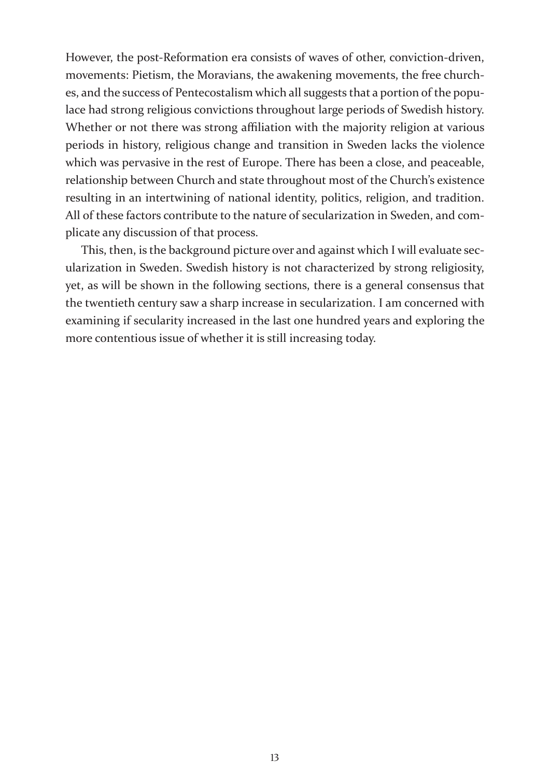However, the post-Reformation era consists of waves of other, conviction-driven, movements: Pietism, the Moravians, the awakening movements, the free churches, and the success of Pentecostalism which all suggests that a portion of the populace had strong religious convictions throughout large periods of Swedish history. Whether or not there was strong affiliation with the majority religion at various periods in history, religious change and transition in Sweden lacks the violence which was pervasive in the rest of Europe. There has been a close, and peaceable, relationship between Church and state throughout most of the Church's existence resulting in an intertwining of national identity, politics, religion, and tradition. All of these factors contribute to the nature of secularization in Sweden, and complicate any discussion of that process.

This, then, is the background picture over and against which I will evaluate secularization in Sweden. Swedish history is not characterized by strong religiosity, yet, as will be shown in the following sections, there is a general consensus that the twentieth century saw a sharp increase in secularization. I am concerned with examining if secularity increased in the last one hundred years and exploring the more contentious issue of whether it is still increasing today.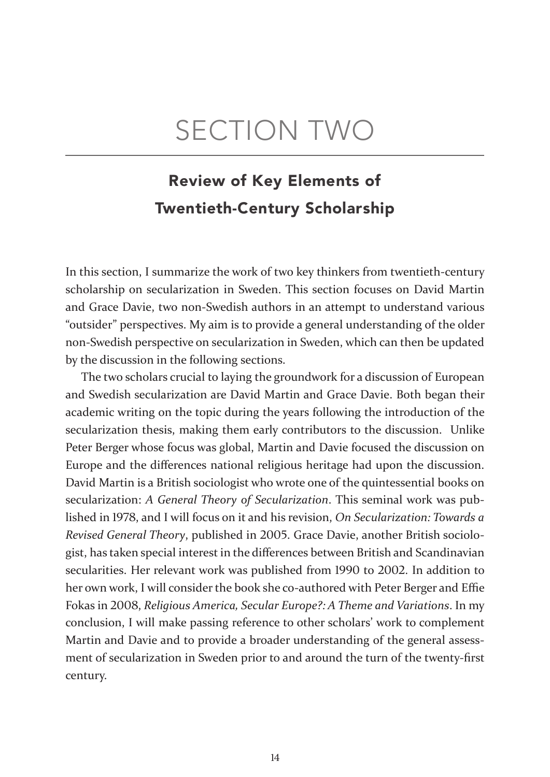# SECTION TWO

# Review of Key Elements of Twentieth-Century Scholarship

In this section, I summarize the work of two key thinkers from twentieth-century scholarship on secularization in Sweden. This section focuses on David Martin and Grace Davie, two non-Swedish authors in an attempt to understand various "outsider" perspectives. My aim is to provide a general understanding of the older non-Swedish perspective on secularization in Sweden, which can then be updated by the discussion in the following sections.

The two scholars crucial to laying the groundwork for a discussion of European and Swedish secularization are David Martin and Grace Davie. Both began their academic writing on the topic during the years following the introduction of the secularization thesis, making them early contributors to the discussion. Unlike Peter Berger whose focus was global, Martin and Davie focused the discussion on Europe and the differences national religious heritage had upon the discussion. David Martin is a British sociologist who wrote one of the quintessential books on secularization: *A General Theory of Secularization*. This seminal work was published in 1978, and I will focus on it and his revision, *On Secularization: Towards a Revised General Theory*, published in 2005. Grace Davie, another British sociologist, has taken special interest in the differences between British and Scandinavian secularities. Her relevant work was published from 1990 to 2002. In addition to her own work, I will consider the book she co-authored with Peter Berger and Effie Fokas in 2008, *Religious America, Secular Europe?: A Theme and Variations*. In my conclusion, I will make passing reference to other scholars' work to complement Martin and Davie and to provide a broader understanding of the general assessment of secularization in Sweden prior to and around the turn of the twenty-first century.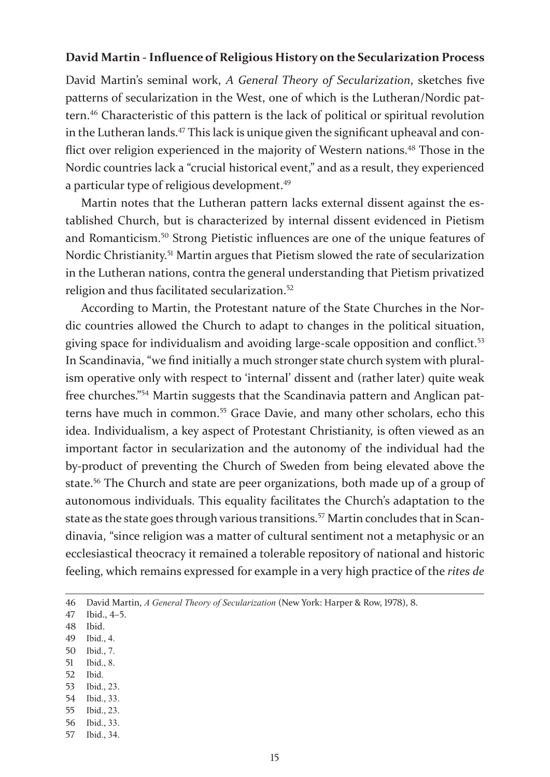#### **David Martin - Influence of Religious History on the Secularization Process**

David Martin's seminal work, *A General Theory of Secularization*, sketches five patterns of secularization in the West, one of which is the Lutheran/Nordic pattern.46 Characteristic of this pattern is the lack of political or spiritual revolution in the Lutheran lands.<sup>47</sup> This lack is unique given the significant upheaval and conflict over religion experienced in the majority of Western nations.<sup>48</sup> Those in the Nordic countries lack a "crucial historical event," and as a result, they experienced a particular type of religious development.<sup>49</sup>

Martin notes that the Lutheran pattern lacks external dissent against the established Church, but is characterized by internal dissent evidenced in Pietism and Romanticism.50 Strong Pietistic influences are one of the unique features of Nordic Christianity.<sup>51</sup> Martin argues that Pietism slowed the rate of secularization in the Lutheran nations, contra the general understanding that Pietism privatized religion and thus facilitated secularization.<sup>52</sup>

According to Martin, the Protestant nature of the State Churches in the Nordic countries allowed the Church to adapt to changes in the political situation, giving space for individualism and avoiding large-scale opposition and conflict.<sup>53</sup> In Scandinavia, "we find initially a much stronger state church system with pluralism operative only with respect to 'internal' dissent and (rather later) quite weak free churches."54 Martin suggests that the Scandinavia pattern and Anglican patterns have much in common.<sup>55</sup> Grace Davie, and many other scholars, echo this idea. Individualism, a key aspect of Protestant Christianity, is often viewed as an important factor in secularization and the autonomy of the individual had the by-product of preventing the Church of Sweden from being elevated above the state.56 The Church and state are peer organizations, both made up of a group of autonomous individuals. This equality facilitates the Church's adaptation to the state as the state goes through various transitions.57 Martin concludes that in Scandinavia, "since religion was a matter of cultural sentiment not a metaphysic or an ecclesiastical theocracy it remained a tolerable repository of national and historic feeling, which remains expressed for example in a very high practice of the *rites de* 

- 49 Ibid., 4.
- 50 Ibid., 7.
- 51 Ibid., 8.
- 52 Ibid.
- 53 Ibid., 23.
- 54 Ibid., 33.
- 55 Ibid., 23.
- 56 Ibid., 33.
- 57 Ibid., 34.

<sup>46</sup> David Martin, *A General Theory of Secularization* (New York: Harper & Row, 1978), 8.

<sup>47</sup> Ibid., 4–5.

<sup>48</sup> Ibid.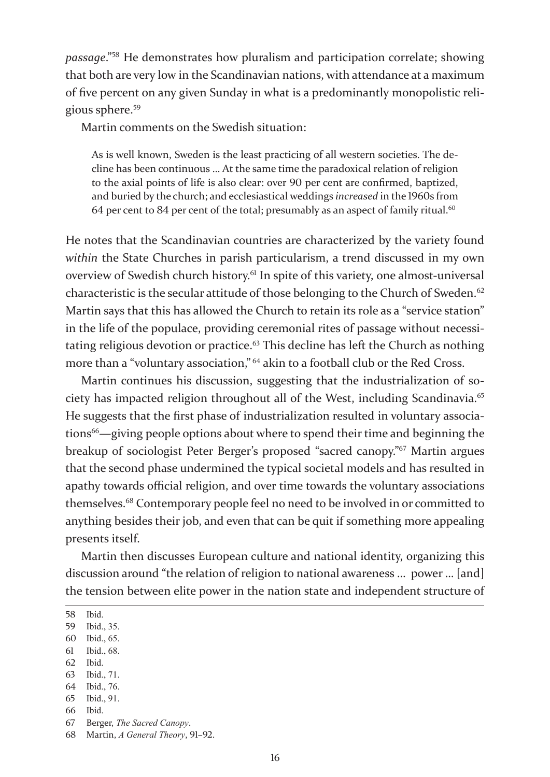*passage*."58 He demonstrates how pluralism and participation correlate; showing that both are very low in the Scandinavian nations, with attendance at a maximum of five percent on any given Sunday in what is a predominantly monopolistic religious sphere.<sup>59</sup>

Martin comments on the Swedish situation:

As is well known, Sweden is the least practicing of all western societies. The decline has been continuous … At the same time the paradoxical relation of religion to the axial points of life is also clear: over 90 per cent are confirmed, baptized, and buried by the church; and ecclesiastical weddings *increased* in the 1960s from 64 per cent to 84 per cent of the total; presumably as an aspect of family ritual.<sup>60</sup>

He notes that the Scandinavian countries are characterized by the variety found *within* the State Churches in parish particularism, a trend discussed in my own overview of Swedish church history.61 In spite of this variety, one almost-universal characteristic is the secular attitude of those belonging to the Church of Sweden.<sup>62</sup> Martin says that this has allowed the Church to retain its role as a "service station" in the life of the populace, providing ceremonial rites of passage without necessitating religious devotion or practice.<sup>63</sup> This decline has left the Church as nothing more than a "voluntary association," <sup>64</sup> akin to a football club or the Red Cross.

Martin continues his discussion, suggesting that the industrialization of society has impacted religion throughout all of the West, including Scandinavia.<sup>65</sup> He suggests that the first phase of industrialization resulted in voluntary associations<sup>66</sup>—giving people options about where to spend their time and beginning the breakup of sociologist Peter Berger's proposed "sacred canopy."67 Martin argues that the second phase undermined the typical societal models and has resulted in apathy towards official religion, and over time towards the voluntary associations themselves.68 Contemporary people feel no need to be involved in or committed to anything besides their job, and even that can be quit if something more appealing presents itself.

Martin then discusses European culture and national identity, organizing this discussion around "the relation of religion to national awareness … power … [and] the tension between elite power in the nation state and independent structure of

- 60 Ibid., 65.
- 61 Ibid., 68.
- 62 Ibid.
- 63 Ibid., 71.
- 64 Ibid., 76. 65 Ibid., 91.
- 
- 66 Ibid.
- 67 Berger, *The Sacred Canopy*.

<sup>58</sup> Ibid.

<sup>59</sup> Ibid., 35.

<sup>68</sup> Martin, *A General Theory*, 91–92.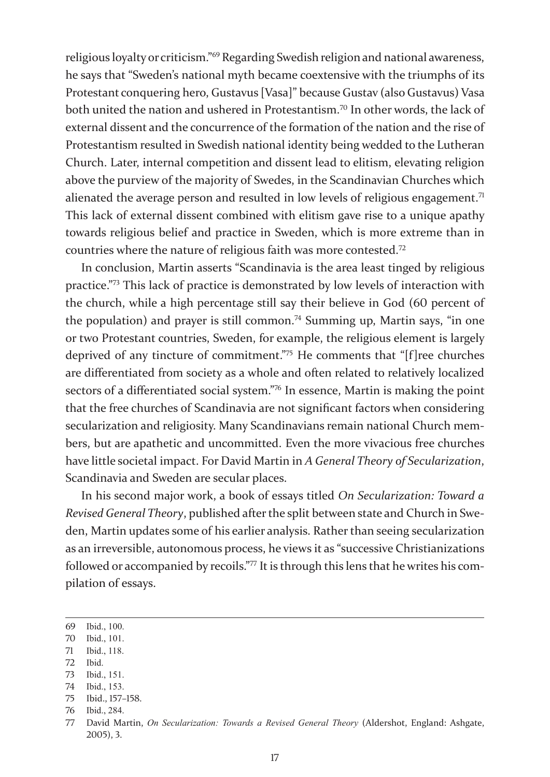religious loyalty or criticism."69 Regarding Swedish religion and national awareness, he says that "Sweden's national myth became coextensive with the triumphs of its Protestant conquering hero, Gustavus [Vasa]" because Gustav (also Gustavus) Vasa both united the nation and ushered in Protestantism.<sup>70</sup> In other words, the lack of external dissent and the concurrence of the formation of the nation and the rise of Protestantism resulted in Swedish national identity being wedded to the Lutheran Church. Later, internal competition and dissent lead to elitism, elevating religion above the purview of the majority of Swedes, in the Scandinavian Churches which alienated the average person and resulted in low levels of religious engagement.<sup>71</sup> This lack of external dissent combined with elitism gave rise to a unique apathy towards religious belief and practice in Sweden, which is more extreme than in countries where the nature of religious faith was more contested.<sup>72</sup>

In conclusion, Martin asserts "Scandinavia is the area least tinged by religious practice."73 This lack of practice is demonstrated by low levels of interaction with the church, while a high percentage still say their believe in God (60 percent of the population) and prayer is still common.<sup>74</sup> Summing up, Martin says, "in one or two Protestant countries, Sweden, for example, the religious element is largely deprived of any tincture of commitment."75 He comments that "[f]ree churches are differentiated from society as a whole and often related to relatively localized sectors of a differentiated social system."76 In essence, Martin is making the point that the free churches of Scandinavia are not significant factors when considering secularization and religiosity. Many Scandinavians remain national Church members, but are apathetic and uncommitted. Even the more vivacious free churches have little societal impact. For David Martin in *A General Theory of Secularization*, Scandinavia and Sweden are secular places.

In his second major work, a book of essays titled *On Secularization: Toward a Revised General Theory*, published after the split between state and Church in Sweden, Martin updates some of his earlier analysis. Rather than seeing secularization as an irreversible, autonomous process, he views it as "successive Christianizations followed or accompanied by recoils."77 It is through this lens that he writes his compilation of essays.

- 71 Ibid., 118.
- 72 Ibid.
- 73 Ibid., 151.
- 74 Ibid., 153.

<sup>69</sup> Ibid., 100.

<sup>70</sup> Ibid., 101.

<sup>75</sup> Ibid., 157–158.

<sup>76</sup> Ibid., 284.

<sup>77</sup> David Martin, *On Secularization: Towards a Revised General Theory* (Aldershot, England: Ashgate, 2005), 3.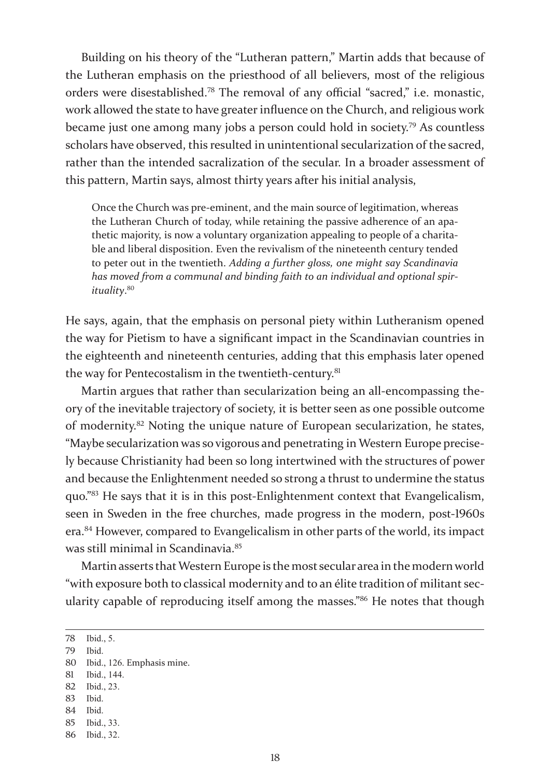Building on his theory of the "Lutheran pattern," Martin adds that because of the Lutheran emphasis on the priesthood of all believers, most of the religious orders were disestablished.78 The removal of any official "sacred," i.e. monastic, work allowed the state to have greater influence on the Church, and religious work became just one among many jobs a person could hold in society.79 As countless scholars have observed, this resulted in unintentional secularization of the sacred, rather than the intended sacralization of the secular. In a broader assessment of this pattern, Martin says, almost thirty years after his initial analysis,

Once the Church was pre-eminent, and the main source of legitimation, whereas the Lutheran Church of today, while retaining the passive adherence of an apathetic majority, is now a voluntary organization appealing to people of a charitable and liberal disposition. Even the revivalism of the nineteenth century tended to peter out in the twentieth. *Adding a further gloss, one might say Scandinavia has moved from a communal and binding faith to an individual and optional spirituality*. 80

He says, again, that the emphasis on personal piety within Lutheranism opened the way for Pietism to have a significant impact in the Scandinavian countries in the eighteenth and nineteenth centuries, adding that this emphasis later opened the way for Pentecostalism in the twentieth-century.<sup>81</sup>

Martin argues that rather than secularization being an all-encompassing theory of the inevitable trajectory of society, it is better seen as one possible outcome of modernity.82 Noting the unique nature of European secularization, he states, "Maybe secularization was so vigorous and penetrating in Western Europe precisely because Christianity had been so long intertwined with the structures of power and because the Enlightenment needed so strong a thrust to undermine the status quo."83 He says that it is in this post-Enlightenment context that Evangelicalism, seen in Sweden in the free churches, made progress in the modern, post-1960s era.84 However, compared to Evangelicalism in other parts of the world, its impact was still minimal in Scandinavia.<sup>85</sup>

Martin asserts that Western Europe is the most secular area in the modern world "with exposure both to classical modernity and to an élite tradition of militant secularity capable of reproducing itself among the masses."86 He notes that though

- 82 Ibid., 23.
- 83 Ibid.
- 84 Ibid.
- 85 Ibid., 33.
- 86 Ibid., 32.

<sup>78</sup> Ibid., 5.

<sup>79</sup> Ibid.

<sup>80</sup> Ibid., 126. Emphasis mine.

<sup>81</sup> Ibid., 144.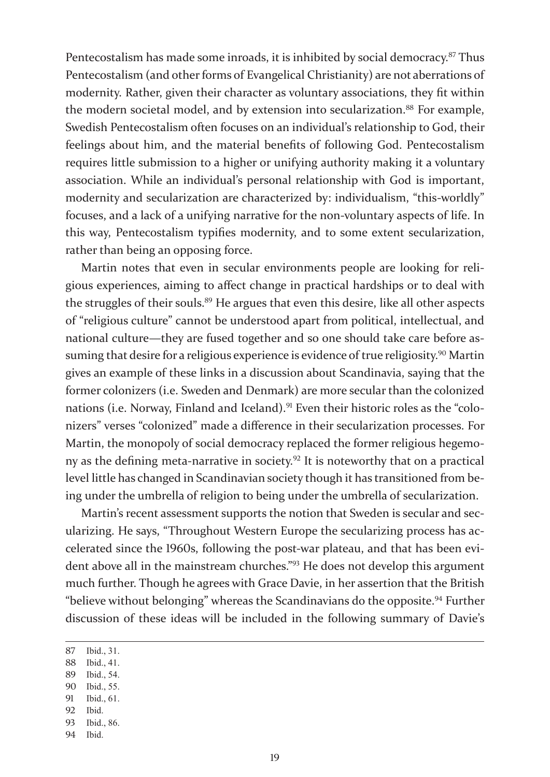Pentecostalism has made some inroads, it is inhibited by social democracy.<sup>87</sup> Thus Pentecostalism (and other forms of Evangelical Christianity) are not aberrations of modernity. Rather, given their character as voluntary associations, they fit within the modern societal model, and by extension into secularization.<sup>88</sup> For example, Swedish Pentecostalism often focuses on an individual's relationship to God, their feelings about him, and the material benefits of following God. Pentecostalism requires little submission to a higher or unifying authority making it a voluntary association. While an individual's personal relationship with God is important, modernity and secularization are characterized by: individualism, "this-worldly" focuses, and a lack of a unifying narrative for the non-voluntary aspects of life. In this way, Pentecostalism typifies modernity, and to some extent secularization, rather than being an opposing force.

Martin notes that even in secular environments people are looking for religious experiences, aiming to affect change in practical hardships or to deal with the struggles of their souls.<sup>89</sup> He argues that even this desire, like all other aspects of "religious culture" cannot be understood apart from political, intellectual, and national culture—they are fused together and so one should take care before assuming that desire for a religious experience is evidence of true religiosity.<sup>90</sup> Martin gives an example of these links in a discussion about Scandinavia, saying that the former colonizers (i.e. Sweden and Denmark) are more secular than the colonized nations (i.e. Norway, Finland and Iceland).<sup>91</sup> Even their historic roles as the "colonizers" verses "colonized" made a difference in their secularization processes. For Martin, the monopoly of social democracy replaced the former religious hegemony as the defining meta-narrative in society.92 It is noteworthy that on a practical level little has changed in Scandinavian society though it has transitioned from being under the umbrella of religion to being under the umbrella of secularization.

Martin's recent assessment supports the notion that Sweden is secular and secularizing. He says, "Throughout Western Europe the secularizing process has accelerated since the 1960s, following the post-war plateau, and that has been evident above all in the mainstream churches."93 He does not develop this argument much further. Though he agrees with Grace Davie, in her assertion that the British "believe without belonging" whereas the Scandinavians do the opposite.<sup>94</sup> Further discussion of these ideas will be included in the following summary of Davie's

- 88 Ibid., 41.
- 89 Ibid., 54.
- 90 Ibid., 55.
- 91 Ibid., 61.
- 92 Ibid.
- 93 Ibid., 86.
- 94 Ibid.

<sup>87</sup> Ibid., 31.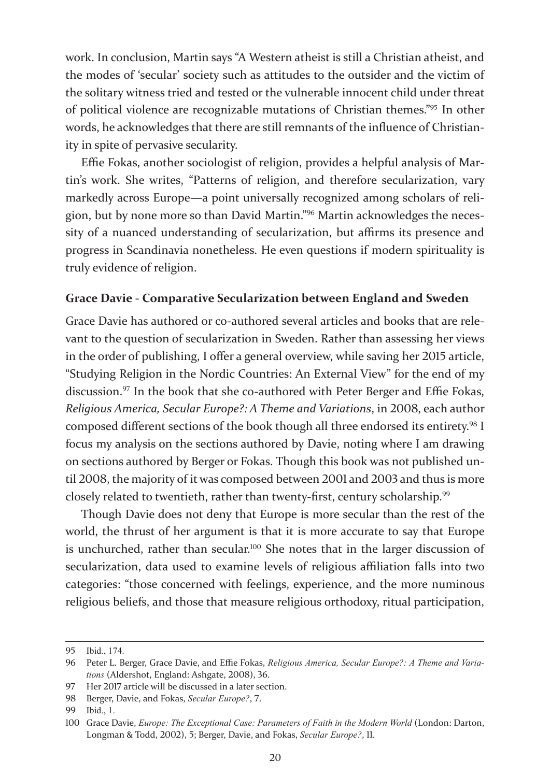work. In conclusion, Martin says "A Western atheist is still a Christian atheist, and the modes of 'secular' society such as attitudes to the outsider and the victim of the solitary witness tried and tested or the vulnerable innocent child under threat of political violence are recognizable mutations of Christian themes."95 In other words, he acknowledges that there are still remnants of the influence of Christianity in spite of pervasive secularity.

Effie Fokas, another sociologist of religion, provides a helpful analysis of Martin's work. She writes, "Patterns of religion, and therefore secularization, vary markedly across Europe—a point universally recognized among scholars of religion, but by none more so than David Martin."96 Martin acknowledges the necessity of a nuanced understanding of secularization, but affirms its presence and progress in Scandinavia nonetheless. He even questions if modern spirituality is truly evidence of religion.

### **Grace Davie - Comparative Secularization between England and Sweden**

Grace Davie has authored or co-authored several articles and books that are relevant to the question of secularization in Sweden. Rather than assessing her views in the order of publishing, I offer a general overview, while saving her 2015 article, "Studying Religion in the Nordic Countries: An External View" for the end of my discussion.<sup>97</sup> In the book that she co-authored with Peter Berger and Effie Fokas, *Religious America, Secular Europe?: A Theme and Variations*, in 2008, each author composed different sections of the book though all three endorsed its entirety.<sup>98</sup> I focus my analysis on the sections authored by Davie, noting where I am drawing on sections authored by Berger or Fokas. Though this book was not published until 2008, the majority of it was composed between 2001 and 2003 and thus is more closely related to twentieth, rather than twenty-first, century scholarship.<sup>99</sup>

Though Davie does not deny that Europe is more secular than the rest of the world, the thrust of her argument is that it is more accurate to say that Europe is unchurched, rather than secular.<sup>100</sup> She notes that in the larger discussion of secularization, data used to examine levels of religious affiliation falls into two categories: "those concerned with feelings, experience, and the more numinous religious beliefs, and those that measure religious orthodoxy, ritual participation,

<sup>95</sup> Ibid., 174.

<sup>96</sup> Peter L. Berger, Grace Davie, and Effie Fokas, *Religious America, Secular Europe?: A Theme and Variations* (Aldershot, England: Ashgate, 2008), 36.

<sup>97</sup> Her 2017 article will be discussed in a later section.

<sup>98</sup> Berger, Davie, and Fokas, *Secular Europe?*, 7.

<sup>99</sup> Ibid., 1.

<sup>100</sup> Grace Davie, *Europe: The Exceptional Case: Parameters of Faith in the Modern World* (London: Darton, Longman & Todd, 2002), 5; Berger, Davie, and Fokas, *Secular Europe?*, 11.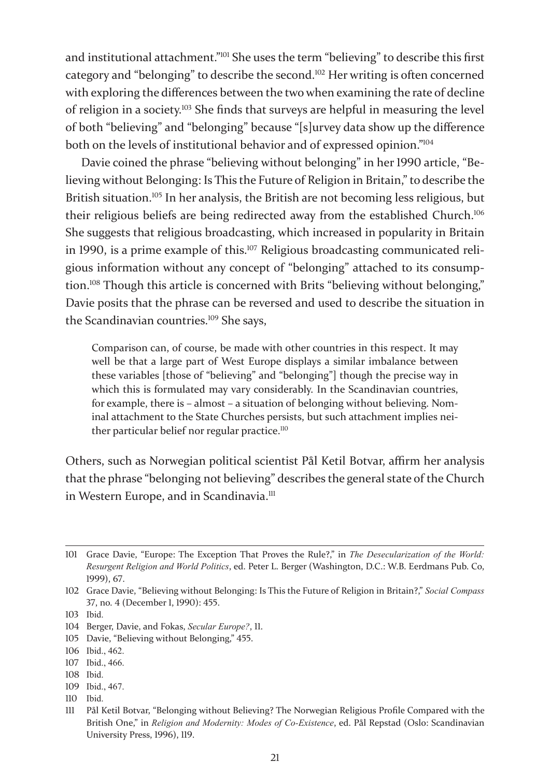and institutional attachment."101 She uses the term "believing" to describe this first category and "belonging" to describe the second.102 Her writing is often concerned with exploring the differences between the two when examining the rate of decline of religion in a society.103 She finds that surveys are helpful in measuring the level of both "believing" and "belonging" because "[s]urvey data show up the difference both on the levels of institutional behavior and of expressed opinion."<sup>104</sup>

Davie coined the phrase "believing without belonging" in her 1990 article, "Believing without Belonging: Is This the Future of Religion in Britain," to describe the British situation.<sup>105</sup> In her analysis, the British are not becoming less religious, but their religious beliefs are being redirected away from the established Church.<sup>106</sup> She suggests that religious broadcasting, which increased in popularity in Britain in 1990, is a prime example of this.<sup>107</sup> Religious broadcasting communicated religious information without any concept of "belonging" attached to its consumption.<sup>108</sup> Though this article is concerned with Brits "believing without belonging," Davie posits that the phrase can be reversed and used to describe the situation in the Scandinavian countries.<sup>109</sup> She says,

Comparison can, of course, be made with other countries in this respect. It may well be that a large part of West Europe displays a similar imbalance between these variables [those of "believing" and "belonging"] though the precise way in which this is formulated may vary considerably. In the Scandinavian countries, for example, there is – almost – a situation of belonging without believing. Nominal attachment to the State Churches persists, but such attachment implies neither particular belief nor regular practice.<sup>110</sup>

Others, such as Norwegian political scientist Pål Ketil Botvar, affirm her analysis that the phrase "belonging not believing" describes the general state of the Church in Western Europe, and in Scandinavia.<sup>111</sup>

- 105 Davie, "Believing without Belonging," 455.
- 106 Ibid., 462.
- 107 Ibid., 466.
- 108 Ibid.
- 109 Ibid., 467.
- 110 Ibid.

<sup>101</sup> Grace Davie, "Europe: The Exception That Proves the Rule?," in *The Desecularization of the World: Resurgent Religion and World Politics*, ed. Peter L. Berger (Washington, D.C.: W.B. Eerdmans Pub. Co, 1999), 67.

<sup>102</sup> Grace Davie, "Believing without Belonging: Is This the Future of Religion in Britain?," *Social Compass* 37, no. 4 (December 1, 1990): 455.

<sup>103</sup> Ibid.

<sup>104</sup> Berger, Davie, and Fokas, *Secular Europe?*, 11.

<sup>111</sup> Pål Ketil Botvar, "Belonging without Believing? The Norwegian Religious Profile Compared with the British One," in *Religion and Modernity: Modes of Co-Existence*, ed. Pål Repstad (Oslo: Scandinavian University Press, 1996), 119.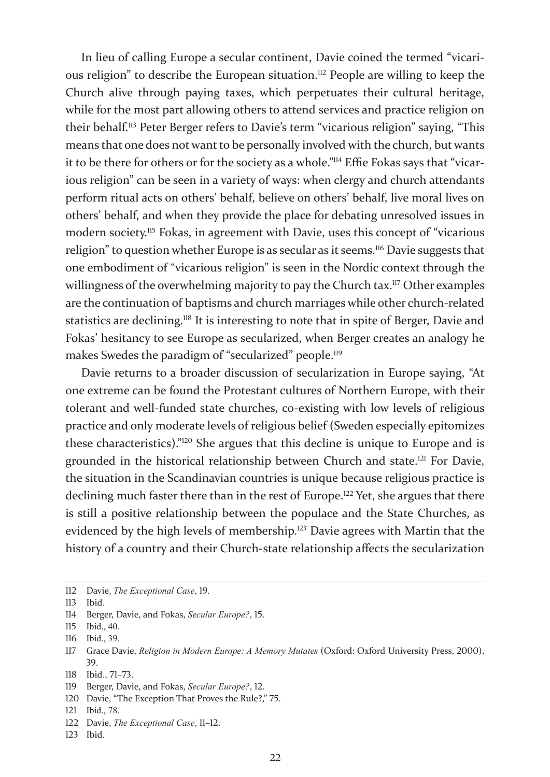In lieu of calling Europe a secular continent, Davie coined the termed "vicarious religion" to describe the European situation.<sup>112</sup> People are willing to keep the Church alive through paying taxes, which perpetuates their cultural heritage, while for the most part allowing others to attend services and practice religion on their behalf.113 Peter Berger refers to Davie's term "vicarious religion" saying, "This means that one does not want to be personally involved with the church, but wants it to be there for others or for the society as a whole."114 Effie Fokas says that "vicarious religion" can be seen in a variety of ways: when clergy and church attendants perform ritual acts on others' behalf, believe on others' behalf, live moral lives on others' behalf, and when they provide the place for debating unresolved issues in modern society.<sup>115</sup> Fokas, in agreement with Davie, uses this concept of "vicarious religion" to question whether Europe is as secular as it seems.<sup>116</sup> Davie suggests that one embodiment of "vicarious religion" is seen in the Nordic context through the willingness of the overwhelming majority to pay the Church tax.<sup>117</sup> Other examples are the continuation of baptisms and church marriages while other church-related statistics are declining.118 It is interesting to note that in spite of Berger, Davie and Fokas' hesitancy to see Europe as secularized, when Berger creates an analogy he makes Swedes the paradigm of "secularized" people.<sup>119</sup>

Davie returns to a broader discussion of secularization in Europe saying, "At one extreme can be found the Protestant cultures of Northern Europe, with their tolerant and well-funded state churches, co-existing with low levels of religious practice and only moderate levels of religious belief (Sweden especially epitomizes these characteristics)."120 She argues that this decline is unique to Europe and is grounded in the historical relationship between Church and state.121 For Davie, the situation in the Scandinavian countries is unique because religious practice is declining much faster there than in the rest of Europe.<sup>122</sup> Yet, she argues that there is still a positive relationship between the populace and the State Churches, as evidenced by the high levels of membership.<sup>123</sup> Davie agrees with Martin that the history of a country and their Church-state relationship affects the secularization

<sup>112</sup> Davie, *The Exceptional Case*, 19.

<sup>113</sup> Ibid.

<sup>114</sup> Berger, Davie, and Fokas, *Secular Europe?*, 15.

<sup>115</sup> Ibid., 40.

<sup>116</sup> Ibid., 39.

<sup>117</sup> Grace Davie, *Religion in Modern Europe: A Memory Mutates* (Oxford: Oxford University Press, 2000), 39.

<sup>118</sup> Ibid., 71–73.

<sup>119</sup> Berger, Davie, and Fokas, *Secular Europe?*, 12.

<sup>120</sup> Davie, "The Exception That Proves the Rule?," 75.

<sup>121</sup> Ibid., 78.

<sup>122</sup> Davie, *The Exceptional Case*, 11–12.

<sup>123</sup> Ibid.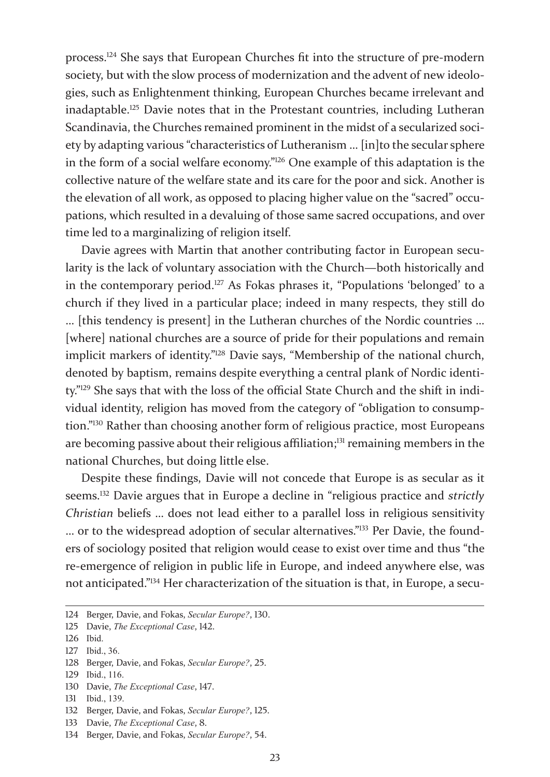process.124 She says that European Churches fit into the structure of pre-modern society, but with the slow process of modernization and the advent of new ideologies, such as Enlightenment thinking, European Churches became irrelevant and inadaptable.125 Davie notes that in the Protestant countries, including Lutheran Scandinavia, the Churches remained prominent in the midst of a secularized society by adapting various "characteristics of Lutheranism … [in]to the secular sphere in the form of a social welfare economy."126 One example of this adaptation is the collective nature of the welfare state and its care for the poor and sick. Another is the elevation of all work, as opposed to placing higher value on the "sacred" occupations, which resulted in a devaluing of those same sacred occupations, and over time led to a marginalizing of religion itself.

Davie agrees with Martin that another contributing factor in European secularity is the lack of voluntary association with the Church—both historically and in the contemporary period.<sup>127</sup> As Fokas phrases it, "Populations 'belonged' to a church if they lived in a particular place; indeed in many respects, they still do … [this tendency is present] in the Lutheran churches of the Nordic countries … [where] national churches are a source of pride for their populations and remain implicit markers of identity."128 Davie says, "Membership of the national church, denoted by baptism, remains despite everything a central plank of Nordic identity."129 She says that with the loss of the official State Church and the shift in individual identity, religion has moved from the category of "obligation to consumption."130 Rather than choosing another form of religious practice, most Europeans are becoming passive about their religious affiliation;<sup>131</sup> remaining members in the national Churches, but doing little else.

Despite these findings, Davie will not concede that Europe is as secular as it seems.132 Davie argues that in Europe a decline in "religious practice and *strictly Christian* beliefs … does not lead either to a parallel loss in religious sensitivity … or to the widespread adoption of secular alternatives."133 Per Davie, the founders of sociology posited that religion would cease to exist over time and thus "the re-emergence of religion in public life in Europe, and indeed anywhere else, was not anticipated."134 Her characterization of the situation is that, in Europe, a secu-

127 Ibid., 36.

- 129 Ibid., 116.
- 130 Davie, *The Exceptional Case*, 147.
- 131 Ibid., 139.
- 132 Berger, Davie, and Fokas, *Secular Europe?*, 125.
- 133 Davie, *The Exceptional Case*, 8.
- 134 Berger, Davie, and Fokas, *Secular Europe?*, 54.

<sup>124</sup> Berger, Davie, and Fokas, *Secular Europe?*, 130.

<sup>125</sup> Davie, *The Exceptional Case*, 142.

<sup>126</sup> Ibid.

<sup>128</sup> Berger, Davie, and Fokas, *Secular Europe?*, 25.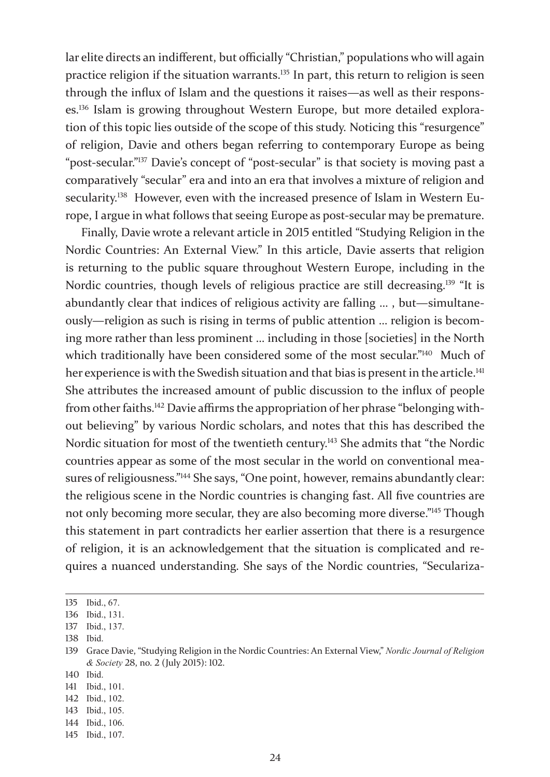lar elite directs an indifferent, but officially "Christian," populations who will again practice religion if the situation warrants.<sup>135</sup> In part, this return to religion is seen through the influx of Islam and the questions it raises—as well as their responses.136 Islam is growing throughout Western Europe, but more detailed exploration of this topic lies outside of the scope of this study. Noticing this "resurgence" of religion, Davie and others began referring to contemporary Europe as being "post-secular."137 Davie's concept of "post-secular" is that society is moving past a comparatively "secular" era and into an era that involves a mixture of religion and secularity.<sup>138</sup> However, even with the increased presence of Islam in Western Europe, I argue in what follows that seeing Europe as post-secular may be premature.

Finally, Davie wrote a relevant article in 2015 entitled "Studying Religion in the Nordic Countries: An External View." In this article, Davie asserts that religion is returning to the public square throughout Western Europe, including in the Nordic countries, though levels of religious practice are still decreasing.<sup>139</sup> "It is abundantly clear that indices of religious activity are falling … , but—simultaneously—religion as such is rising in terms of public attention … religion is becoming more rather than less prominent … including in those [societies] in the North which traditionally have been considered some of the most secular."<sup>140</sup> Much of her experience is with the Swedish situation and that bias is present in the article.<sup>141</sup> She attributes the increased amount of public discussion to the influx of people from other faiths.142 Davie affirms the appropriation of her phrase "belonging without believing" by various Nordic scholars, and notes that this has described the Nordic situation for most of the twentieth century.<sup>143</sup> She admits that "the Nordic countries appear as some of the most secular in the world on conventional measures of religiousness."144 She says, "One point, however, remains abundantly clear: the religious scene in the Nordic countries is changing fast. All five countries are not only becoming more secular, they are also becoming more diverse."145 Though this statement in part contradicts her earlier assertion that there is a resurgence of religion, it is an acknowledgement that the situation is complicated and requires a nuanced understanding. She says of the Nordic countries, "Seculariza-

138 Ibid.

140 Ibid.

<sup>135</sup> Ibid., 67.

<sup>136</sup> Ibid., 131.

<sup>137</sup> Ibid., 137.

<sup>139</sup> Grace Davie, "Studying Religion in the Nordic Countries: An External View," *Nordic Journal of Religion & Society* 28, no. 2 (July 2015): 102.

<sup>141</sup> Ibid., 101.

<sup>142</sup> Ibid., 102.

<sup>143</sup> Ibid., 105.

<sup>144</sup> Ibid., 106.

<sup>145</sup> Ibid., 107.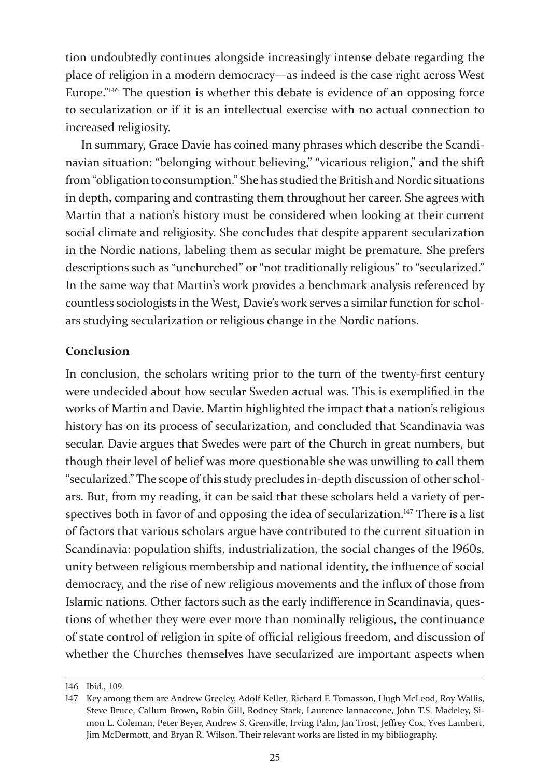tion undoubtedly continues alongside increasingly intense debate regarding the place of religion in a modern democracy—as indeed is the case right across West Europe."<sup>146</sup> The question is whether this debate is evidence of an opposing force to secularization or if it is an intellectual exercise with no actual connection to increased religiosity.

In summary, Grace Davie has coined many phrases which describe the Scandinavian situation: "belonging without believing," "vicarious religion," and the shift from "obligation to consumption." She has studied the British and Nordic situations in depth, comparing and contrasting them throughout her career. She agrees with Martin that a nation's history must be considered when looking at their current social climate and religiosity. She concludes that despite apparent secularization in the Nordic nations, labeling them as secular might be premature. She prefers descriptions such as "unchurched" or "not traditionally religious" to "secularized." In the same way that Martin's work provides a benchmark analysis referenced by countless sociologists in the West, Davie's work serves a similar function for scholars studying secularization or religious change in the Nordic nations.

### **Conclusion**

In conclusion, the scholars writing prior to the turn of the twenty-first century were undecided about how secular Sweden actual was. This is exemplified in the works of Martin and Davie. Martin highlighted the impact that a nation's religious history has on its process of secularization, and concluded that Scandinavia was secular. Davie argues that Swedes were part of the Church in great numbers, but though their level of belief was more questionable she was unwilling to call them "secularized." The scope of this study precludes in-depth discussion of other scholars. But, from my reading, it can be said that these scholars held a variety of perspectives both in favor of and opposing the idea of secularization.<sup>147</sup> There is a list of factors that various scholars argue have contributed to the current situation in Scandinavia: population shifts, industrialization, the social changes of the 1960s, unity between religious membership and national identity, the influence of social democracy, and the rise of new religious movements and the influx of those from Islamic nations. Other factors such as the early indifference in Scandinavia, questions of whether they were ever more than nominally religious, the continuance of state control of religion in spite of official religious freedom, and discussion of whether the Churches themselves have secularized are important aspects when

<sup>146</sup> Ibid., 109.

<sup>147</sup> Key among them are Andrew Greeley, Adolf Keller, Richard F. Tomasson, Hugh McLeod, Roy Wallis, Steve Bruce, Callum Brown, Robin Gill, Rodney Stark, Laurence Iannaccone, John T.S. Madeley, Simon L. Coleman, Peter Beyer, Andrew S. Grenville, Irving Palm, Jan Trost, Jeffrey Cox, Yves Lambert, Jim McDermott, and Bryan R. Wilson. Their relevant works are listed in my bibliography.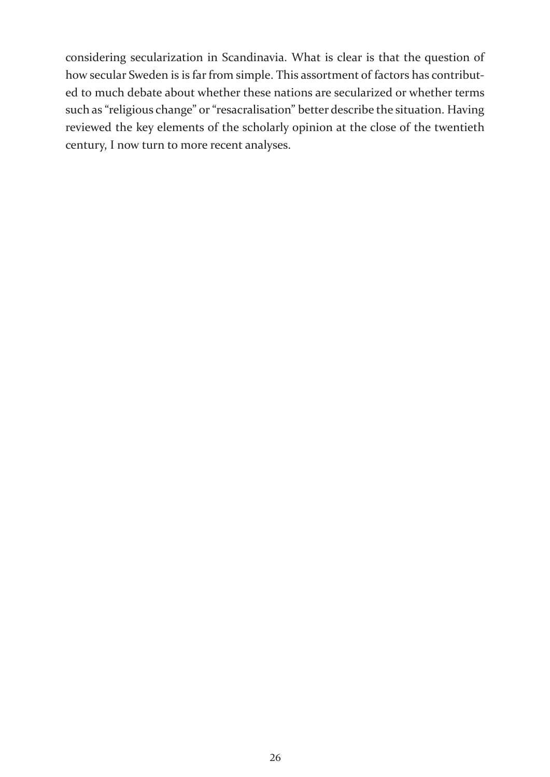considering secularization in Scandinavia. What is clear is that the question of how secular Sweden is is far from simple. This assortment of factors has contributed to much debate about whether these nations are secularized or whether terms such as "religious change" or "resacralisation" better describe the situation. Having reviewed the key elements of the scholarly opinion at the close of the twentieth century, I now turn to more recent analyses.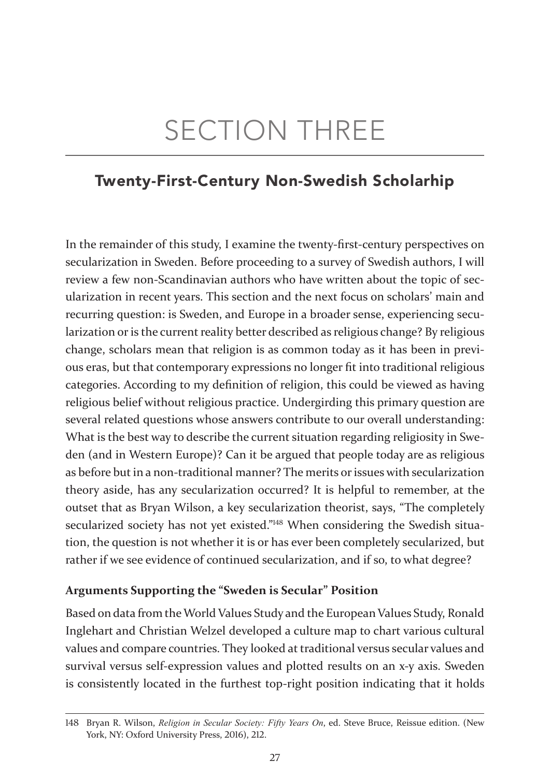# SECTION THREE

## Twenty-First-Century Non-Swedish Scholarhip

In the remainder of this study, I examine the twenty-first-century perspectives on secularization in Sweden. Before proceeding to a survey of Swedish authors, I will review a few non-Scandinavian authors who have written about the topic of secularization in recent years. This section and the next focus on scholars' main and recurring question: is Sweden, and Europe in a broader sense, experiencing secularization or is the current reality better described as religious change? By religious change, scholars mean that religion is as common today as it has been in previous eras, but that contemporary expressions no longer fit into traditional religious categories. According to my definition of religion, this could be viewed as having religious belief without religious practice. Undergirding this primary question are several related questions whose answers contribute to our overall understanding: What is the best way to describe the current situation regarding religiosity in Sweden (and in Western Europe)? Can it be argued that people today are as religious as before but in a non-traditional manner? The merits or issues with secularization theory aside, has any secularization occurred? It is helpful to remember, at the outset that as Bryan Wilson, a key secularization theorist, says, "The completely secularized society has not yet existed."148 When considering the Swedish situation, the question is not whether it is or has ever been completely secularized, but rather if we see evidence of continued secularization, and if so, to what degree?

### **Arguments Supporting the "Sweden is Secular" Position**

Based on data from the World Values Study and the European Values Study, Ronald Inglehart and Christian Welzel developed a culture map to chart various cultural values and compare countries. They looked at traditional versus secular values and survival versus self-expression values and plotted results on an x-y axis. Sweden is consistently located in the furthest top-right position indicating that it holds

<sup>148</sup> Bryan R. Wilson, *Religion in Secular Society: Fifty Years On*, ed. Steve Bruce, Reissue edition. (New York, NY: Oxford University Press, 2016), 212.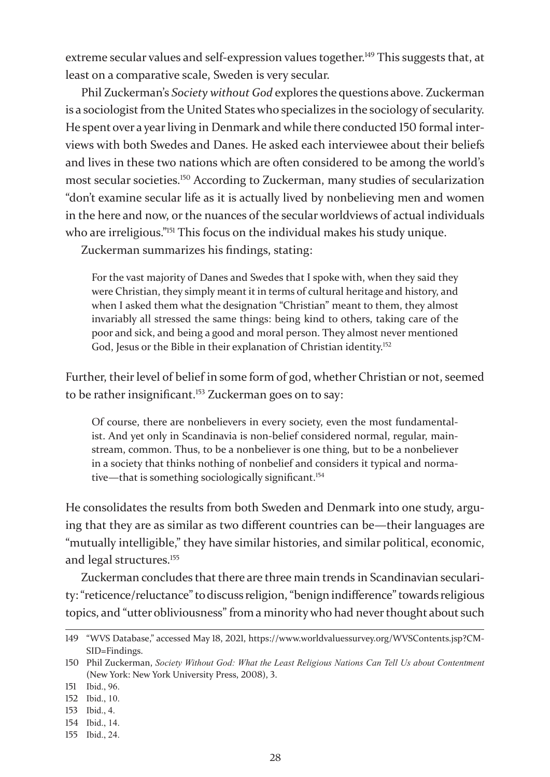extreme secular values and self-expression values together.<sup>149</sup> This suggests that, at least on a comparative scale, Sweden is very secular.

Phil Zuckerman's *Society without God* explores the questions above. Zuckerman is a sociologist from the United States who specializes in the sociology of secularity. He spent over a year living in Denmark and while there conducted 150 formal interviews with both Swedes and Danes. He asked each interviewee about their beliefs and lives in these two nations which are often considered to be among the world's most secular societies.150 According to Zuckerman, many studies of secularization "don't examine secular life as it is actually lived by nonbelieving men and women in the here and now, or the nuances of the secular worldviews of actual individuals who are irreligious."<sup>151</sup> This focus on the individual makes his study unique.

Zuckerman summarizes his findings, stating:

For the vast majority of Danes and Swedes that I spoke with, when they said they were Christian, they simply meant it in terms of cultural heritage and history, and when I asked them what the designation "Christian" meant to them, they almost invariably all stressed the same things: being kind to others, taking care of the poor and sick, and being a good and moral person. They almost never mentioned God, Jesus or the Bible in their explanation of Christian identity.<sup>152</sup>

Further, their level of belief in some form of god, whether Christian or not, seemed to be rather insignificant.<sup>153</sup> Zuckerman goes on to say:

Of course, there are nonbelievers in every society, even the most fundamentalist. And yet only in Scandinavia is non-belief considered normal, regular, mainstream, common. Thus, to be a nonbeliever is one thing, but to be a nonbeliever in a society that thinks nothing of nonbelief and considers it typical and normative—that is something sociologically significant.<sup>154</sup>

He consolidates the results from both Sweden and Denmark into one study, arguing that they are as similar as two different countries can be—their languages are "mutually intelligible," they have similar histories, and similar political, economic, and legal structures.<sup>155</sup>

Zuckerman concludes that there are three main trends in Scandinavian secularity: "reticence/reluctance" to discuss religion, "benign indifference" towards religious topics, and "utter obliviousness" from a minority who had never thought about such

154 Ibid., 14.

<sup>149</sup> "WVS Database," accessed May 18, 2021, https://www.worldvaluessurvey.org/WVSContents.jsp?CM-SID=Findings.

<sup>150</sup> Phil Zuckerman, *Society Without God: What the Least Religious Nations Can Tell Us about Contentment* (New York: New York University Press, 2008), 3.

<sup>151</sup> Ibid., 96.

<sup>152</sup> Ibid., 10.

<sup>153</sup> Ibid., 4.

<sup>155</sup> Ibid., 24.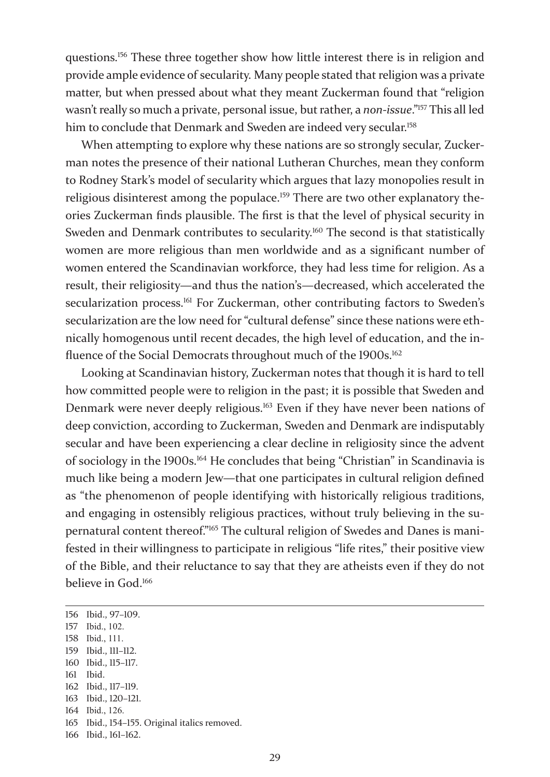questions.156 These three together show how little interest there is in religion and provide ample evidence of secularity. Many people stated that religion was a private matter, but when pressed about what they meant Zuckerman found that "religion wasn't really so much a private, personal issue, but rather, a *non-issue*."157 This all led him to conclude that Denmark and Sweden are indeed very secular.<sup>158</sup>

When attempting to explore why these nations are so strongly secular, Zuckerman notes the presence of their national Lutheran Churches, mean they conform to Rodney Stark's model of secularity which argues that lazy monopolies result in religious disinterest among the populace.<sup>159</sup> There are two other explanatory theories Zuckerman finds plausible. The first is that the level of physical security in Sweden and Denmark contributes to secularity.<sup>160</sup> The second is that statistically women are more religious than men worldwide and as a significant number of women entered the Scandinavian workforce, they had less time for religion. As a result, their religiosity—and thus the nation's—decreased, which accelerated the secularization process.<sup>161</sup> For Zuckerman, other contributing factors to Sweden's secularization are the low need for "cultural defense" since these nations were ethnically homogenous until recent decades, the high level of education, and the influence of the Social Democrats throughout much of the 1900s.<sup>162</sup>

Looking at Scandinavian history, Zuckerman notes that though it is hard to tell how committed people were to religion in the past; it is possible that Sweden and Denmark were never deeply religious.<sup>163</sup> Even if they have never been nations of deep conviction, according to Zuckerman, Sweden and Denmark are indisputably secular and have been experiencing a clear decline in religiosity since the advent of sociology in the 1900s.164 He concludes that being "Christian" in Scandinavia is much like being a modern Jew—that one participates in cultural religion defined as "the phenomenon of people identifying with historically religious traditions, and engaging in ostensibly religious practices, without truly believing in the supernatural content thereof."165 The cultural religion of Swedes and Danes is manifested in their willingness to participate in religious "life rites," their positive view of the Bible, and their reluctance to say that they are atheists even if they do not believe in God.<sup>166</sup>

- 157 Ibid., 102.
- 158 Ibid., 111.
- 159 Ibid., 111–112. 160 Ibid., 115–117.
- 161 Ibid.
- 162 Ibid., 117–119.
- 163 Ibid., 120–121.
- 164 Ibid., 126.

166 Ibid., 161–162.

<sup>156</sup> Ibid., 97–109.

<sup>165</sup> Ibid., 154–155. Original italics removed.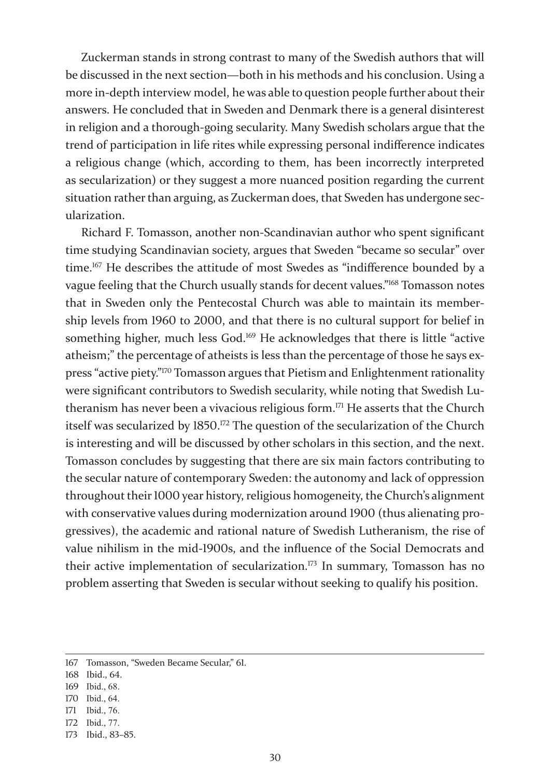Zuckerman stands in strong contrast to many of the Swedish authors that will be discussed in the next section—both in his methods and his conclusion. Using a more in-depth interview model, he was able to question people further about their answers. He concluded that in Sweden and Denmark there is a general disinterest in religion and a thorough-going secularity. Many Swedish scholars argue that the trend of participation in life rites while expressing personal indifference indicates a religious change (which, according to them, has been incorrectly interpreted as secularization) or they suggest a more nuanced position regarding the current situation rather than arguing, as Zuckerman does, that Sweden has undergone secularization.

Richard F. Tomasson, another non-Scandinavian author who spent significant time studying Scandinavian society, argues that Sweden "became so secular" over time.167 He describes the attitude of most Swedes as "indifference bounded by a vague feeling that the Church usually stands for decent values."168 Tomasson notes that in Sweden only the Pentecostal Church was able to maintain its membership levels from 1960 to 2000, and that there is no cultural support for belief in something higher, much less God.169 He acknowledges that there is little "active atheism;" the percentage of atheists is less than the percentage of those he says express "active piety."170 Tomasson argues that Pietism and Enlightenment rationality were significant contributors to Swedish secularity, while noting that Swedish Lutheranism has never been a vivacious religious form.<sup>171</sup> He asserts that the Church itself was secularized by 1850.<sup>172</sup> The question of the secularization of the Church is interesting and will be discussed by other scholars in this section, and the next. Tomasson concludes by suggesting that there are six main factors contributing to the secular nature of contemporary Sweden: the autonomy and lack of oppression throughout their 1000 year history, religious homogeneity, the Church's alignment with conservative values during modernization around 1900 (thus alienating progressives), the academic and rational nature of Swedish Lutheranism, the rise of value nihilism in the mid-1900s, and the influence of the Social Democrats and their active implementation of secularization.<sup>173</sup> In summary, Tomasson has no problem asserting that Sweden is secular without seeking to qualify his position.

- 168 Ibid., 64.
- 169 Ibid., 68.
- 170 Ibid., 64.

172 Ibid., 77.

<sup>167</sup> Tomasson, "Sweden Became Secular," 61.

<sup>171</sup> Ibid., 76.

<sup>173</sup> Ibid., 83–85.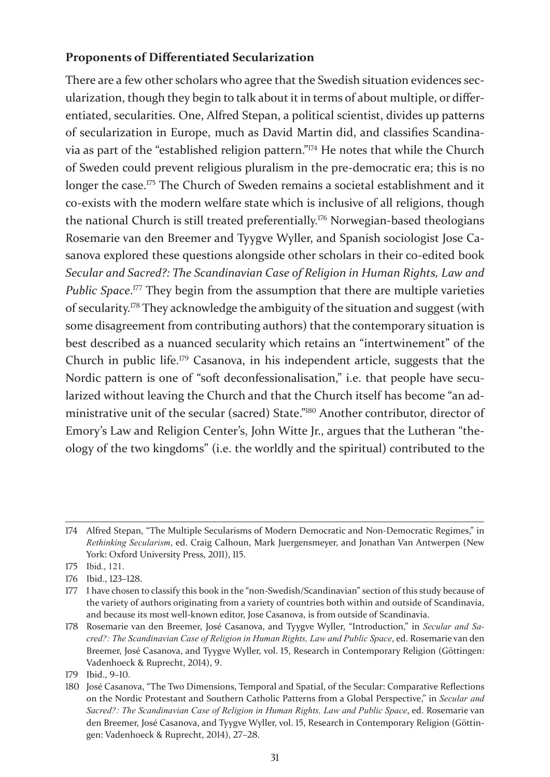### **Proponents of Differentiated Secularization**

There are a few other scholars who agree that the Swedish situation evidences secularization, though they begin to talk about it in terms of about multiple, or differentiated, secularities. One, Alfred Stepan, a political scientist, divides up patterns of secularization in Europe, much as David Martin did, and classifies Scandinavia as part of the "established religion pattern."174 He notes that while the Church of Sweden could prevent religious pluralism in the pre-democratic era; this is no longer the case.<sup>175</sup> The Church of Sweden remains a societal establishment and it co-exists with the modern welfare state which is inclusive of all religions, though the national Church is still treated preferentially.176 Norwegian-based theologians Rosemarie van den Breemer and Tyygve Wyller, and Spanish sociologist Jose Casanova explored these questions alongside other scholars in their co-edited book *Secular and Sacred?: The Scandinavian Case of Religion in Human Rights, Law and Public Space*.<sup>177</sup> They begin from the assumption that there are multiple varieties of secularity.178 They acknowledge the ambiguity of the situation and suggest (with some disagreement from contributing authors) that the contemporary situation is best described as a nuanced secularity which retains an "intertwinement" of the Church in public life.179 Casanova, in his independent article, suggests that the Nordic pattern is one of "soft deconfessionalisation," i.e. that people have secularized without leaving the Church and that the Church itself has become "an administrative unit of the secular (sacred) State."180 Another contributor, director of Emory's Law and Religion Center's, John Witte Jr., argues that the Lutheran "theology of the two kingdoms" (i.e. the worldly and the spiritual) contributed to the

<sup>174</sup> Alfred Stepan, "The Multiple Secularisms of Modern Democratic and Non-Democratic Regimes," in *Rethinking Secularism*, ed. Craig Calhoun, Mark Juergensmeyer, and Jonathan Van Antwerpen (New York: Oxford University Press, 2011), 115.

<sup>175</sup> Ibid., 121.

<sup>176</sup> Ibid., 123–128.

<sup>177</sup> I have chosen to classify this book in the "non-Swedish/Scandinavian" section of this study because of the variety of authors originating from a variety of countries both within and outside of Scandinavia, and because its most well-known editor, Jose Casanova, is from outside of Scandinavia.

<sup>178</sup> Rosemarie van den Breemer, José Casanova, and Tyygve Wyller, "Introduction," in *Secular and Sacred?: The Scandinavian Case of Religion in Human Rights, Law and Public Space*, ed. Rosemarie van den Breemer, José Casanova, and Tyygve Wyller, vol. 15, Research in Contemporary Religion (Göttingen: Vadenhoeck & Ruprecht, 2014), 9.

<sup>179</sup> Ibid., 9–10.

<sup>180</sup> José Casanova, "The Two Dimensions, Temporal and Spatial, of the Secular: Comparative Reflections on the Nordic Protestant and Southern Catholic Patterns from a Global Perspective," in *Secular and Sacred?: The Scandinavian Case of Religion in Human Rights, Law and Public Space*, ed. Rosemarie van den Breemer, José Casanova, and Tyygve Wyller, vol. 15, Research in Contemporary Religion (Göttingen: Vadenhoeck & Ruprecht, 2014), 27–28.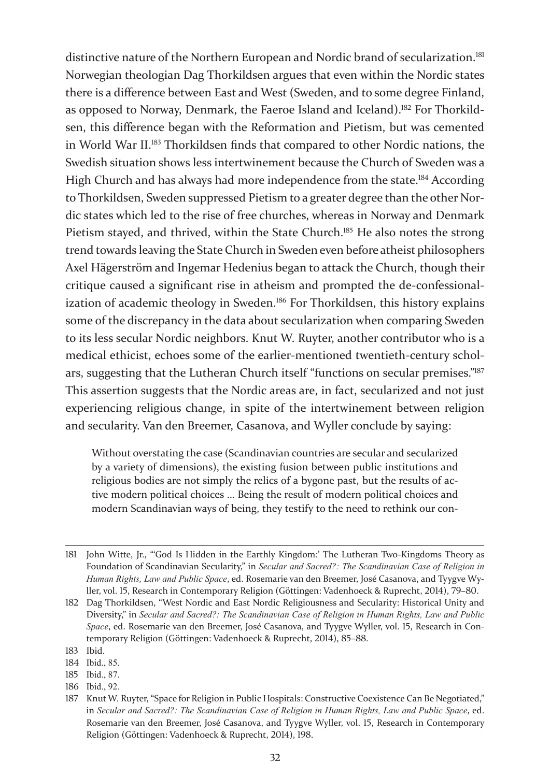distinctive nature of the Northern European and Nordic brand of secularization.<sup>181</sup> Norwegian theologian Dag Thorkildsen argues that even within the Nordic states there is a difference between East and West (Sweden, and to some degree Finland, as opposed to Norway, Denmark, the Faeroe Island and Iceland).182 For Thorkildsen, this difference began with the Reformation and Pietism, but was cemented in World War II.183 Thorkildsen finds that compared to other Nordic nations, the Swedish situation shows less intertwinement because the Church of Sweden was a High Church and has always had more independence from the state.<sup>184</sup> According to Thorkildsen, Sweden suppressed Pietism to a greater degree than the other Nordic states which led to the rise of free churches, whereas in Norway and Denmark Pietism stayed, and thrived, within the State Church.<sup>185</sup> He also notes the strong trend towards leaving the State Church in Sweden even before atheist philosophers Axel Hägerström and Ingemar Hedenius began to attack the Church, though their critique caused a significant rise in atheism and prompted the de-confessionalization of academic theology in Sweden.<sup>186</sup> For Thorkildsen, this history explains some of the discrepancy in the data about secularization when comparing Sweden to its less secular Nordic neighbors. Knut W. Ruyter, another contributor who is a medical ethicist, echoes some of the earlier-mentioned twentieth-century scholars, suggesting that the Lutheran Church itself "functions on secular premises."187 This assertion suggests that the Nordic areas are, in fact, secularized and not just experiencing religious change, in spite of the intertwinement between religion and secularity. Van den Breemer, Casanova, and Wyller conclude by saying:

Without overstating the case (Scandinavian countries are secular and secularized by a variety of dimensions), the existing fusion between public institutions and religious bodies are not simply the relics of a bygone past, but the results of active modern political choices … Being the result of modern political choices and modern Scandinavian ways of being, they testify to the need to rethink our con-

186 Ibid., 92.

<sup>181</sup> John Witte, Jr., "'God Is Hidden in the Earthly Kingdom:' The Lutheran Two-Kingdoms Theory as Foundation of Scandinavian Secularity," in *Secular and Sacred?: The Scandinavian Case of Religion in Human Rights, Law and Public Space*, ed. Rosemarie van den Breemer, José Casanova, and Tyygve Wyller, vol. 15, Research in Contemporary Religion (Göttingen: Vadenhoeck & Ruprecht, 2014), 79–80.

<sup>182</sup> Dag Thorkildsen, "West Nordic and East Nordic Religiousness and Secularity: Historical Unity and Diversity," in *Secular and Sacred?: The Scandinavian Case of Religion in Human Rights, Law and Public Space*, ed. Rosemarie van den Breemer, José Casanova, and Tyygve Wyller, vol. 15, Research in Contemporary Religion (Göttingen: Vadenhoeck & Ruprecht, 2014), 85–88.

<sup>183</sup> Ibid.

<sup>184</sup> Ibid., 85.

<sup>185</sup> Ibid., 87.

<sup>187</sup> Knut W. Ruyter, "Space for Religion in Public Hospitals: Constructive Coexistence Can Be Negotiated," in *Secular and Sacred?: The Scandinavian Case of Religion in Human Rights, Law and Public Space*, ed. Rosemarie van den Breemer, José Casanova, and Tyygve Wyller, vol. 15, Research in Contemporary Religion (Göttingen: Vadenhoeck & Ruprecht, 2014), 198.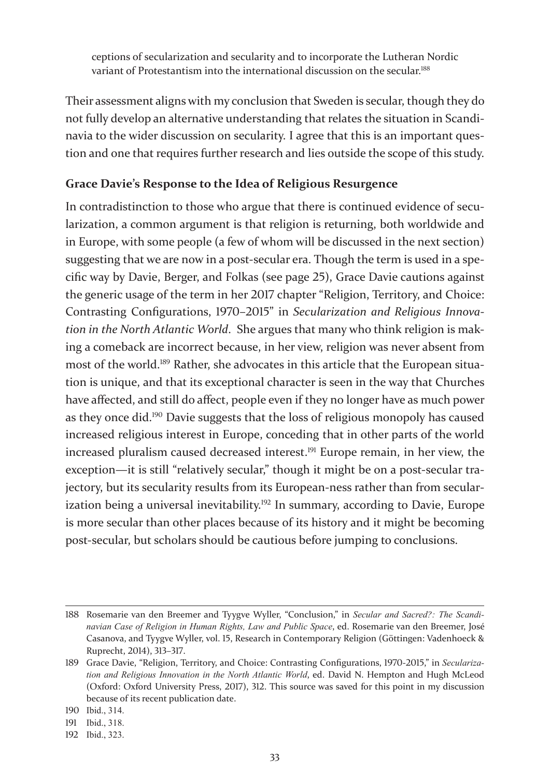ceptions of secularization and secularity and to incorporate the Lutheran Nordic variant of Protestantism into the international discussion on the secular.<sup>188</sup>

Their assessment aligns with my conclusion that Sweden is secular, though they do not fully develop an alternative understanding that relates the situation in Scandinavia to the wider discussion on secularity. I agree that this is an important question and one that requires further research and lies outside the scope of this study.

### **Grace Davie's Response to the Idea of Religious Resurgence**

In contradistinction to those who argue that there is continued evidence of secularization, a common argument is that religion is returning, both worldwide and in Europe, with some people (a few of whom will be discussed in the next section) suggesting that we are now in a post-secular era. Though the term is used in a specific way by Davie, Berger, and Folkas (see page 25), Grace Davie cautions against the generic usage of the term in her 2017 chapter "Religion, Territory, and Choice: Contrasting Configurations, 1970–2015" in *Secularization and Religious Innovation in the North Atlantic World*. She argues that many who think religion is making a comeback are incorrect because, in her view, religion was never absent from most of the world.189 Rather, she advocates in this article that the European situation is unique, and that its exceptional character is seen in the way that Churches have affected, and still do affect, people even if they no longer have as much power as they once did.190 Davie suggests that the loss of religious monopoly has caused increased religious interest in Europe, conceding that in other parts of the world increased pluralism caused decreased interest.<sup>191</sup> Europe remain, in her view, the exception—it is still "relatively secular," though it might be on a post-secular trajectory, but its secularity results from its European-ness rather than from secularization being a universal inevitability.<sup>192</sup> In summary, according to Davie, Europe is more secular than other places because of its history and it might be becoming post-secular, but scholars should be cautious before jumping to conclusions.

<sup>188</sup> Rosemarie van den Breemer and Tyygve Wyller, "Conclusion," in *Secular and Sacred?: The Scandinavian Case of Religion in Human Rights, Law and Public Space*, ed. Rosemarie van den Breemer, José Casanova, and Tyygve Wyller, vol. 15, Research in Contemporary Religion (Göttingen: Vadenhoeck & Ruprecht, 2014), 313–317.

<sup>189</sup> Grace Davie, "Religion, Territory, and Choice: Contrasting Configurations, 1970-2015," in *Secularization and Religious Innovation in the North Atlantic World*, ed. David N. Hempton and Hugh McLeod (Oxford: Oxford University Press, 2017), 312. This source was saved for this point in my discussion because of its recent publication date.

<sup>190</sup> Ibid., 314.

<sup>191</sup> Ibid., 318.

<sup>192</sup> Ibid., 323.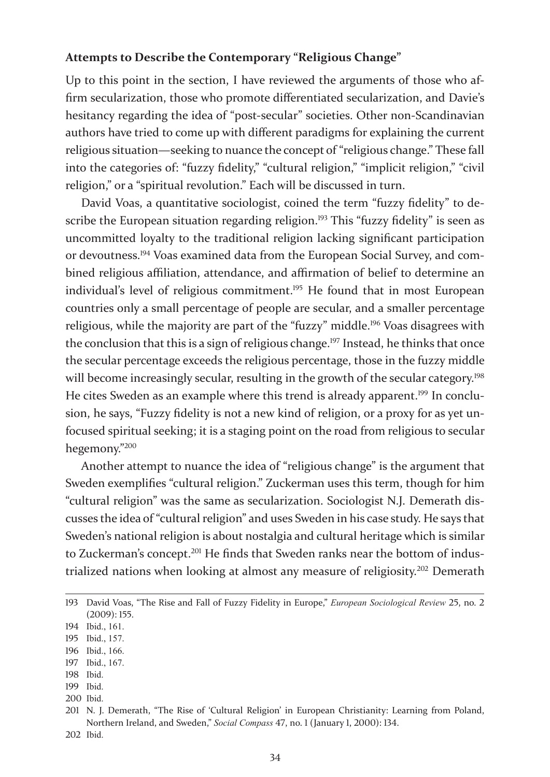### **Attempts to Describe the Contemporary "Religious Change"**

Up to this point in the section, I have reviewed the arguments of those who affirm secularization, those who promote differentiated secularization, and Davie's hesitancy regarding the idea of "post-secular" societies. Other non-Scandinavian authors have tried to come up with different paradigms for explaining the current religious situation—seeking to nuance the concept of "religious change." These fall into the categories of: "fuzzy fidelity," "cultural religion," "implicit religion," "civil religion," or a "spiritual revolution." Each will be discussed in turn.

David Voas, a quantitative sociologist, coined the term "fuzzy fidelity" to describe the European situation regarding religion.<sup>193</sup> This "fuzzy fidelity" is seen as uncommitted loyalty to the traditional religion lacking significant participation or devoutness.194 Voas examined data from the European Social Survey, and combined religious affiliation, attendance, and affirmation of belief to determine an individual's level of religious commitment.<sup>195</sup> He found that in most European countries only a small percentage of people are secular, and a smaller percentage religious, while the majority are part of the "fuzzy" middle.196 Voas disagrees with the conclusion that this is a sign of religious change.<sup>197</sup> Instead, he thinks that once the secular percentage exceeds the religious percentage, those in the fuzzy middle will become increasingly secular, resulting in the growth of the secular category.<sup>198</sup> He cites Sweden as an example where this trend is already apparent.<sup>199</sup> In conclusion, he says, "Fuzzy fidelity is not a new kind of religion, or a proxy for as yet unfocused spiritual seeking; it is a staging point on the road from religious to secular hegemony."<sup>200</sup>

Another attempt to nuance the idea of "religious change" is the argument that Sweden exemplifies "cultural religion." Zuckerman uses this term, though for him "cultural religion" was the same as secularization. Sociologist N.J. Demerath discusses the idea of "cultural religion" and uses Sweden in his case study. He says that Sweden's national religion is about nostalgia and cultural heritage which is similar to Zuckerman's concept.<sup>201</sup> He finds that Sweden ranks near the bottom of industrialized nations when looking at almost any measure of religiosity.202 Demerath

- 196 Ibid., 166.
- 197 Ibid., 167.
- 198 Ibid.
- 199 Ibid.
- 200 Ibid.

<sup>193</sup> David Voas, "The Rise and Fall of Fuzzy Fidelity in Europe," *European Sociological Review* 25, no. 2 (2009): 155.

<sup>194</sup> Ibid., 161.

<sup>195</sup> Ibid., 157.

<sup>201</sup> N. J. Demerath, "The Rise of 'Cultural Religion' in European Christianity: Learning from Poland, Northern Ireland, and Sweden," *Social Compass* 47, no. 1 (January 1, 2000): 134. 202 Ibid.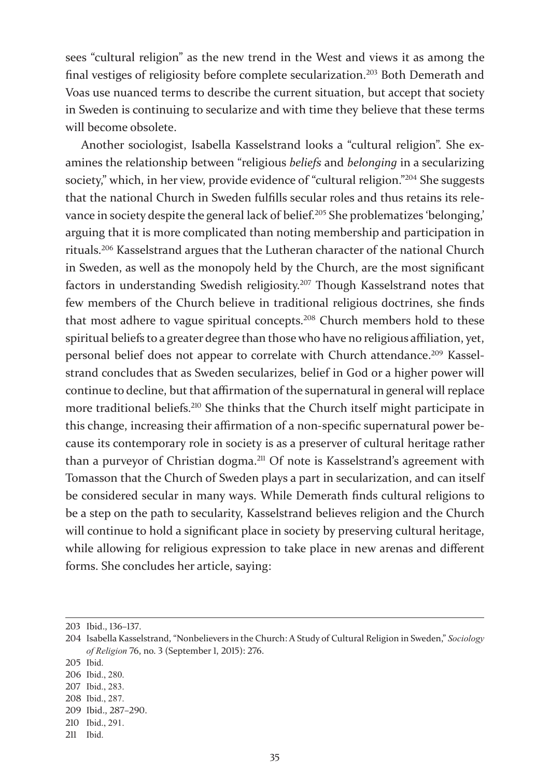sees "cultural religion" as the new trend in the West and views it as among the final vestiges of religiosity before complete secularization.203 Both Demerath and Voas use nuanced terms to describe the current situation, but accept that society in Sweden is continuing to secularize and with time they believe that these terms will become obsolete.

Another sociologist, Isabella Kasselstrand looks a "cultural religion". She examines the relationship between "religious *beliefs* and *belonging* in a secularizing society," which, in her view, provide evidence of "cultural religion."<sup>204</sup> She suggests that the national Church in Sweden fulfills secular roles and thus retains its relevance in society despite the general lack of belief.<sup>205</sup> She problematizes 'belonging,' arguing that it is more complicated than noting membership and participation in rituals.206 Kasselstrand argues that the Lutheran character of the national Church in Sweden, as well as the monopoly held by the Church, are the most significant factors in understanding Swedish religiosity.207 Though Kasselstrand notes that few members of the Church believe in traditional religious doctrines, she finds that most adhere to vague spiritual concepts.208 Church members hold to these spiritual beliefs to a greater degree than those who have no religious affiliation, yet, personal belief does not appear to correlate with Church attendance.<sup>209</sup> Kasselstrand concludes that as Sweden secularizes, belief in God or a higher power will continue to decline, but that affirmation of the supernatural in general will replace more traditional beliefs.<sup>210</sup> She thinks that the Church itself might participate in this change, increasing their affirmation of a non-specific supernatural power because its contemporary role in society is as a preserver of cultural heritage rather than a purveyor of Christian dogma.211 Of note is Kasselstrand's agreement with Tomasson that the Church of Sweden plays a part in secularization, and can itself be considered secular in many ways. While Demerath finds cultural religions to be a step on the path to secularity, Kasselstrand believes religion and the Church will continue to hold a significant place in society by preserving cultural heritage, while allowing for religious expression to take place in new arenas and different forms. She concludes her article, saying:

<sup>203</sup> Ibid., 136–137.

<sup>204</sup> Isabella Kasselstrand, "Nonbelievers in the Church: A Study of Cultural Religion in Sweden," *Sociology of Religion* 76, no. 3 (September 1, 2015): 276.

<sup>205</sup> Ibid.

<sup>206</sup> Ibid., 280.

<sup>207</sup> Ibid., 283.

<sup>208</sup> Ibid., 287.

<sup>209</sup> Ibid., 287–290.

<sup>210</sup> Ibid., 291.

<sup>211</sup> Ibid.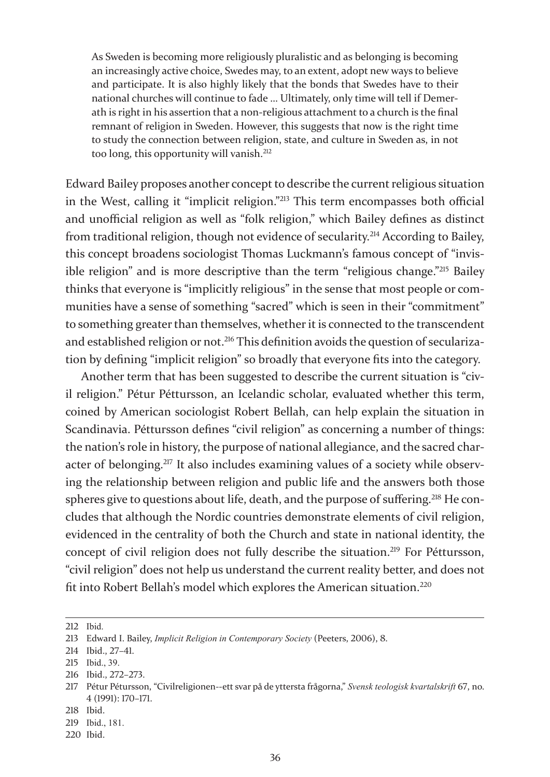As Sweden is becoming more religiously pluralistic and as belonging is becoming an increasingly active choice, Swedes may, to an extent, adopt new ways to believe and participate. It is also highly likely that the bonds that Swedes have to their national churches will continue to fade … Ultimately, only time will tell if Demerath is right in his assertion that a non-religious attachment to a church is the final remnant of religion in Sweden. However, this suggests that now is the right time to study the connection between religion, state, and culture in Sweden as, in not too long, this opportunity will vanish.<sup>212</sup>

Edward Bailey proposes another concept to describe the current religious situation in the West, calling it "implicit religion."213 This term encompasses both official and unofficial religion as well as "folk religion," which Bailey defines as distinct from traditional religion, though not evidence of secularity.214 According to Bailey, this concept broadens sociologist Thomas Luckmann's famous concept of "invisible religion" and is more descriptive than the term "religious change."215 Bailey thinks that everyone is "implicitly religious" in the sense that most people or communities have a sense of something "sacred" which is seen in their "commitment" to something greater than themselves, whether it is connected to the transcendent and established religion or not.<sup>216</sup> This definition avoids the question of secularization by defining "implicit religion" so broadly that everyone fits into the category.

Another term that has been suggested to describe the current situation is "civil religion." Pétur Péttursson, an Icelandic scholar, evaluated whether this term, coined by American sociologist Robert Bellah, can help explain the situation in Scandinavia. Péttursson defines "civil religion" as concerning a number of things: the nation's role in history, the purpose of national allegiance, and the sacred character of belonging.<sup>217</sup> It also includes examining values of a society while observing the relationship between religion and public life and the answers both those spheres give to questions about life, death, and the purpose of suffering.<sup>218</sup> He concludes that although the Nordic countries demonstrate elements of civil religion, evidenced in the centrality of both the Church and state in national identity, the concept of civil religion does not fully describe the situation.<sup>219</sup> For Péttursson, "civil religion" does not help us understand the current reality better, and does not fit into Robert Bellah's model which explores the American situation.220

<sup>212</sup> Ibid.

<sup>213</sup> Edward I. Bailey, *Implicit Religion in Contemporary Society* (Peeters, 2006), 8.

<sup>214</sup> Ibid., 27–41.

<sup>215</sup> Ibid., 39.

<sup>216</sup> Ibid., 272–273.

<sup>217</sup> Pétur Pétursson, "Civilreligionen--ett svar på de yttersta frågorna," *Svensk teologisk kvartalskrift* 67, no. 4 (1991): 170–171.

<sup>218</sup> Ibid.

<sup>219</sup> Ibid., 181.

<sup>220</sup> Ibid.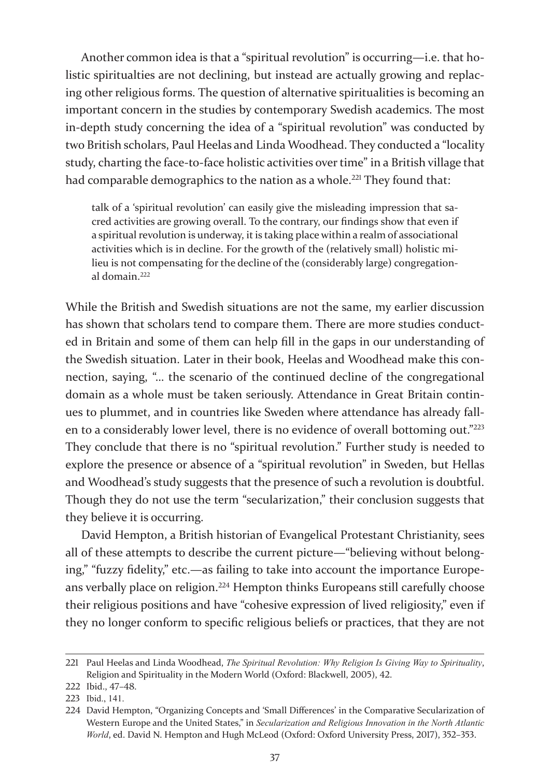Another common idea is that a "spiritual revolution" is occurring—i.e. that holistic spiritualties are not declining, but instead are actually growing and replacing other religious forms. The question of alternative spiritualities is becoming an important concern in the studies by contemporary Swedish academics. The most in-depth study concerning the idea of a "spiritual revolution" was conducted by two British scholars, Paul Heelas and Linda Woodhead. They conducted a "locality study, charting the face-to-face holistic activities over time" in a British village that had comparable demographics to the nation as a whole.<sup>221</sup> They found that:

talk of a 'spiritual revolution' can easily give the misleading impression that sacred activities are growing overall. To the contrary, our findings show that even if a spiritual revolution is underway, it is taking place within a realm of associational activities which is in decline. For the growth of the (relatively small) holistic milieu is not compensating for the decline of the (considerably large) congregational domain.<sup>222</sup>

While the British and Swedish situations are not the same, my earlier discussion has shown that scholars tend to compare them. There are more studies conducted in Britain and some of them can help fill in the gaps in our understanding of the Swedish situation. Later in their book, Heelas and Woodhead make this connection, saying, "… the scenario of the continued decline of the congregational domain as a whole must be taken seriously. Attendance in Great Britain continues to plummet, and in countries like Sweden where attendance has already fallen to a considerably lower level, there is no evidence of overall bottoming out."<sup>223</sup> They conclude that there is no "spiritual revolution." Further study is needed to explore the presence or absence of a "spiritual revolution" in Sweden, but Hellas and Woodhead's study suggests that the presence of such a revolution is doubtful. Though they do not use the term "secularization," their conclusion suggests that they believe it is occurring.

David Hempton, a British historian of Evangelical Protestant Christianity, sees all of these attempts to describe the current picture—"believing without belonging," "fuzzy fidelity," etc.—as failing to take into account the importance Europeans verbally place on religion.224 Hempton thinks Europeans still carefully choose their religious positions and have "cohesive expression of lived religiosity," even if they no longer conform to specific religious beliefs or practices, that they are not

<sup>221</sup> Paul Heelas and Linda Woodhead, *The Spiritual Revolution: Why Religion Is Giving Way to Spirituality*, Religion and Spirituality in the Modern World (Oxford: Blackwell, 2005), 42.

<sup>222</sup> Ibid., 47–48.

<sup>223</sup> Ibid., 141.

<sup>224</sup> David Hempton, "Organizing Concepts and 'Small Differences' in the Comparative Secularization of Western Europe and the United States," in *Secularization and Religious Innovation in the North Atlantic World*, ed. David N. Hempton and Hugh McLeod (Oxford: Oxford University Press, 2017), 352–353.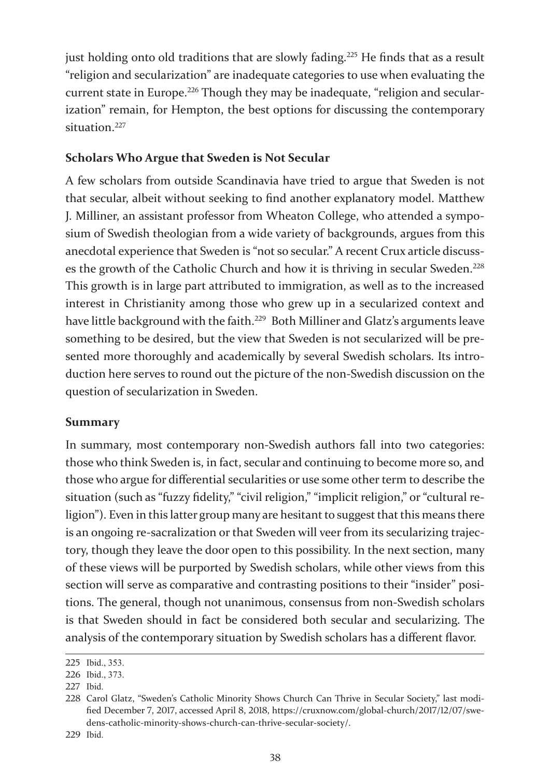just holding onto old traditions that are slowly fading.<sup>225</sup> He finds that as a result "religion and secularization" are inadequate categories to use when evaluating the current state in Europe.<sup>226</sup> Though they may be inadequate, "religion and secularization" remain, for Hempton, the best options for discussing the contemporary situation.<sup>227</sup>

# **Scholars Who Argue that Sweden is Not Secular**

A few scholars from outside Scandinavia have tried to argue that Sweden is not that secular, albeit without seeking to find another explanatory model. Matthew J. Milliner, an assistant professor from Wheaton College, who attended a symposium of Swedish theologian from a wide variety of backgrounds, argues from this anecdotal experience that Sweden is "not so secular." A recent Crux article discusses the growth of the Catholic Church and how it is thriving in secular Sweden.<sup>228</sup> This growth is in large part attributed to immigration, as well as to the increased interest in Christianity among those who grew up in a secularized context and have little background with the faith.<sup>229</sup> Both Milliner and Glatz's arguments leave something to be desired, but the view that Sweden is not secularized will be presented more thoroughly and academically by several Swedish scholars. Its introduction here serves to round out the picture of the non-Swedish discussion on the question of secularization in Sweden.

## **Summary**

In summary, most contemporary non-Swedish authors fall into two categories: those who think Sweden is, in fact, secular and continuing to become more so, and those who argue for differential secularities or use some other term to describe the situation (such as "fuzzy fidelity," "civil religion," "implicit religion," or "cultural religion"). Even in this latter group many are hesitant to suggest that this means there is an ongoing re-sacralization or that Sweden will veer from its secularizing trajectory, though they leave the door open to this possibility. In the next section, many of these views will be purported by Swedish scholars, while other views from this section will serve as comparative and contrasting positions to their "insider" positions. The general, though not unanimous, consensus from non-Swedish scholars is that Sweden should in fact be considered both secular and secularizing. The analysis of the contemporary situation by Swedish scholars has a different flavor.

<sup>225</sup> Ibid., 353.

<sup>226</sup> Ibid., 373.

<sup>227</sup> Ibid.

<sup>228</sup> Carol Glatz, "Sweden's Catholic Minority Shows Church Can Thrive in Secular Society," last modified December 7, 2017, accessed April 8, 2018, https://cruxnow.com/global-church/2017/12/07/swedens-catholic-minority-shows-church-can-thrive-secular-society/.

<sup>229</sup> Ibid.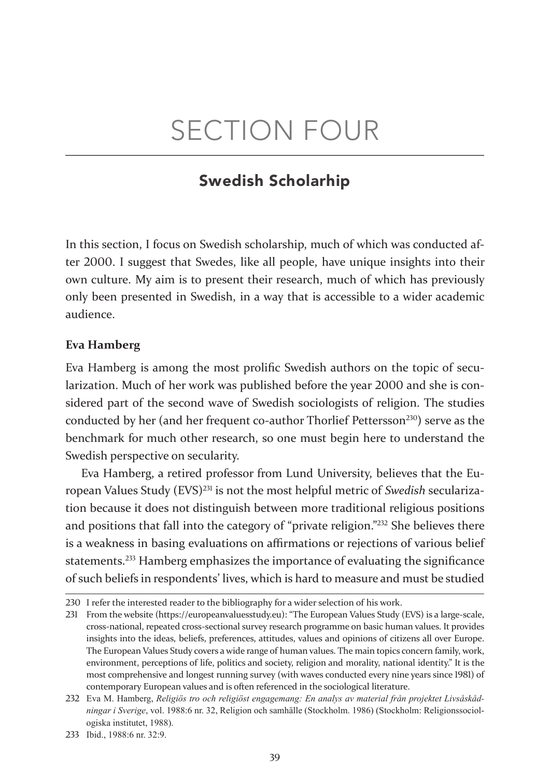# SECTION FOUR

# Swedish Scholarhip

In this section, I focus on Swedish scholarship, much of which was conducted after 2000. I suggest that Swedes, like all people, have unique insights into their own culture. My aim is to present their research, much of which has previously only been presented in Swedish, in a way that is accessible to a wider academic audience.

#### **Eva Hamberg**

Eva Hamberg is among the most prolific Swedish authors on the topic of secularization. Much of her work was published before the year 2000 and she is considered part of the second wave of Swedish sociologists of religion. The studies conducted by her (and her frequent co-author Thorlief Pettersson<sup>230</sup>) serve as the benchmark for much other research, so one must begin here to understand the Swedish perspective on secularity.

Eva Hamberg, a retired professor from Lund University, believes that the European Values Study (EVS)231 is not the most helpful metric of *Swedish* secularization because it does not distinguish between more traditional religious positions and positions that fall into the category of "private religion."232 She believes there is a weakness in basing evaluations on affirmations or rejections of various belief statements.233 Hamberg emphasizes the importance of evaluating the significance of such beliefs in respondents' lives, which is hard to measure and must be studied

<sup>230</sup> I refer the interested reader to the bibliography for a wider selection of his work.

<sup>231</sup> From the website (https://europeanvaluesstudy.eu): "The European Values Study (EVS) is a large-scale, cross-national, repeated cross-sectional survey research programme on basic human values. It provides insights into the ideas, beliefs, preferences, attitudes, values and opinions of citizens all over Europe. The European Values Study covers a wide range of human values. The main topics concern family, work, environment, perceptions of life, politics and society, religion and morality, national identity." It is the most comprehensive and longest running survey (with waves conducted every nine years since 1981) of contemporary European values and is often referenced in the sociological literature.

<sup>232</sup> Eva M. Hamberg, *Religiös tro och religiöst engagemang: En analys av material från projektet Livsåskådningar i Sverige*, vol. 1988:6 nr. 32, Religion och samhälle (Stockholm. 1986) (Stockholm: Religionssociologiska institutet, 1988).

<sup>233</sup> Ibid., 1988:6 nr. 32:9.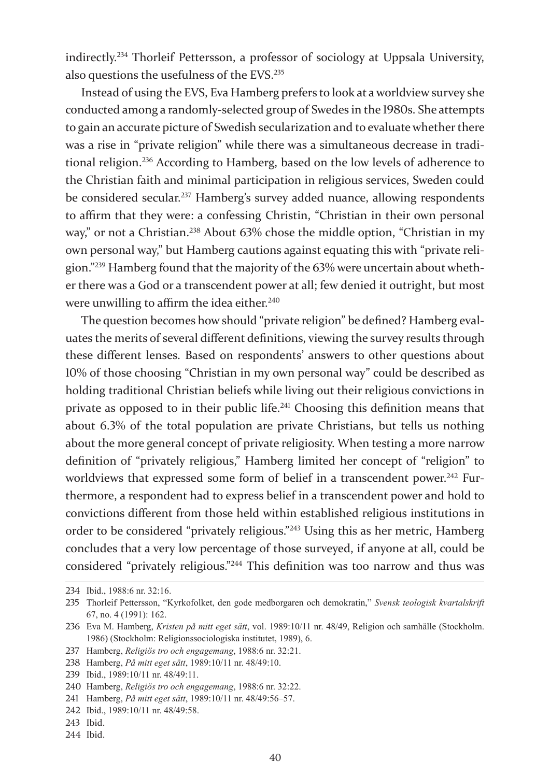indirectly.234 Thorleif Pettersson, a professor of sociology at Uppsala University, also questions the usefulness of the EVS.<sup>235</sup>

Instead of using the EVS, Eva Hamberg prefers to look at a worldview survey she conducted among a randomly-selected group of Swedes in the 1980s. She attempts to gain an accurate picture of Swedish secularization and to evaluate whether there was a rise in "private religion" while there was a simultaneous decrease in traditional religion.236 According to Hamberg, based on the low levels of adherence to the Christian faith and minimal participation in religious services, Sweden could be considered secular.<sup>237</sup> Hamberg's survey added nuance, allowing respondents to affirm that they were: a confessing Christin, "Christian in their own personal way," or not a Christian.<sup>238</sup> About 63% chose the middle option, "Christian in my own personal way," but Hamberg cautions against equating this with "private religion."239 Hamberg found that the majority of the 63% were uncertain about whether there was a God or a transcendent power at all; few denied it outright, but most were unwilling to affirm the idea either.<sup>240</sup>

The question becomes how should "private religion" be defined? Hamberg evaluates the merits of several different definitions, viewing the survey results through these different lenses. Based on respondents' answers to other questions about 10% of those choosing "Christian in my own personal way" could be described as holding traditional Christian beliefs while living out their religious convictions in private as opposed to in their public life.241 Choosing this definition means that about 6.3% of the total population are private Christians, but tells us nothing about the more general concept of private religiosity. When testing a more narrow definition of "privately religious," Hamberg limited her concept of "religion" to worldviews that expressed some form of belief in a transcendent power.<sup>242</sup> Furthermore, a respondent had to express belief in a transcendent power and hold to convictions different from those held within established religious institutions in order to be considered "privately religious."243 Using this as her metric, Hamberg concludes that a very low percentage of those surveyed, if anyone at all, could be considered "privately religious."244 This definition was too narrow and thus was

<sup>234</sup> Ibid., 1988:6 nr. 32:16.

<sup>235</sup> Thorleif Pettersson, "Kyrkofolket, den gode medborgaren och demokratin," *Svensk teologisk kvartalskrift* 67, no. 4 (1991): 162.

<sup>236</sup> Eva M. Hamberg, *Kristen på mitt eget sätt*, vol. 1989:10/11 nr. 48/49, Religion och samhälle (Stockholm. 1986) (Stockholm: Religionssociologiska institutet, 1989), 6.

<sup>237</sup> Hamberg, *Religiös tro och engagemang*, 1988:6 nr. 32:21.

<sup>238</sup> Hamberg, *På mitt eget sätt*, 1989:10/11 nr. 48/49:10.

<sup>239</sup> Ibid., 1989:10/11 nr. 48/49:11.

<sup>240</sup> Hamberg, *Religiös tro och engagemang*, 1988:6 nr. 32:22.

<sup>241</sup> Hamberg, *På mitt eget sätt*, 1989:10/11 nr. 48/49:56–57.

<sup>242</sup> Ibid., 1989:10/11 nr. 48/49:58.

<sup>243</sup> Ibid.

<sup>244</sup> Ibid.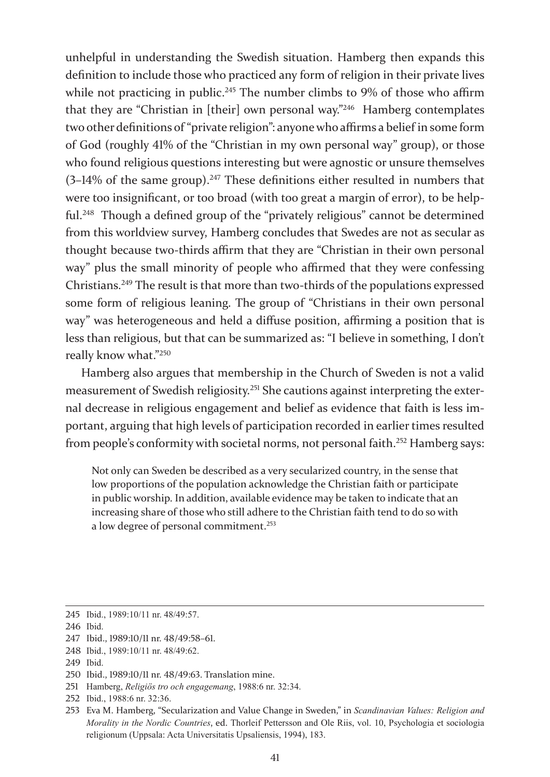unhelpful in understanding the Swedish situation. Hamberg then expands this definition to include those who practiced any form of religion in their private lives while not practicing in public.<sup>245</sup> The number climbs to 9% of those who affirm that they are "Christian in [their] own personal way."246 Hamberg contemplates two other definitions of "private religion": anyone who affirms a belief in some form of God (roughly 41% of the "Christian in my own personal way" group), or those who found religious questions interesting but were agnostic or unsure themselves  $(3-14\% \text{ of the same group})$ .<sup>247</sup> These definitions either resulted in numbers that were too insignificant, or too broad (with too great a margin of error), to be helpful.<sup>248</sup> Though a defined group of the "privately religious" cannot be determined from this worldview survey, Hamberg concludes that Swedes are not as secular as thought because two-thirds affirm that they are "Christian in their own personal way" plus the small minority of people who affirmed that they were confessing Christians.249 The result is that more than two-thirds of the populations expressed some form of religious leaning. The group of "Christians in their own personal way" was heterogeneous and held a diffuse position, affirming a position that is less than religious, but that can be summarized as: "I believe in something, I don't really know what."<sup>250</sup>

Hamberg also argues that membership in the Church of Sweden is not a valid measurement of Swedish religiosity.251 She cautions against interpreting the external decrease in religious engagement and belief as evidence that faith is less important, arguing that high levels of participation recorded in earlier times resulted from people's conformity with societal norms, not personal faith.252 Hamberg says:

Not only can Sweden be described as a very secularized country, in the sense that low proportions of the population acknowledge the Christian faith or participate in public worship. In addition, available evidence may be taken to indicate that an increasing share of those who still adhere to the Christian faith tend to do so with a low degree of personal commitment.<sup>253</sup>

<sup>245</sup> Ibid., 1989:10/11 nr. 48/49:57.

<sup>246</sup> Ibid.

<sup>247</sup> Ibid., 1989:10/11 nr. 48/49:58–61.

<sup>248</sup> Ibid., 1989:10/11 nr. 48/49:62.

<sup>249</sup> Ibid.

<sup>250</sup> Ibid., 1989:10/11 nr. 48/49:63. Translation mine.

<sup>251</sup> Hamberg, *Religiös tro och engagemang*, 1988:6 nr. 32:34.

<sup>252</sup> Ibid., 1988:6 nr. 32:36.

<sup>253</sup> Eva M. Hamberg, "Secularization and Value Change in Sweden," in *Scandinavian Values: Religion and Morality in the Nordic Countries*, ed. Thorleif Pettersson and Ole Riis, vol. 10, Psychologia et sociologia religionum (Uppsala: Acta Universitatis Upsaliensis, 1994), 183.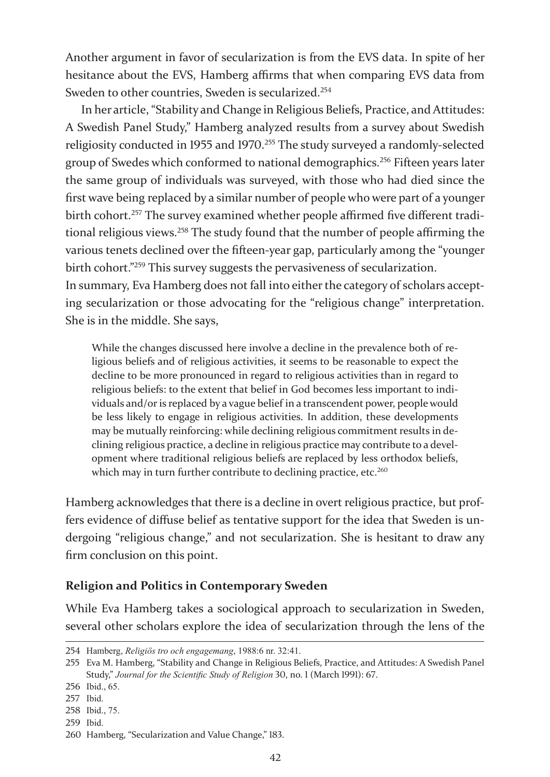Another argument in favor of secularization is from the EVS data. In spite of her hesitance about the EVS, Hamberg affirms that when comparing EVS data from Sweden to other countries, Sweden is secularized.<sup>254</sup>

In her article, "Stability and Change in Religious Beliefs, Practice, and Attitudes: A Swedish Panel Study," Hamberg analyzed results from a survey about Swedish religiosity conducted in 1955 and 1970.255 The study surveyed a randomly-selected group of Swedes which conformed to national demographics.256 Fifteen years later the same group of individuals was surveyed, with those who had died since the first wave being replaced by a similar number of people who were part of a younger birth cohort.<sup>257</sup> The survey examined whether people affirmed five different traditional religious views.258 The study found that the number of people affirming the various tenets declined over the fifteen-year gap, particularly among the "younger birth cohort."259 This survey suggests the pervasiveness of secularization. In summary, Eva Hamberg does not fall into either the category of scholars accept-

ing secularization or those advocating for the "religious change" interpretation. She is in the middle. She says,

While the changes discussed here involve a decline in the prevalence both of religious beliefs and of religious activities, it seems to be reasonable to expect the decline to be more pronounced in regard to religious activities than in regard to religious beliefs: to the extent that belief in God becomes less important to individuals and/or is replaced by a vague belief in a transcendent power, people would be less likely to engage in religious activities. In addition, these developments may be mutually reinforcing: while declining religious commitment results in declining religious practice, a decline in religious practice may contribute to a development where traditional religious beliefs are replaced by less orthodox beliefs, which may in turn further contribute to declining practice, etc.<sup>260</sup>

Hamberg acknowledges that there is a decline in overt religious practice, but proffers evidence of diffuse belief as tentative support for the idea that Sweden is undergoing "religious change," and not secularization. She is hesitant to draw any firm conclusion on this point.

# **Religion and Politics in Contemporary Sweden**

While Eva Hamberg takes a sociological approach to secularization in Sweden, several other scholars explore the idea of secularization through the lens of the

<sup>254</sup> Hamberg, *Religiös tro och engagemang*, 1988:6 nr. 32:41.

<sup>255</sup> Eva M. Hamberg, "Stability and Change in Religious Beliefs, Practice, and Attitudes: A Swedish Panel Study," *Journal for the Scientific Study of Religion* 30, no. 1 (March 1991): 67.

<sup>256</sup> Ibid., 65.

<sup>257</sup> Ibid.

<sup>258</sup> Ibid., 75.

<sup>259</sup> Ibid.

<sup>260</sup> Hamberg, "Secularization and Value Change," 183.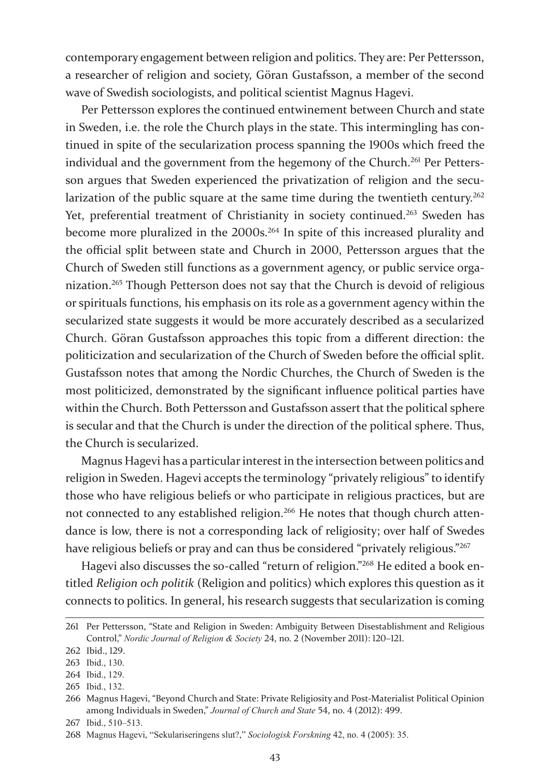contemporary engagement between religion and politics. They are: Per Pettersson, a researcher of religion and society, Göran Gustafsson, a member of the second wave of Swedish sociologists, and political scientist Magnus Hagevi.

Per Pettersson explores the continued entwinement between Church and state in Sweden, i.e. the role the Church plays in the state. This intermingling has continued in spite of the secularization process spanning the 1900s which freed the individual and the government from the hegemony of the Church.<sup>261</sup> Per Pettersson argues that Sweden experienced the privatization of religion and the secularization of the public square at the same time during the twentieth century.<sup>262</sup> Yet, preferential treatment of Christianity in society continued.<sup>263</sup> Sweden has become more pluralized in the 2000s.<sup>264</sup> In spite of this increased plurality and the official split between state and Church in 2000, Pettersson argues that the Church of Sweden still functions as a government agency, or public service organization.265 Though Petterson does not say that the Church is devoid of religious or spirituals functions, his emphasis on its role as a government agency within the secularized state suggests it would be more accurately described as a secularized Church. Göran Gustafsson approaches this topic from a different direction: the politicization and secularization of the Church of Sweden before the official split. Gustafsson notes that among the Nordic Churches, the Church of Sweden is the most politicized, demonstrated by the significant influence political parties have within the Church. Both Pettersson and Gustafsson assert that the political sphere is secular and that the Church is under the direction of the political sphere. Thus, the Church is secularized.

Magnus Hagevi has a particular interest in the intersection between politics and religion in Sweden. Hagevi accepts the terminology "privately religious" to identify those who have religious beliefs or who participate in religious practices, but are not connected to any established religion.<sup>266</sup> He notes that though church attendance is low, there is not a corresponding lack of religiosity; over half of Swedes have religious beliefs or pray and can thus be considered "privately religious."267

Hagevi also discusses the so-called "return of religion."268 He edited a book entitled *Religion och politik* (Religion and politics) which explores this question as it connects to politics. In general, his research suggests that secularization is coming

<sup>261</sup> Per Pettersson, "State and Religion in Sweden: Ambiguity Between Disestablishment and Religious Control," *Nordic Journal of Religion & Society* 24, no. 2 (November 2011): 120–121.

<sup>262</sup> Ibid., 129.

<sup>263</sup> Ibid., 130.

<sup>264</sup> Ibid., 129.

<sup>265</sup> Ibid., 132.

<sup>266</sup> Magnus Hagevi, "Beyond Church and State: Private Religiosity and Post-Materialist Political Opinion among Individuals in Sweden," *Journal of Church and State* 54, no. 4 (2012): 499.

<sup>267</sup> Ibid., 510–513.

<sup>268</sup> Magnus Hagevi, "Sekulariseringens slut?," *Sociologisk Forskning* 42, no. 4 (2005): 35.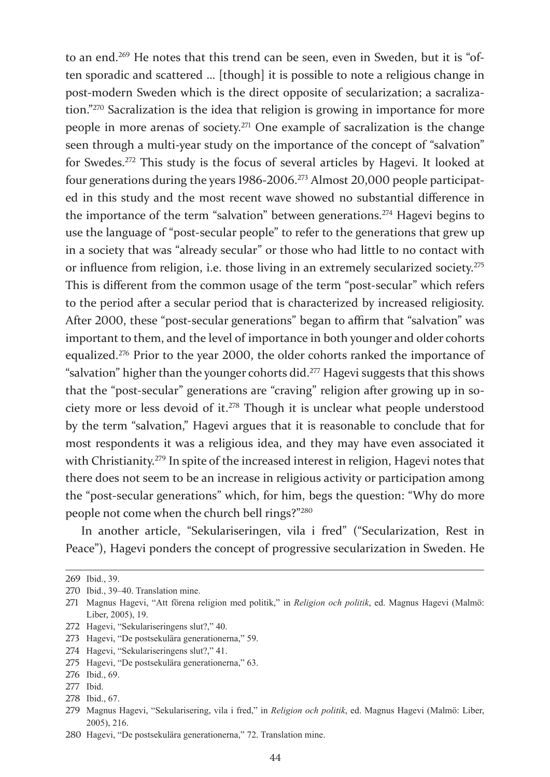to an end.269 He notes that this trend can be seen, even in Sweden, but it is "often sporadic and scattered … [though] it is possible to note a religious change in post-modern Sweden which is the direct opposite of secularization; a sacralization."270 Sacralization is the idea that religion is growing in importance for more people in more arenas of society.271 One example of sacralization is the change seen through a multi-year study on the importance of the concept of "salvation" for Swedes.272 This study is the focus of several articles by Hagevi. It looked at four generations during the years 1986-2006.273 Almost 20,000 people participated in this study and the most recent wave showed no substantial difference in the importance of the term "salvation" between generations.274 Hagevi begins to use the language of "post-secular people" to refer to the generations that grew up in a society that was "already secular" or those who had little to no contact with or influence from religion, i.e. those living in an extremely secularized society.275 This is different from the common usage of the term "post-secular" which refers to the period after a secular period that is characterized by increased religiosity. After 2000, these "post-secular generations" began to affirm that "salvation" was important to them, and the level of importance in both younger and older cohorts equalized.276 Prior to the year 2000, the older cohorts ranked the importance of "salvation" higher than the younger cohorts did.<sup>277</sup> Hagevi suggests that this shows that the "post-secular" generations are "craving" religion after growing up in society more or less devoid of it.278 Though it is unclear what people understood by the term "salvation," Hagevi argues that it is reasonable to conclude that for most respondents it was a religious idea, and they may have even associated it with Christianity.<sup>279</sup> In spite of the increased interest in religion, Hagevi notes that there does not seem to be an increase in religious activity or participation among the "post-secular generations" which, for him, begs the question: "Why do more people not come when the church bell rings?"280

In another article, "Sekulariseringen, vila i fred" ("Secularization, Rest in Peace"), Hagevi ponders the concept of progressive secularization in Sweden. He

272 Hagevi, "Sekulariseringens slut?," 40.

274 Hagevi, "Sekulariseringens slut?," 41.

278 Ibid., 67.

<sup>269</sup> Ibid., 39.

<sup>270</sup> Ibid., 39–40. Translation mine.

<sup>271</sup> Magnus Hagevi, "Att förena religion med politik," in *Religion och politik*, ed. Magnus Hagevi (Malmö: Liber, 2005), 19.

<sup>273</sup> Hagevi, "De postsekulära generationerna," 59.

<sup>275</sup> Hagevi, "De postsekulära generationerna," 63.

<sup>276</sup> Ibid., 69.

<sup>277</sup> Ibid.

<sup>279</sup> Magnus Hagevi, "Sekularisering, vila i fred," in *Religion och politik*, ed. Magnus Hagevi (Malmö: Liber, 2005), 216.

<sup>280</sup> Hagevi, "De postsekulära generationerna," 72. Translation mine.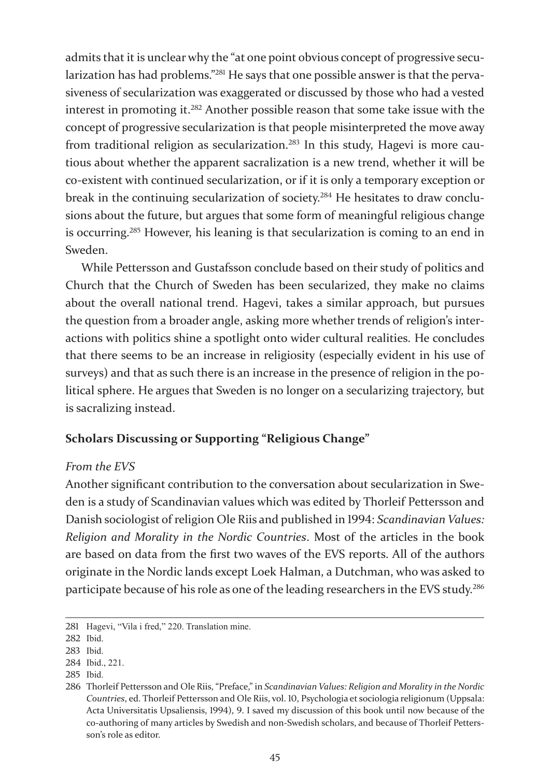admits that it is unclear why the "at one point obvious concept of progressive secularization has had problems."281 He says that one possible answer is that the pervasiveness of secularization was exaggerated or discussed by those who had a vested interest in promoting it.282 Another possible reason that some take issue with the concept of progressive secularization is that people misinterpreted the move away from traditional religion as secularization.<sup>283</sup> In this study, Hagevi is more cautious about whether the apparent sacralization is a new trend, whether it will be co-existent with continued secularization, or if it is only a temporary exception or break in the continuing secularization of society.284 He hesitates to draw conclusions about the future, but argues that some form of meaningful religious change is occurring.285 However, his leaning is that secularization is coming to an end in Sweden.

While Pettersson and Gustafsson conclude based on their study of politics and Church that the Church of Sweden has been secularized, they make no claims about the overall national trend. Hagevi, takes a similar approach, but pursues the question from a broader angle, asking more whether trends of religion's interactions with politics shine a spotlight onto wider cultural realities. He concludes that there seems to be an increase in religiosity (especially evident in his use of surveys) and that as such there is an increase in the presence of religion in the political sphere. He argues that Sweden is no longer on a secularizing trajectory, but is sacralizing instead.

# **Scholars Discussing or Supporting "Religious Change"**

## *From the EVS*

Another significant contribution to the conversation about secularization in Sweden is a study of Scandinavian values which was edited by Thorleif Pettersson and Danish sociologist of religion Ole Riis and published in 1994: *Scandinavian Values: Religion and Morality in the Nordic Countries*. Most of the articles in the book are based on data from the first two waves of the EVS reports. All of the authors originate in the Nordic lands except Loek Halman, a Dutchman, who was asked to participate because of his role as one of the leading researchers in the EVS study.<sup>286</sup>

<sup>281</sup> Hagevi, "Vila i fred," 220. Translation mine.

<sup>282</sup> Ibid.

<sup>283</sup> Ibid.

<sup>284</sup> Ibid., 221.

<sup>285</sup> Ibid.

<sup>286</sup> Thorleif Pettersson and Ole Riis, "Preface," in *Scandinavian Values: Religion and Morality in the Nordic Countries*, ed. Thorleif Pettersson and Ole Riis, vol. 10, Psychologia et sociologia religionum (Uppsala: Acta Universitatis Upsaliensis, 1994), 9. I saved my discussion of this book until now because of the co-authoring of many articles by Swedish and non-Swedish scholars, and because of Thorleif Pettersson's role as editor.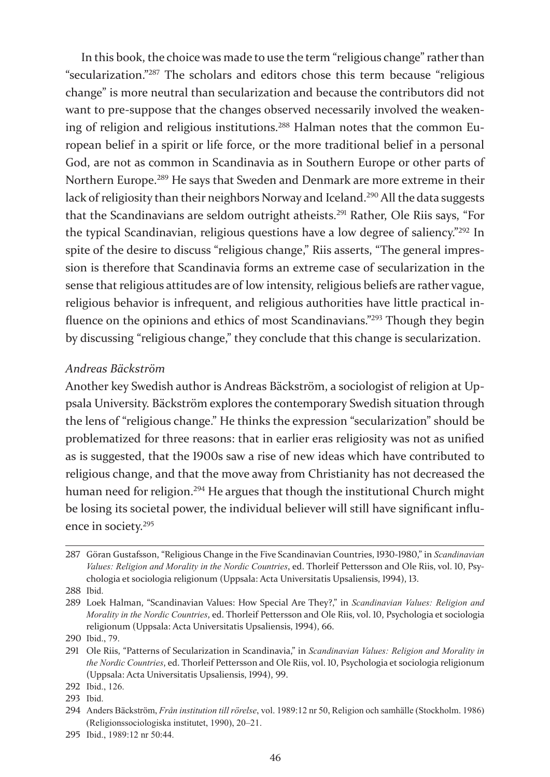In this book, the choice was made to use the term "religious change" rather than "secularization."287 The scholars and editors chose this term because "religious change" is more neutral than secularization and because the contributors did not want to pre-suppose that the changes observed necessarily involved the weakening of religion and religious institutions.<sup>288</sup> Halman notes that the common European belief in a spirit or life force, or the more traditional belief in a personal God, are not as common in Scandinavia as in Southern Europe or other parts of Northern Europe.289 He says that Sweden and Denmark are more extreme in their lack of religiosity than their neighbors Norway and Iceland.<sup>290</sup> All the data suggests that the Scandinavians are seldom outright atheists.291 Rather, Ole Riis says, "For the typical Scandinavian, religious questions have a low degree of saliency."292 In spite of the desire to discuss "religious change," Riis asserts, "The general impression is therefore that Scandinavia forms an extreme case of secularization in the sense that religious attitudes are of low intensity, religious beliefs are rather vague, religious behavior is infrequent, and religious authorities have little practical influence on the opinions and ethics of most Scandinavians."293 Though they begin by discussing "religious change," they conclude that this change is secularization.

#### *Andreas Bäckström*

Another key Swedish author is Andreas Bäckström, a sociologist of religion at Uppsala University. Bäckström explores the contemporary Swedish situation through the lens of "religious change." He thinks the expression "secularization" should be problematized for three reasons: that in earlier eras religiosity was not as unified as is suggested, that the 1900s saw a rise of new ideas which have contributed to religious change, and that the move away from Christianity has not decreased the human need for religion.<sup>294</sup> He argues that though the institutional Church might be losing its societal power, the individual believer will still have significant influence in society.<sup>295</sup>

288 Ibid.

<sup>287</sup> Göran Gustafsson, "Religious Change in the Five Scandinavian Countries, 1930-1980," in *Scandinavian Values: Religion and Morality in the Nordic Countries*, ed. Thorleif Pettersson and Ole Riis, vol. 10, Psychologia et sociologia religionum (Uppsala: Acta Universitatis Upsaliensis, 1994), 13.

<sup>289</sup> Loek Halman, "Scandinavian Values: How Special Are They?," in *Scandinavian Values: Religion and Morality in the Nordic Countries*, ed. Thorleif Pettersson and Ole Riis, vol. 10, Psychologia et sociologia religionum (Uppsala: Acta Universitatis Upsaliensis, 1994), 66.

<sup>290</sup> Ibid., 79.

<sup>291</sup> Ole Riis, "Patterns of Secularization in Scandinavia," in *Scandinavian Values: Religion and Morality in the Nordic Countries*, ed. Thorleif Pettersson and Ole Riis, vol. 10, Psychologia et sociologia religionum (Uppsala: Acta Universitatis Upsaliensis, 1994), 99.

<sup>292</sup> Ibid., 126.

<sup>293</sup> Ibid.

<sup>294</sup> Anders Bäckström, *Från institution till rörelse*, vol. 1989:12 nr 50, Religion och samhälle (Stockholm. 1986) (Religionssociologiska institutet, 1990), 20–21.

<sup>295</sup> Ibid., 1989:12 nr 50:44.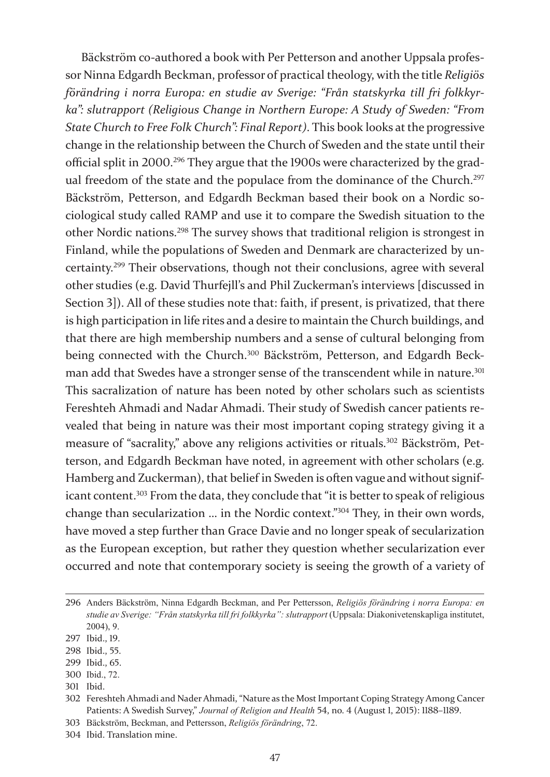Bäckström co-authored a book with Per Petterson and another Uppsala professor Ninna Edgardh Beckman, professor of practical theology, with the title *Religiös förändring i norra Europa: en studie av Sverige: "Från statskyrka till fri folkkyrka": slutrapport (Religious Change in Northern Europe: A Study of Sweden: "From State Church to Free Folk Church": Final Report)*. This book looks at the progressive change in the relationship between the Church of Sweden and the state until their official split in 2000.296 They argue that the 1900s were characterized by the gradual freedom of the state and the populace from the dominance of the Church.<sup>297</sup> Bäckström, Petterson, and Edgardh Beckman based their book on a Nordic sociological study called RAMP and use it to compare the Swedish situation to the other Nordic nations.298 The survey shows that traditional religion is strongest in Finland, while the populations of Sweden and Denmark are characterized by uncertainty.299 Their observations, though not their conclusions, agree with several other studies (e.g. David Thurfejll's and Phil Zuckerman's interviews [discussed in Section 3]). All of these studies note that: faith, if present, is privatized, that there is high participation in life rites and a desire to maintain the Church buildings, and that there are high membership numbers and a sense of cultural belonging from being connected with the Church.<sup>300</sup> Bäckström, Petterson, and Edgardh Beckman add that Swedes have a stronger sense of the transcendent while in nature.<sup>301</sup> This sacralization of nature has been noted by other scholars such as scientists Fereshteh Ahmadi and Nadar Ahmadi. Their study of Swedish cancer patients revealed that being in nature was their most important coping strategy giving it a measure of "sacrality," above any religions activities or rituals.302 Bäckström, Petterson, and Edgardh Beckman have noted, in agreement with other scholars (e.g. Hamberg and Zuckerman), that belief in Sweden is often vague and without significant content.<sup>303</sup> From the data, they conclude that "it is better to speak of religious change than secularization … in the Nordic context."304 They, in their own words, have moved a step further than Grace Davie and no longer speak of secularization as the European exception, but rather they question whether secularization ever occurred and note that contemporary society is seeing the growth of a variety of

- 298 Ibid., 55.
- 299 Ibid., 65.
- 300 Ibid., 72.
- 301 Ibid.

304 Ibid. Translation mine.

<sup>296</sup> Anders Bäckström, Ninna Edgardh Beckman, and Per Pettersson, *Religiös förändring i norra Europa: en studie av Sverige: "Från statskyrka till fri folkkyrka": slutrapport* (Uppsala: Diakonivetenskapliga institutet, 2004), 9.

<sup>297</sup> Ibid., 19.

<sup>302</sup> Fereshteh Ahmadi and Nader Ahmadi, "Nature as the Most Important Coping Strategy Among Cancer Patients: A Swedish Survey," *Journal of Religion and Health* 54, no. 4 (August 1, 2015): 1188–1189.

<sup>303</sup> Bäckström, Beckman, and Pettersson, *Religiös förändring*, 72.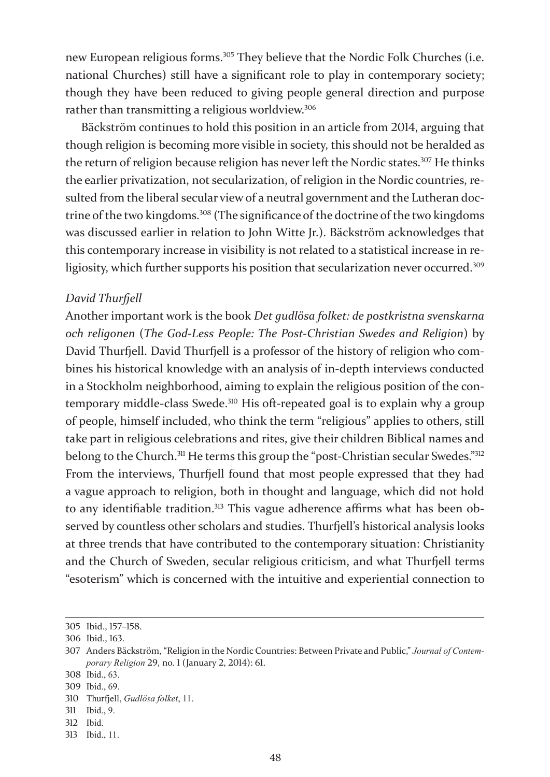new European religious forms.<sup>305</sup> They believe that the Nordic Folk Churches (i.e. national Churches) still have a significant role to play in contemporary society; though they have been reduced to giving people general direction and purpose rather than transmitting a religious worldview.<sup>306</sup>

Bäckström continues to hold this position in an article from 2014, arguing that though religion is becoming more visible in society, this should not be heralded as the return of religion because religion has never left the Nordic states.<sup>307</sup> He thinks the earlier privatization, not secularization, of religion in the Nordic countries, resulted from the liberal secular view of a neutral government and the Lutheran doctrine of the two kingdoms.<sup>308</sup> (The significance of the doctrine of the two kingdoms was discussed earlier in relation to John Witte Jr.). Bäckström acknowledges that this contemporary increase in visibility is not related to a statistical increase in religiosity, which further supports his position that secularization never occurred.<sup>309</sup>

#### *David Thurfjell*

Another important work is the book *Det gudlösa folket: de postkristna svenskarna och religonen* (*The God-Less People: The Post-Christian Swedes and Religion*) by David Thurfjell. David Thurfjell is a professor of the history of religion who combines his historical knowledge with an analysis of in-depth interviews conducted in a Stockholm neighborhood, aiming to explain the religious position of the contemporary middle-class Swede.<sup>310</sup> His oft-repeated goal is to explain why a group of people, himself included, who think the term "religious" applies to others, still take part in religious celebrations and rites, give their children Biblical names and belong to the Church.<sup>311</sup> He terms this group the "post-Christian secular Swedes."<sup>312</sup> From the interviews, Thurfjell found that most people expressed that they had a vague approach to religion, both in thought and language, which did not hold to any identifiable tradition.<sup>313</sup> This vague adherence affirms what has been observed by countless other scholars and studies. Thurfjell's historical analysis looks at three trends that have contributed to the contemporary situation: Christianity and the Church of Sweden, secular religious criticism, and what Thurfjell terms "esoterism" which is concerned with the intuitive and experiential connection to

<sup>305</sup> Ibid., 157–158.

<sup>306</sup> Ibid., 163.

<sup>307</sup> Anders Bäckström, "Religion in the Nordic Countries: Between Private and Public," *Journal of Contemporary Religion* 29, no. 1 (January 2, 2014): 61.

<sup>308</sup> Ibid., 63.

<sup>309</sup> Ibid., 69.

<sup>310</sup> Thurfjell, *Gudlösa folket*, 11.

<sup>311</sup> Ibid., 9.

<sup>312</sup> Ibid.

<sup>313</sup> Ibid., 11.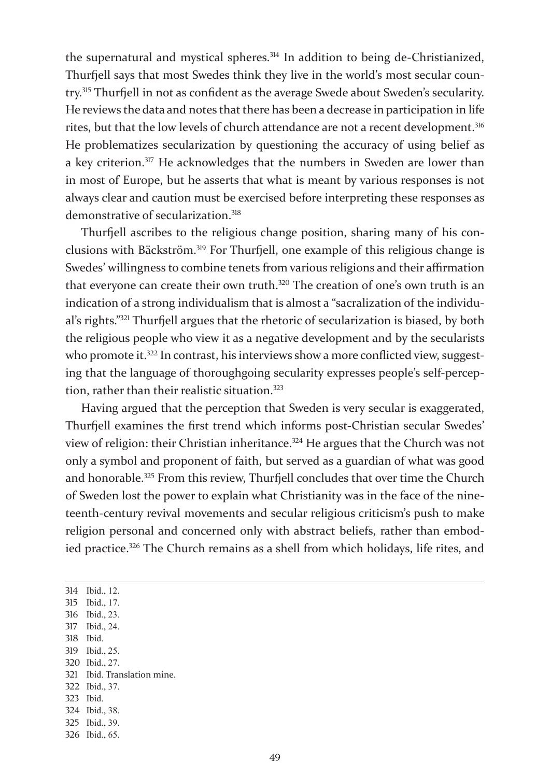the supernatural and mystical spheres.<sup>314</sup> In addition to being de-Christianized, Thurfjell says that most Swedes think they live in the world's most secular country.315 Thurfjell in not as confident as the average Swede about Sweden's secularity. He reviews the data and notes that there has been a decrease in participation in life rites, but that the low levels of church attendance are not a recent development.<sup>316</sup> He problematizes secularization by questioning the accuracy of using belief as a key criterion.317 He acknowledges that the numbers in Sweden are lower than in most of Europe, but he asserts that what is meant by various responses is not always clear and caution must be exercised before interpreting these responses as demonstrative of secularization.<sup>318</sup>

Thurfjell ascribes to the religious change position, sharing many of his conclusions with Bäckström.319 For Thurfjell, one example of this religious change is Swedes' willingness to combine tenets from various religions and their affirmation that everyone can create their own truth.<sup>320</sup> The creation of one's own truth is an indication of a strong individualism that is almost a "sacralization of the individual's rights."321 Thurfjell argues that the rhetoric of secularization is biased, by both the religious people who view it as a negative development and by the secularists who promote it.<sup>322</sup> In contrast, his interviews show a more conflicted view, suggesting that the language of thoroughgoing secularity expresses people's self-perception, rather than their realistic situation.<sup>323</sup>

Having argued that the perception that Sweden is very secular is exaggerated, Thurfjell examines the first trend which informs post-Christian secular Swedes' view of religion: their Christian inheritance.324 He argues that the Church was not only a symbol and proponent of faith, but served as a guardian of what was good and honorable.<sup>325</sup> From this review, Thurfjell concludes that over time the Church of Sweden lost the power to explain what Christianity was in the face of the nineteenth-century revival movements and secular religious criticism's push to make religion personal and concerned only with abstract beliefs, rather than embodied practice.<sup>326</sup> The Church remains as a shell from which holidays, life rites, and

 Ibid., 12. Ibid., 17. Ibid., 23. Ibid., 24. 318 Ibid. Ibid., 25. Ibid., 27. Ibid. Translation mine. Ibid., 37. 323 Ibid. Ibid., 38. Ibid., 39.

326 Ibid., 65.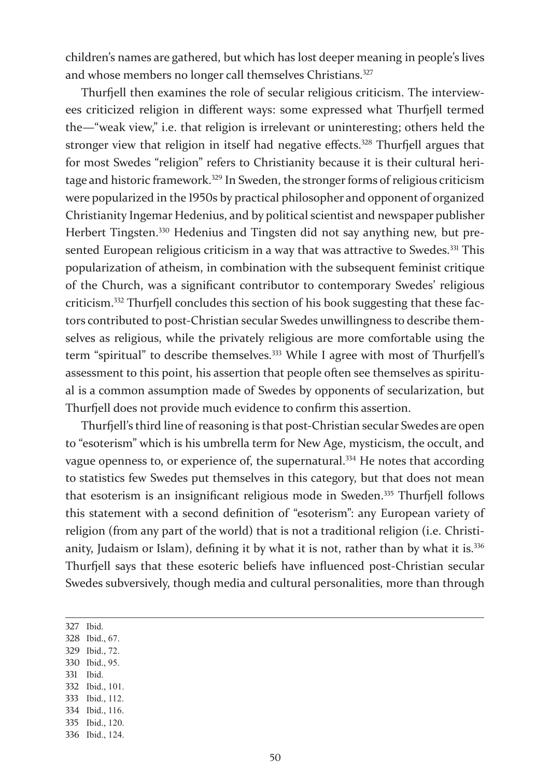children's names are gathered, but which has lost deeper meaning in people's lives and whose members no longer call themselves Christians.<sup>327</sup>

Thurfjell then examines the role of secular religious criticism. The interviewees criticized religion in different ways: some expressed what Thurfjell termed the—"weak view," i.e. that religion is irrelevant or uninteresting; others held the stronger view that religion in itself had negative effects.<sup>328</sup> Thurfjell argues that for most Swedes "religion" refers to Christianity because it is their cultural heritage and historic framework.329 In Sweden, the stronger forms of religious criticism were popularized in the 1950s by practical philosopher and opponent of organized Christianity Ingemar Hedenius, and by political scientist and newspaper publisher Herbert Tingsten.330 Hedenius and Tingsten did not say anything new, but presented European religious criticism in a way that was attractive to Swedes.<sup>331</sup> This popularization of atheism, in combination with the subsequent feminist critique of the Church, was a significant contributor to contemporary Swedes' religious criticism.332 Thurfjell concludes this section of his book suggesting that these factors contributed to post-Christian secular Swedes unwillingness to describe themselves as religious, while the privately religious are more comfortable using the term "spiritual" to describe themselves.<sup>333</sup> While I agree with most of Thurfjell's assessment to this point, his assertion that people often see themselves as spiritual is a common assumption made of Swedes by opponents of secularization, but Thurfjell does not provide much evidence to confirm this assertion.

Thurfjell's third line of reasoning is that post-Christian secular Swedes are open to "esoterism" which is his umbrella term for New Age, mysticism, the occult, and vague openness to, or experience of, the supernatural.<sup>334</sup> He notes that according to statistics few Swedes put themselves in this category, but that does not mean that esoterism is an insignificant religious mode in Sweden.<sup>335</sup> Thurfjell follows this statement with a second definition of "esoterism": any European variety of religion (from any part of the world) that is not a traditional religion (i.e. Christianity, Judaism or Islam), defining it by what it is not, rather than by what it is.<sup>336</sup> Thurfjell says that these esoteric beliefs have influenced post-Christian secular Swedes subversively, though media and cultural personalities, more than through

327 Ibid.

- 328 Ibid., 67.
- 329 Ibid., 72.
- 330 Ibid., 95.
- 331 Ibid.
- 332 Ibid., 101.
- 333 Ibid., 112.
- 334 Ibid., 116.
- 335 Ibid., 120.
- 336 Ibid., 124.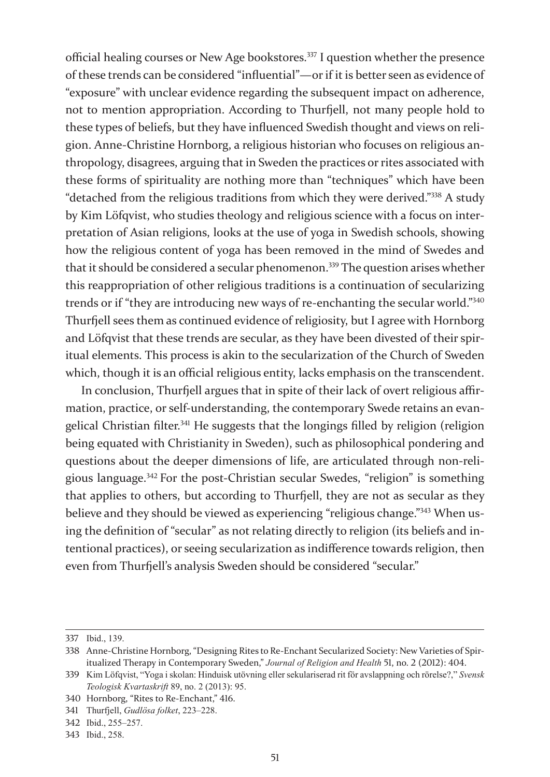official healing courses or New Age bookstores.337 I question whether the presence of these trends can be considered "influential"—or if it is better seen as evidence of "exposure" with unclear evidence regarding the subsequent impact on adherence, not to mention appropriation. According to Thurfjell, not many people hold to these types of beliefs, but they have influenced Swedish thought and views on religion. Anne-Christine Hornborg, a religious historian who focuses on religious anthropology, disagrees, arguing that in Sweden the practices or rites associated with these forms of spirituality are nothing more than "techniques" which have been "detached from the religious traditions from which they were derived."338 A study by Kim Löfqvist, who studies theology and religious science with a focus on interpretation of Asian religions, looks at the use of yoga in Swedish schools, showing how the religious content of yoga has been removed in the mind of Swedes and that it should be considered a secular phenomenon.<sup>339</sup> The question arises whether this reappropriation of other religious traditions is a continuation of secularizing trends or if "they are introducing new ways of re-enchanting the secular world."<sup>340</sup> Thurfjell sees them as continued evidence of religiosity, but I agree with Hornborg and Löfqvist that these trends are secular, as they have been divested of their spiritual elements. This process is akin to the secularization of the Church of Sweden which, though it is an official religious entity, lacks emphasis on the transcendent.

In conclusion, Thurfjell argues that in spite of their lack of overt religious affirmation, practice, or self-understanding, the contemporary Swede retains an evangelical Christian filter.<sup>341</sup> He suggests that the longings filled by religion (religion being equated with Christianity in Sweden), such as philosophical pondering and questions about the deeper dimensions of life, are articulated through non-religious language.<sup>342</sup> For the post-Christian secular Swedes, "religion" is something that applies to others, but according to Thurfjell, they are not as secular as they believe and they should be viewed as experiencing "religious change."343 When using the definition of "secular" as not relating directly to religion (its beliefs and intentional practices), or seeing secularization as indifference towards religion, then even from Thurfjell's analysis Sweden should be considered "secular."

<sup>337</sup> Ibid., 139.

<sup>338</sup> Anne-Christine Hornborg, "Designing Rites to Re-Enchant Secularized Society: New Varieties of Spiritualized Therapy in Contemporary Sweden," *Journal of Religion and Health* 51, no. 2 (2012): 404.

<sup>339</sup> Kim Löfqvist, "Yoga i skolan: Hinduisk utövning eller sekulariserad rit för avslappning och rörelse?," *Svensk Teologisk Kvartaskrift* 89, no. 2 (2013): 95.

<sup>340</sup> Hornborg, "Rites to Re-Enchant," 416.

<sup>341</sup> Thurfjell, *Gudlösa folket*, 223–228.

<sup>342</sup> Ibid., 255–257.

<sup>343</sup> Ibid., 258.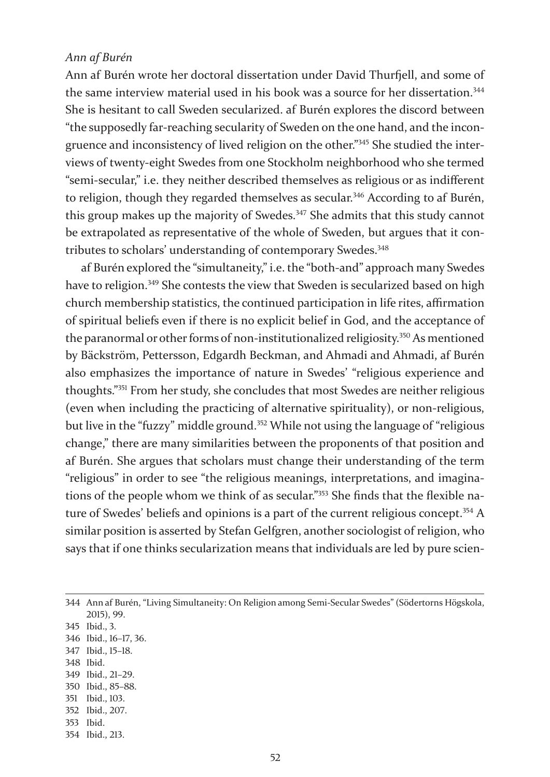#### *Ann af Burén*

Ann af Burén wrote her doctoral dissertation under David Thurfjell, and some of the same interview material used in his book was a source for her dissertation.<sup>344</sup> She is hesitant to call Sweden secularized. af Burén explores the discord between "the supposedly far-reaching secularity of Sweden on the one hand, and the incongruence and inconsistency of lived religion on the other."345 She studied the interviews of twenty-eight Swedes from one Stockholm neighborhood who she termed "semi-secular," i.e. they neither described themselves as religious or as indifferent to religion, though they regarded themselves as secular.<sup>346</sup> According to af Burén, this group makes up the majority of Swedes.<sup>347</sup> She admits that this study cannot be extrapolated as representative of the whole of Sweden, but argues that it contributes to scholars' understanding of contemporary Swedes.<sup>348</sup>

af Burén explored the "simultaneity," i.e. the "both-and" approach many Swedes have to religion.<sup>349</sup> She contests the view that Sweden is secularized based on high church membership statistics, the continued participation in life rites, affirmation of spiritual beliefs even if there is no explicit belief in God, and the acceptance of the paranormal or other forms of non-institutionalized religiosity.350 As mentioned by Bäckström, Pettersson, Edgardh Beckman, and Ahmadi and Ahmadi, af Burén also emphasizes the importance of nature in Swedes' "religious experience and thoughts."351 From her study, she concludes that most Swedes are neither religious (even when including the practicing of alternative spirituality), or non-religious, but live in the "fuzzy" middle ground.<sup>352</sup> While not using the language of "religious change," there are many similarities between the proponents of that position and af Burén. She argues that scholars must change their understanding of the term "religious" in order to see "the religious meanings, interpretations, and imaginations of the people whom we think of as secular."353 She finds that the flexible nature of Swedes' beliefs and opinions is a part of the current religious concept.<sup>354</sup> A similar position is asserted by Stefan Gelfgren, another sociologist of religion, who says that if one thinks secularization means that individuals are led by pure scien-

 Ann af Burén, "Living Simultaneity: On Religion among Semi-Secular Swedes" (Södertorns Högskola, 2015), 99. Ibid., 3. Ibid., 16–17, 36. Ibid., 15–18. 348 Ibid. Ibid., 21–29.

- 350 Ibid., 85–88.
- 351 Ibid., 103.
- 352 Ibid., 207.
- 353 Ibid.
- 354 Ibid., 213.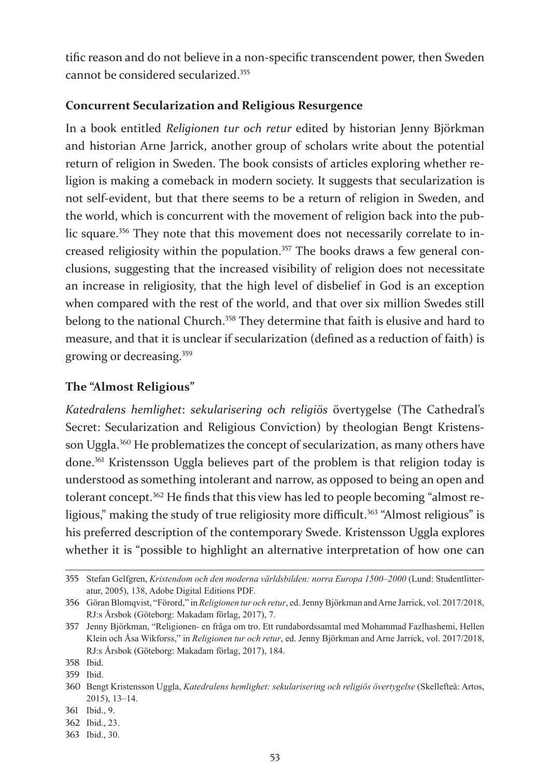tific reason and do not believe in a non-specific transcendent power, then Sweden cannot be considered secularized.355

## **Concurrent Secularization and Religious Resurgence**

In a book entitled *Religionen tur och retur* edited by historian Jenny Björkman and historian Arne Jarrick, another group of scholars write about the potential return of religion in Sweden. The book consists of articles exploring whether religion is making a comeback in modern society. It suggests that secularization is not self-evident, but that there seems to be a return of religion in Sweden, and the world, which is concurrent with the movement of religion back into the public square.<sup>356</sup> They note that this movement does not necessarily correlate to increased religiosity within the population.<sup>357</sup> The books draws a few general conclusions, suggesting that the increased visibility of religion does not necessitate an increase in religiosity, that the high level of disbelief in God is an exception when compared with the rest of the world, and that over six million Swedes still belong to the national Church.<sup>358</sup> They determine that faith is elusive and hard to measure, and that it is unclear if secularization (defined as a reduction of faith) is growing or decreasing.<sup>359</sup>

#### **The "Almost Religious"**

*Katedralens hemlighet*: *sekularisering och religiös* övertygelse (The Cathedral's Secret: Secularization and Religious Conviction) by theologian Bengt Kristensson Uggla.<sup>360</sup> He problematizes the concept of secularization, as many others have done.361 Kristensson Uggla believes part of the problem is that religion today is understood as something intolerant and narrow, as opposed to being an open and tolerant concept.362 He finds that this view has led to people becoming "almost religious," making the study of true religiosity more difficult.<sup>363</sup> "Almost religious" is his preferred description of the contemporary Swede. Kristensson Uggla explores whether it is "possible to highlight an alternative interpretation of how one can

<sup>355</sup> Stefan Gelfgren, *Kristendom och den moderna världsbilden: norra Europa 1500–2000* (Lund: Studentlitteratur, 2005), 138, Adobe Digital Editions PDF.

<sup>356</sup> Göran Blomqvist, "Förord," in *Religionen tur och retur*, ed. Jenny Björkman and Arne Jarrick, vol. 2017/2018, RJ:s Årsbok (Göteborg: Makadam förlag, 2017), 7.

<sup>357</sup> Jenny Björkman, "Religionen- en fråga om tro. Ett rundabordssamtal med Mohammad Fazlhashemi, Hellen Klein och Åsa Wikforss," in *Religionen tur och retur*, ed. Jenny Björkman and Arne Jarrick, vol. 2017/2018, RJ:s Årsbok (Göteborg: Makadam förlag, 2017), 184.

<sup>358</sup> Ibid.

<sup>359</sup> Ibid.

<sup>360</sup> Bengt Kristensson Uggla, *Katedralens hemlighet: sekularisering och religiös övertygelse* (Skellefteå: Artos, 2015), 13–14.

<sup>361</sup> Ibid., 9.

<sup>362</sup> Ibid., 23.

<sup>363</sup> Ibid., 30.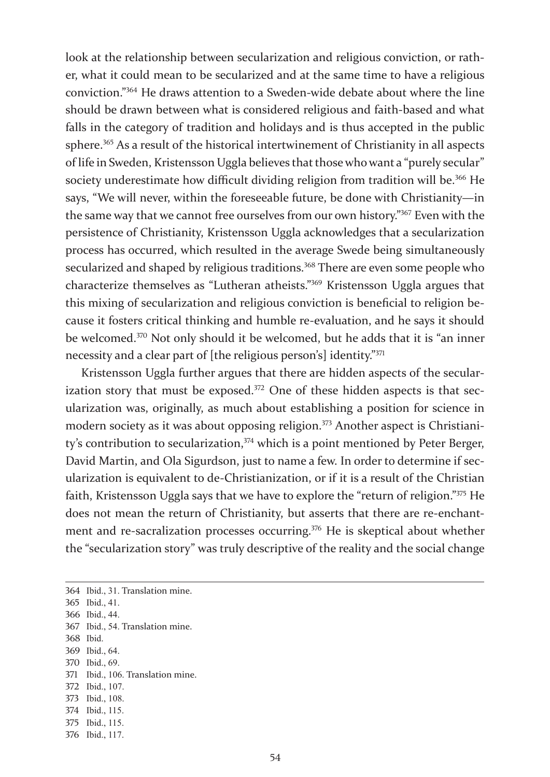look at the relationship between secularization and religious conviction, or rather, what it could mean to be secularized and at the same time to have a religious conviction."364 He draws attention to a Sweden-wide debate about where the line should be drawn between what is considered religious and faith-based and what falls in the category of tradition and holidays and is thus accepted in the public sphere.<sup>365</sup> As a result of the historical intertwinement of Christianity in all aspects of life in Sweden, Kristensson Uggla believes that those who want a "purely secular" society underestimate how difficult dividing religion from tradition will be.<sup>366</sup> He says, "We will never, within the foreseeable future, be done with Christianity—in the same way that we cannot free ourselves from our own history."367 Even with the persistence of Christianity, Kristensson Uggla acknowledges that a secularization process has occurred, which resulted in the average Swede being simultaneously secularized and shaped by religious traditions.<sup>368</sup> There are even some people who characterize themselves as "Lutheran atheists."369 Kristensson Uggla argues that this mixing of secularization and religious conviction is beneficial to religion because it fosters critical thinking and humble re-evaluation, and he says it should be welcomed.370 Not only should it be welcomed, but he adds that it is "an inner necessity and a clear part of [the religious person's] identity."<sup>371</sup>

Kristensson Uggla further argues that there are hidden aspects of the secularization story that must be exposed.<sup>372</sup> One of these hidden aspects is that secularization was, originally, as much about establishing a position for science in modern society as it was about opposing religion.<sup>373</sup> Another aspect is Christianity's contribution to secularization,<sup>374</sup> which is a point mentioned by Peter Berger, David Martin, and Ola Sigurdson, just to name a few. In order to determine if secularization is equivalent to de-Christianization, or if it is a result of the Christian faith, Kristensson Uggla says that we have to explore the "return of religion."375 He does not mean the return of Christianity, but asserts that there are re-enchantment and re-sacralization processes occurring.<sup>376</sup> He is skeptical about whether the "secularization story" was truly descriptive of the reality and the social change

364 Ibid., 31. Translation mine. 365 Ibid., 41. 366 Ibid., 44.

- 368 Ibid.
- 369 Ibid., 64.
- 370 Ibid., 69.

- 372 Ibid., 107.
- 373 Ibid., 108.
- 374 Ibid., 115.
- 375 Ibid., 115. 376 Ibid., 117.

<sup>367</sup> Ibid., 54. Translation mine.

<sup>371</sup> Ibid., 106. Translation mine.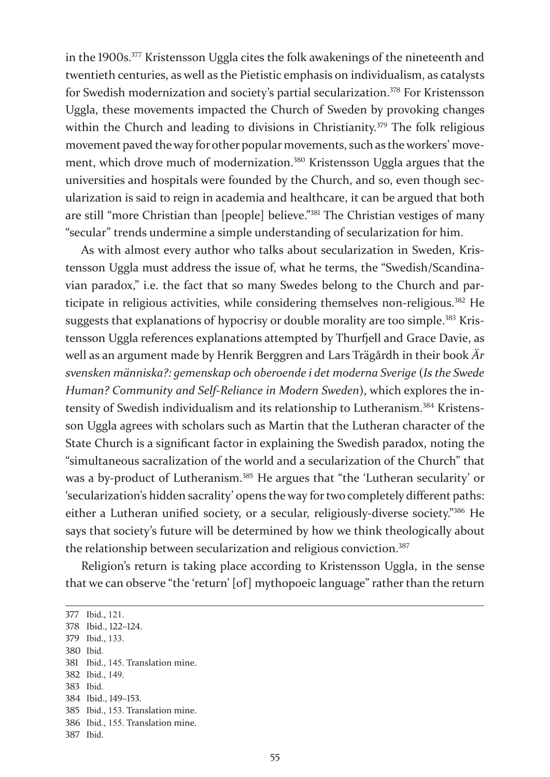in the 1900s.377 Kristensson Uggla cites the folk awakenings of the nineteenth and twentieth centuries, as well as the Pietistic emphasis on individualism, as catalysts for Swedish modernization and society's partial secularization.<sup>378</sup> For Kristensson Uggla, these movements impacted the Church of Sweden by provoking changes within the Church and leading to divisions in Christianity.<sup>379</sup> The folk religious movement paved the way for other popular movements, such as the workers' movement, which drove much of modernization.<sup>380</sup> Kristensson Uggla argues that the universities and hospitals were founded by the Church, and so, even though secularization is said to reign in academia and healthcare, it can be argued that both are still "more Christian than [people] believe."381 The Christian vestiges of many "secular" trends undermine a simple understanding of secularization for him.

As with almost every author who talks about secularization in Sweden, Kristensson Uggla must address the issue of, what he terms, the "Swedish/Scandinavian paradox," i.e. the fact that so many Swedes belong to the Church and participate in religious activities, while considering themselves non-religious.382 He suggests that explanations of hypocrisy or double morality are too simple.<sup>383</sup> Kristensson Uggla references explanations attempted by Thurfjell and Grace Davie, as well as an argument made by Henrik Berggren and Lars Trägårdh in their book *Är svensken människa?: gemenskap och oberoende i det moderna Sverige* (*Is the Swede Human? Community and Self-Reliance in Modern Sweden*), which explores the intensity of Swedish individualism and its relationship to Lutheranism.384 Kristensson Uggla agrees with scholars such as Martin that the Lutheran character of the State Church is a significant factor in explaining the Swedish paradox, noting the "simultaneous sacralization of the world and a secularization of the Church" that was a by-product of Lutheranism.<sup>385</sup> He argues that "the 'Lutheran secularity' or 'secularization's hidden sacrality' opens the way for two completely different paths: either a Lutheran unified society, or a secular, religiously-diverse society."386 He says that society's future will be determined by how we think theologically about the relationship between secularization and religious conviction.<sup>387</sup>

Religion's return is taking place according to Kristensson Uggla, in the sense that we can observe "the 'return' [of] mythopoeic language" rather than the return

 Ibid., 121. Ibid., 122–124. Ibid., 133. 380 Ibid. Ibid., 145. Translation mine. Ibid., 149. 383 Ibid. Ibid., 149–153. Ibid., 153. Translation mine.

<sup>386</sup> Ibid., 155. Translation mine.

<sup>387</sup> Ibid.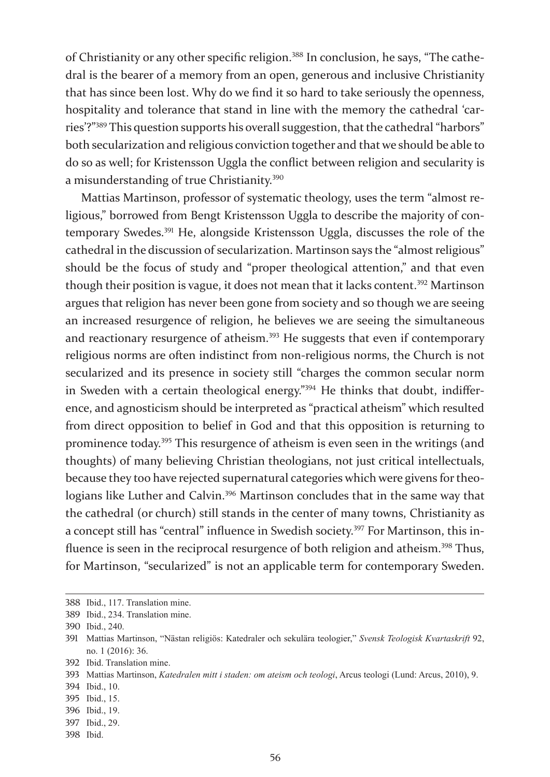of Christianity or any other specific religion.388 In conclusion, he says, "The cathedral is the bearer of a memory from an open, generous and inclusive Christianity that has since been lost. Why do we find it so hard to take seriously the openness, hospitality and tolerance that stand in line with the memory the cathedral 'carries'?"389 This question supports his overall suggestion, that the cathedral "harbors" both secularization and religious conviction together and that we should be able to do so as well; for Kristensson Uggla the conflict between religion and secularity is a misunderstanding of true Christianity.<sup>390</sup>

Mattias Martinson, professor of systematic theology, uses the term "almost religious," borrowed from Bengt Kristensson Uggla to describe the majority of contemporary Swedes.391 He, alongside Kristensson Uggla, discusses the role of the cathedral in the discussion of secularization. Martinson says the "almost religious" should be the focus of study and "proper theological attention," and that even though their position is vague, it does not mean that it lacks content.<sup>392</sup> Martinson argues that religion has never been gone from society and so though we are seeing an increased resurgence of religion, he believes we are seeing the simultaneous and reactionary resurgence of atheism.<sup>393</sup> He suggests that even if contemporary religious norms are often indistinct from non-religious norms, the Church is not secularized and its presence in society still "charges the common secular norm in Sweden with a certain theological energy."394 He thinks that doubt, indifference, and agnosticism should be interpreted as "practical atheism" which resulted from direct opposition to belief in God and that this opposition is returning to prominence today.395 This resurgence of atheism is even seen in the writings (and thoughts) of many believing Christian theologians, not just critical intellectuals, because they too have rejected supernatural categories which were givens for theologians like Luther and Calvin.<sup>396</sup> Martinson concludes that in the same way that the cathedral (or church) still stands in the center of many towns, Christianity as a concept still has "central" influence in Swedish society.<sup>397</sup> For Martinson, this influence is seen in the reciprocal resurgence of both religion and atheism.<sup>398</sup> Thus, for Martinson, "secularized" is not an applicable term for contemporary Sweden.

- 395 Ibid., 15.
- 396 Ibid., 19.
- 397 Ibid., 29.
- 398 Ibid.

<sup>388</sup> Ibid., 117. Translation mine.

<sup>389</sup> Ibid., 234. Translation mine.

<sup>390</sup> Ibid., 240.

<sup>391</sup> Mattias Martinson, "Nästan religiös: Katedraler och sekulära teologier," *Svensk Teologisk Kvartaskrift* 92, no. 1 (2016): 36.

<sup>392</sup> Ibid. Translation mine.

<sup>393</sup> Mattias Martinson, *Katedralen mitt i staden: om ateism och teologi*, Arcus teologi (Lund: Arcus, 2010), 9.

<sup>394</sup> Ibid., 10.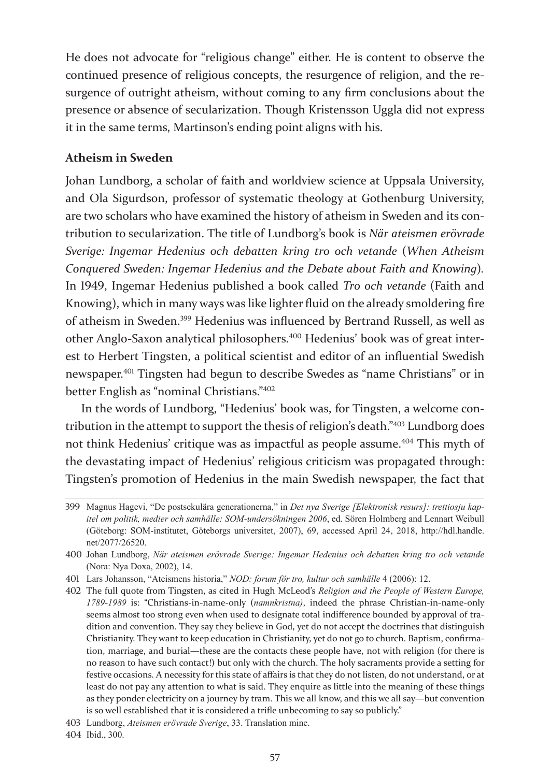He does not advocate for "religious change" either. He is content to observe the continued presence of religious concepts, the resurgence of religion, and the resurgence of outright atheism, without coming to any firm conclusions about the presence or absence of secularization. Though Kristensson Uggla did not express it in the same terms, Martinson's ending point aligns with his.

### **Atheism in Sweden**

Johan Lundborg, a scholar of faith and worldview science at Uppsala University, and Ola Sigurdson, professor of systematic theology at Gothenburg University, are two scholars who have examined the history of atheism in Sweden and its contribution to secularization. The title of Lundborg's book is *När ateismen erövrade Sverige: Ingemar Hedenius och debatten kring tro och vetande* (*When Atheism Conquered Sweden: Ingemar Hedenius and the Debate about Faith and Knowing*)*.* In 1949, Ingemar Hedenius published a book called *Tro och vetande* (Faith and Knowing), which in many ways was like lighter fluid on the already smoldering fire of atheism in Sweden.399 Hedenius was influenced by Bertrand Russell, as well as other Anglo-Saxon analytical philosophers.400 Hedenius' book was of great interest to Herbert Tingsten, a political scientist and editor of an influential Swedish newspaper.401 Tingsten had begun to describe Swedes as "name Christians" or in better English as "nominal Christians."<sup>402</sup>

In the words of Lundborg, "Hedenius' book was, for Tingsten, a welcome contribution in the attempt to support the thesis of religion's death."403 Lundborg does not think Hedenius' critique was as impactful as people assume.<sup>404</sup> This myth of the devastating impact of Hedenius' religious criticism was propagated through: Tingsten's promotion of Hedenius in the main Swedish newspaper, the fact that

<sup>399</sup> Magnus Hagevi, "De postsekulära generationerna," in *Det nya Sverige [Elektronisk resurs]: trettiosju kapitel om politik, medier och samhälle: SOM-undersökningen 2006*, ed. Sören Holmberg and Lennart Weibull (Göteborg: SOM-institutet, Göteborgs universitet, 2007), 69, accessed April 24, 2018, http://hdl.handle. net/2077/26520.

<sup>400</sup> Johan Lundborg, *När ateismen erövrade Sverige: Ingemar Hedenius och debatten kring tro och vetande* (Nora: Nya Doxa, 2002), 14.

<sup>401</sup> Lars Johansson, "Ateismens historia," *NOD: forum för tro, kultur och samhälle* 4 (2006): 12.

<sup>402</sup> The full quote from Tingsten, as cited in Hugh McLeod's *Religion and the People of Western Europe, 1789-1989* is: "Christians-in-name-only (*namnkristna)*, indeed the phrase Christian-in-name-only seems almost too strong even when used to designate total indifference bounded by approval of tradition and convention. They say they believe in God, yet do not accept the doctrines that distinguish Christianity. They want to keep education in Christianity, yet do not go to church. Baptism, confirmation, marriage, and burial—these are the contacts these people have, not with religion (for there is no reason to have such contact!) but only with the church. The holy sacraments provide a setting for festive occasions. A necessity for this state of affairs is that they do not listen, do not understand, or at least do not pay any attention to what is said. They enquire as little into the meaning of these things as they ponder electricity on a journey by tram. This we all know, and this we all say—but convention is so well established that it is considered a trifle unbecoming to say so publicly."

<sup>403</sup> Lundborg, *Ateismen erövrade Sverige*, 33. Translation mine.

<sup>404</sup> Ibid., 300.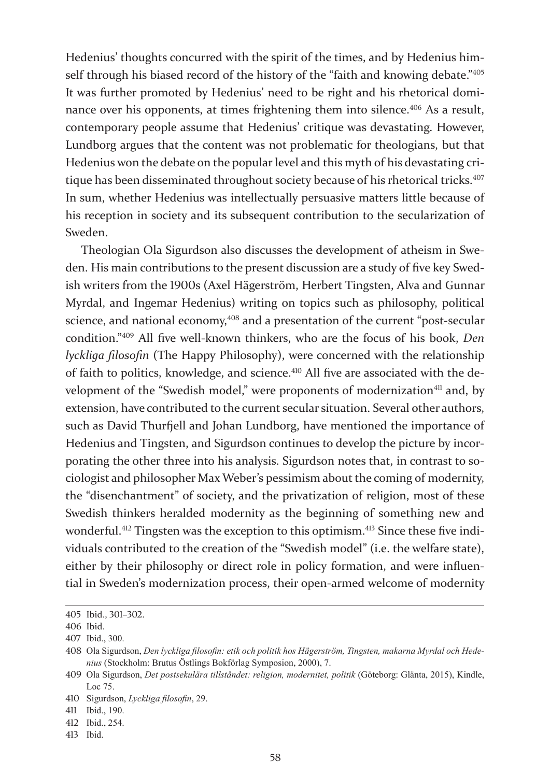Hedenius' thoughts concurred with the spirit of the times, and by Hedenius himself through his biased record of the history of the "faith and knowing debate."405 It was further promoted by Hedenius' need to be right and his rhetorical dominance over his opponents, at times frightening them into silence.<sup>406</sup> As a result, contemporary people assume that Hedenius' critique was devastating. However, Lundborg argues that the content was not problematic for theologians, but that Hedenius won the debate on the popular level and this myth of his devastating critique has been disseminated throughout society because of his rhetorical tricks.<sup>407</sup> In sum, whether Hedenius was intellectually persuasive matters little because of his reception in society and its subsequent contribution to the secularization of Sweden.

Theologian Ola Sigurdson also discusses the development of atheism in Sweden. His main contributions to the present discussion are a study of five key Swedish writers from the 1900s (Axel Hägerström, Herbert Tingsten, Alva and Gunnar Myrdal, and Ingemar Hedenius) writing on topics such as philosophy, political science, and national economy,<sup>408</sup> and a presentation of the current "post-secular condition."409 All five well-known thinkers, who are the focus of his book, *Den lyckliga filosofin* (The Happy Philosophy), were concerned with the relationship of faith to politics, knowledge, and science.<sup>410</sup> All five are associated with the development of the "Swedish model," were proponents of modernization<sup>411</sup> and, by extension, have contributed to the current secular situation. Several other authors, such as David Thurfjell and Johan Lundborg, have mentioned the importance of Hedenius and Tingsten, and Sigurdson continues to develop the picture by incorporating the other three into his analysis. Sigurdson notes that, in contrast to sociologist and philosopher Max Weber's pessimism about the coming of modernity, the "disenchantment" of society, and the privatization of religion, most of these Swedish thinkers heralded modernity as the beginning of something new and wonderful.<sup>412</sup> Tingsten was the exception to this optimism.<sup>413</sup> Since these five individuals contributed to the creation of the "Swedish model" (i.e. the welfare state), either by their philosophy or direct role in policy formation, and were influential in Sweden's modernization process, their open-armed welcome of modernity

<sup>405</sup> Ibid., 301–302.

<sup>406</sup> Ibid.

<sup>407</sup> Ibid., 300.

<sup>408</sup> Ola Sigurdson, *Den lyckliga filosofin: etik och politik hos Hägerström, Tingsten, makarna Myrdal och Hedenius* (Stockholm: Brutus Östlings Bokförlag Symposion, 2000), 7.

<sup>409</sup> Ola Sigurdson, *Det postsekulära tillståndet: religion, modernitet, politik* (Göteborg: Glänta, 2015), Kindle, Loc 75.

<sup>410</sup> Sigurdson, *Lyckliga filosofin*, 29.

<sup>411</sup> Ibid., 190.

<sup>412</sup> Ibid., 254.

<sup>413</sup> Ibid.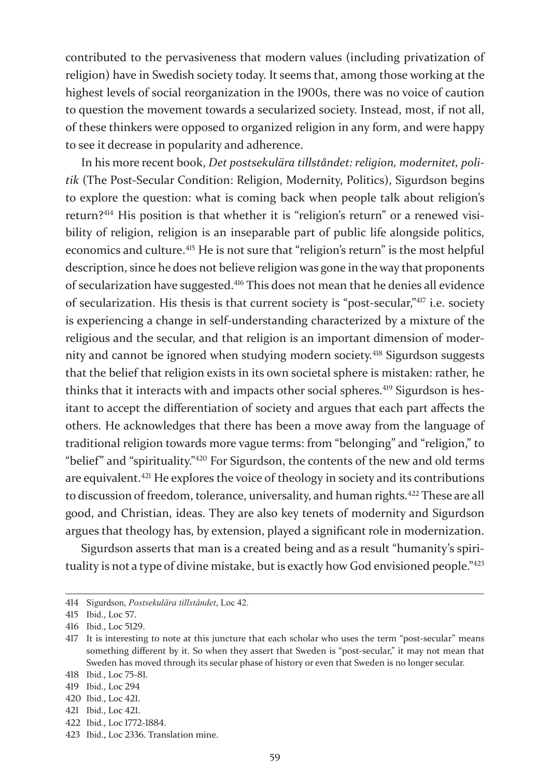contributed to the pervasiveness that modern values (including privatization of religion) have in Swedish society today. It seems that, among those working at the highest levels of social reorganization in the 1900s, there was no voice of caution to question the movement towards a secularized society. Instead, most, if not all, of these thinkers were opposed to organized religion in any form, and were happy to see it decrease in popularity and adherence.

In his more recent book, *Det postsekulära tillståndet: religion, modernitet, politik* (The Post-Secular Condition: Religion, Modernity, Politics), Sigurdson begins to explore the question: what is coming back when people talk about religion's return?414 His position is that whether it is "religion's return" or a renewed visibility of religion, religion is an inseparable part of public life alongside politics, economics and culture.415 He is not sure that "religion's return" is the most helpful description, since he does not believe religion was gone in the way that proponents of secularization have suggested.416 This does not mean that he denies all evidence of secularization. His thesis is that current society is "post-secular,"417 i.e. society is experiencing a change in self-understanding characterized by a mixture of the religious and the secular, and that religion is an important dimension of modernity and cannot be ignored when studying modern society.418 Sigurdson suggests that the belief that religion exists in its own societal sphere is mistaken: rather, he thinks that it interacts with and impacts other social spheres.<sup>419</sup> Sigurdson is hesitant to accept the differentiation of society and argues that each part affects the others. He acknowledges that there has been a move away from the language of traditional religion towards more vague terms: from "belonging" and "religion," to "belief" and "spirituality."420 For Sigurdson, the contents of the new and old terms are equivalent.421 He explores the voice of theology in society and its contributions to discussion of freedom, tolerance, universality, and human rights.<sup>422</sup> These are all good, and Christian, ideas. They are also key tenets of modernity and Sigurdson argues that theology has, by extension, played a significant role in modernization.

Sigurdson asserts that man is a created being and as a result "humanity's spirituality is not a type of divine mistake, but is exactly how God envisioned people."<sup>423</sup>

<sup>414</sup> Sigurdson, *Postsekulära tillståndet*, Loc 42.

<sup>415</sup> Ibid., Loc 57.

<sup>416</sup> Ibid., Loc 5129.

<sup>417</sup> It is interesting to note at this juncture that each scholar who uses the term "post-secular" means something different by it. So when they assert that Sweden is "post-secular," it may not mean that Sweden has moved through its secular phase of history or even that Sweden is no longer secular.

<sup>418</sup> Ibid., Loc 75-81.

<sup>419</sup> Ibid., Loc 294

<sup>420</sup> Ibid., Loc 421.

<sup>421</sup> Ibid., Loc 421.

<sup>422</sup> Ibid., Loc 1772-1884.

<sup>423</sup> Ibid., Loc 2336. Translation mine.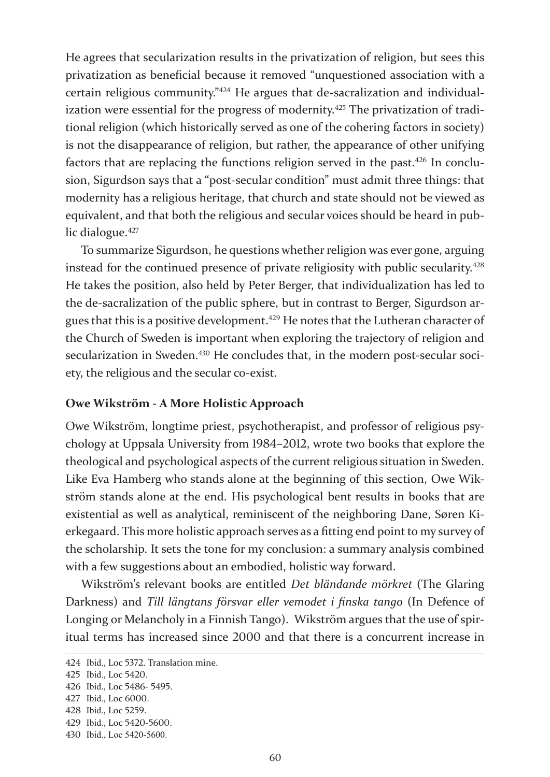He agrees that secularization results in the privatization of religion, but sees this privatization as beneficial because it removed "unquestioned association with a certain religious community."424 He argues that de-sacralization and individualization were essential for the progress of modernity.<sup>425</sup> The privatization of traditional religion (which historically served as one of the cohering factors in society) is not the disappearance of religion, but rather, the appearance of other unifying factors that are replacing the functions religion served in the past.426 In conclusion, Sigurdson says that a "post-secular condition" must admit three things: that modernity has a religious heritage, that church and state should not be viewed as equivalent, and that both the religious and secular voices should be heard in public dialogue.<sup>427</sup>

To summarize Sigurdson, he questions whether religion was ever gone, arguing instead for the continued presence of private religiosity with public secularity.<sup>428</sup> He takes the position, also held by Peter Berger, that individualization has led to the de-sacralization of the public sphere, but in contrast to Berger, Sigurdson argues that this is a positive development.429 He notes that the Lutheran character of the Church of Sweden is important when exploring the trajectory of religion and secularization in Sweden.<sup>430</sup> He concludes that, in the modern post-secular society, the religious and the secular co-exist.

#### **Owe Wikström - A More Holistic Approach**

Owe Wikström, longtime priest, psychotherapist, and professor of religious psychology at Uppsala University from 1984–2012, wrote two books that explore the theological and psychological aspects of the current religious situation in Sweden. Like Eva Hamberg who stands alone at the beginning of this section, Owe Wikström stands alone at the end. His psychological bent results in books that are existential as well as analytical, reminiscent of the neighboring Dane, Søren Kierkegaard. This more holistic approach serves as a fitting end point to my survey of the scholarship. It sets the tone for my conclusion: a summary analysis combined with a few suggestions about an embodied, holistic way forward.

Wikström's relevant books are entitled *Det bländande mörkret* (The Glaring Darkness) and *Till längtans försvar eller vemodet i finska tango* (In Defence of Longing or Melancholy in a Finnish Tango). Wikström argues that the use of spiritual terms has increased since 2000 and that there is a concurrent increase in

<sup>424</sup> Ibid., Loc 5372. Translation mine.

<sup>425</sup> Ibid., Loc 5420.

<sup>426</sup> Ibid., Loc 5486- 5495.

<sup>427</sup> Ibid., Loc 6000.

<sup>428</sup> Ibid., Loc 5259.

<sup>429</sup> Ibid., Loc 5420-5600.

<sup>430</sup> Ibid., Loc 5420-5600.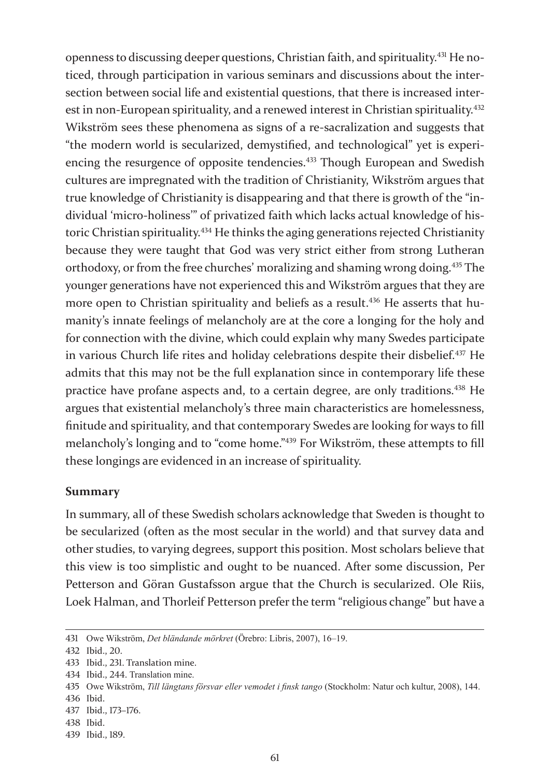openness to discussing deeper questions, Christian faith, and spirituality.431 He noticed, through participation in various seminars and discussions about the intersection between social life and existential questions, that there is increased interest in non-European spirituality, and a renewed interest in Christian spirituality.<sup>432</sup> Wikström sees these phenomena as signs of a re-sacralization and suggests that "the modern world is secularized, demystified, and technological" yet is experiencing the resurgence of opposite tendencies.<sup>433</sup> Though European and Swedish cultures are impregnated with the tradition of Christianity, Wikström argues that true knowledge of Christianity is disappearing and that there is growth of the "individual 'micro-holiness'" of privatized faith which lacks actual knowledge of historic Christian spirituality.434 He thinks the aging generations rejected Christianity because they were taught that God was very strict either from strong Lutheran orthodoxy, or from the free churches' moralizing and shaming wrong doing.435 The younger generations have not experienced this and Wikström argues that they are more open to Christian spirituality and beliefs as a result.<sup>436</sup> He asserts that humanity's innate feelings of melancholy are at the core a longing for the holy and for connection with the divine, which could explain why many Swedes participate in various Church life rites and holiday celebrations despite their disbelief.<sup>437</sup> He admits that this may not be the full explanation since in contemporary life these practice have profane aspects and, to a certain degree, are only traditions.<sup>438</sup> He argues that existential melancholy's three main characteristics are homelessness, finitude and spirituality, and that contemporary Swedes are looking for ways to fill melancholy's longing and to "come home."439 For Wikström, these attempts to fill these longings are evidenced in an increase of spirituality.

#### **Summary**

In summary, all of these Swedish scholars acknowledge that Sweden is thought to be secularized (often as the most secular in the world) and that survey data and other studies, to varying degrees, support this position. Most scholars believe that this view is too simplistic and ought to be nuanced. After some discussion, Per Petterson and Göran Gustafsson argue that the Church is secularized. Ole Riis, Loek Halman, and Thorleif Petterson prefer the term "religious change" but have a

<sup>431</sup> Owe Wikström, *Det bländande mörkret* (Örebro: Libris, 2007), 16–19.

<sup>432</sup> Ibid., 20.

<sup>433</sup> Ibid., 231. Translation mine.

<sup>434</sup> Ibid., 244. Translation mine.

<sup>435</sup> Owe Wikström, *Till längtans försvar eller vemodet i finsk tango* (Stockholm: Natur och kultur, 2008), 144. 436 Ibid.

<sup>437</sup> Ibid., 173–176.

<sup>438</sup> Ibid.

<sup>439</sup> Ibid., 189.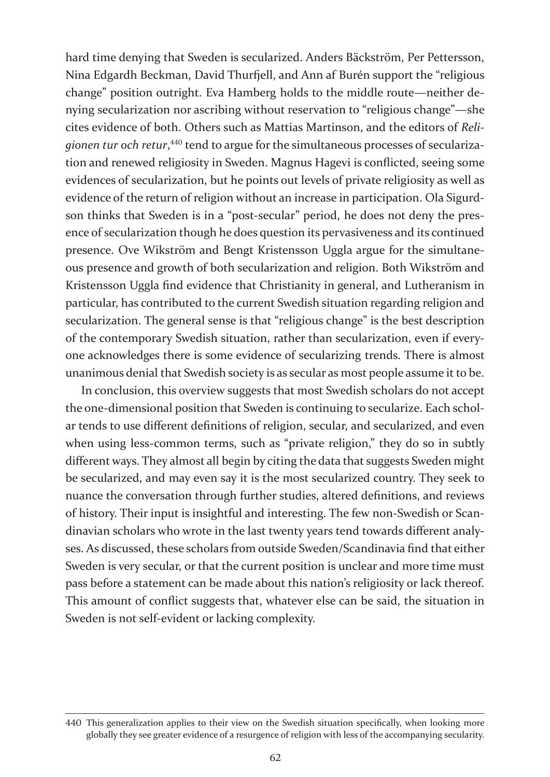hard time denying that Sweden is secularized. Anders Bäckström, Per Pettersson, Nina Edgardh Beckman, David Thurfjell, and Ann af Burén support the "religious change" position outright. Eva Hamberg holds to the middle route—neither denying secularization nor ascribing without reservation to "religious change"—she cites evidence of both. Others such as Mattias Martinson, and the editors of *Reli*gionen tur och retur,<sup>440</sup> tend to argue for the simultaneous processes of secularization and renewed religiosity in Sweden. Magnus Hagevi is conflicted, seeing some evidences of secularization, but he points out levels of private religiosity as well as evidence of the return of religion without an increase in participation. Ola Sigurdson thinks that Sweden is in a "post-secular" period, he does not deny the presence of secularization though he does question its pervasiveness and its continued presence. Ove Wikström and Bengt Kristensson Uggla argue for the simultaneous presence and growth of both secularization and religion. Both Wikström and Kristensson Uggla find evidence that Christianity in general, and Lutheranism in particular, has contributed to the current Swedish situation regarding religion and secularization. The general sense is that "religious change" is the best description of the contemporary Swedish situation, rather than secularization, even if everyone acknowledges there is some evidence of secularizing trends. There is almost unanimous denial that Swedish society is as secular as most people assume it to be.

In conclusion, this overview suggests that most Swedish scholars do not accept the one-dimensional position that Sweden is continuing to secularize. Each scholar tends to use different definitions of religion, secular, and secularized, and even when using less-common terms, such as "private religion," they do so in subtly different ways. They almost all begin by citing the data that suggests Sweden might be secularized, and may even say it is the most secularized country. They seek to nuance the conversation through further studies, altered definitions, and reviews of history. Their input is insightful and interesting. The few non-Swedish or Scandinavian scholars who wrote in the last twenty years tend towards different analyses. As discussed, these scholars from outside Sweden/Scandinavia find that either Sweden is very secular, or that the current position is unclear and more time must pass before a statement can be made about this nation's religiosity or lack thereof. This amount of conflict suggests that, whatever else can be said, the situation in Sweden is not self-evident or lacking complexity.

<sup>440</sup> This generalization applies to their view on the Swedish situation specifically, when looking more globally they see greater evidence of a resurgence of religion with less of the accompanying secularity.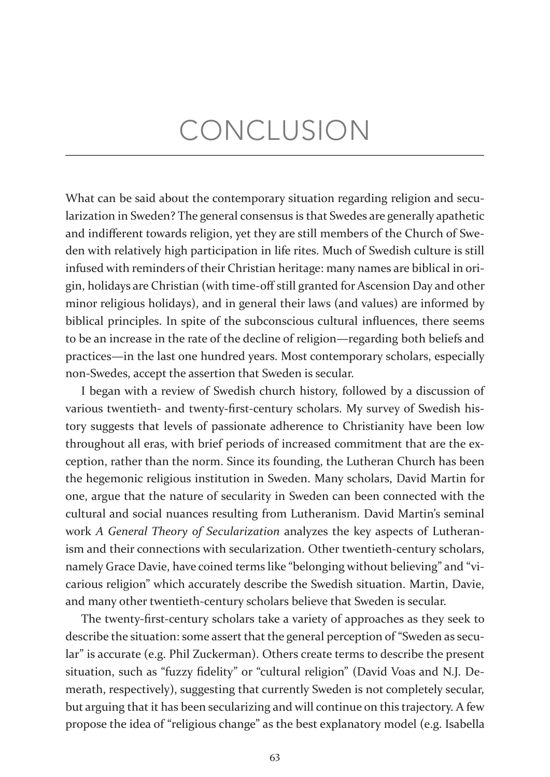# CONCLUSION

What can be said about the contemporary situation regarding religion and secularization in Sweden? The general consensus is that Swedes are generally apathetic and indifferent towards religion, yet they are still members of the Church of Sweden with relatively high participation in life rites. Much of Swedish culture is still infused with reminders of their Christian heritage: many names are biblical in origin, holidays are Christian (with time-off still granted for Ascension Day and other minor religious holidays), and in general their laws (and values) are informed by biblical principles. In spite of the subconscious cultural influences, there seems to be an increase in the rate of the decline of religion—regarding both beliefs and practices—in the last one hundred years. Most contemporary scholars, especially non-Swedes, accept the assertion that Sweden is secular.

I began with a review of Swedish church history, followed by a discussion of various twentieth- and twenty-first-century scholars. My survey of Swedish history suggests that levels of passionate adherence to Christianity have been low throughout all eras, with brief periods of increased commitment that are the exception, rather than the norm. Since its founding, the Lutheran Church has been the hegemonic religious institution in Sweden. Many scholars, David Martin for one, argue that the nature of secularity in Sweden can been connected with the cultural and social nuances resulting from Lutheranism. David Martin's seminal work *A General Theory of Secularization* analyzes the key aspects of Lutheranism and their connections with secularization. Other twentieth-century scholars, namely Grace Davie, have coined terms like "belonging without believing" and "vicarious religion" which accurately describe the Swedish situation. Martin, Davie, and many other twentieth-century scholars believe that Sweden is secular.

The twenty-first-century scholars take a variety of approaches as they seek to describe the situation: some assert that the general perception of "Sweden as secular" is accurate (e.g. Phil Zuckerman). Others create terms to describe the present situation, such as "fuzzy fidelity" or "cultural religion" (David Voas and N.J. Demerath, respectively), suggesting that currently Sweden is not completely secular, but arguing that it has been secularizing and will continue on this trajectory. A few propose the idea of "religious change" as the best explanatory model (e.g. Isabella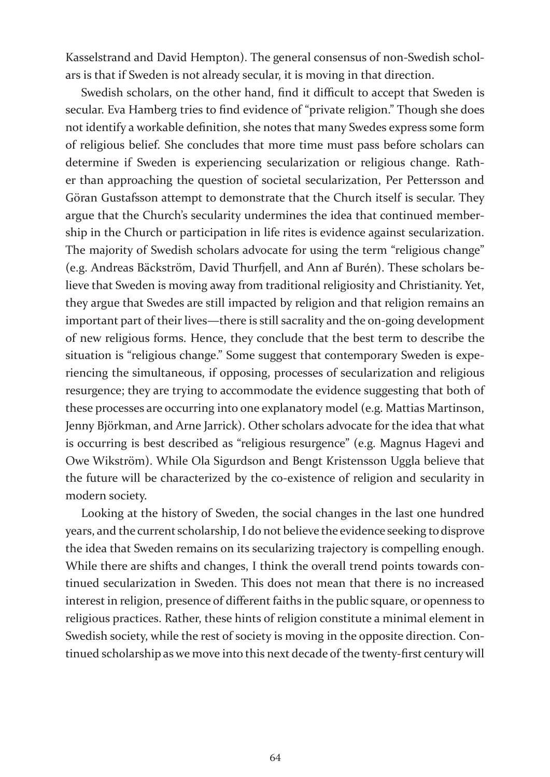Kasselstrand and David Hempton). The general consensus of non-Swedish scholars is that if Sweden is not already secular, it is moving in that direction.

Swedish scholars, on the other hand, find it difficult to accept that Sweden is secular. Eva Hamberg tries to find evidence of "private religion." Though she does not identify a workable definition, she notes that many Swedes express some form of religious belief. She concludes that more time must pass before scholars can determine if Sweden is experiencing secularization or religious change. Rather than approaching the question of societal secularization, Per Pettersson and Göran Gustafsson attempt to demonstrate that the Church itself is secular. They argue that the Church's secularity undermines the idea that continued membership in the Church or participation in life rites is evidence against secularization. The majority of Swedish scholars advocate for using the term "religious change" (e.g. Andreas Bäckström, David Thurfjell, and Ann af Burén). These scholars believe that Sweden is moving away from traditional religiosity and Christianity. Yet, they argue that Swedes are still impacted by religion and that religion remains an important part of their lives—there is still sacrality and the on-going development of new religious forms. Hence, they conclude that the best term to describe the situation is "religious change." Some suggest that contemporary Sweden is experiencing the simultaneous, if opposing, processes of secularization and religious resurgence; they are trying to accommodate the evidence suggesting that both of these processes are occurring into one explanatory model (e.g. Mattias Martinson, Jenny Björkman, and Arne Jarrick). Other scholars advocate for the idea that what is occurring is best described as "religious resurgence" (e.g. Magnus Hagevi and Owe Wikström). While Ola Sigurdson and Bengt Kristensson Uggla believe that the future will be characterized by the co-existence of religion and secularity in modern society.

Looking at the history of Sweden, the social changes in the last one hundred years, and the current scholarship, I do not believe the evidence seeking to disprove the idea that Sweden remains on its secularizing trajectory is compelling enough. While there are shifts and changes, I think the overall trend points towards continued secularization in Sweden. This does not mean that there is no increased interest in religion, presence of different faiths in the public square, or openness to religious practices. Rather, these hints of religion constitute a minimal element in Swedish society, while the rest of society is moving in the opposite direction. Continued scholarship as we move into this next decade of the twenty-first century will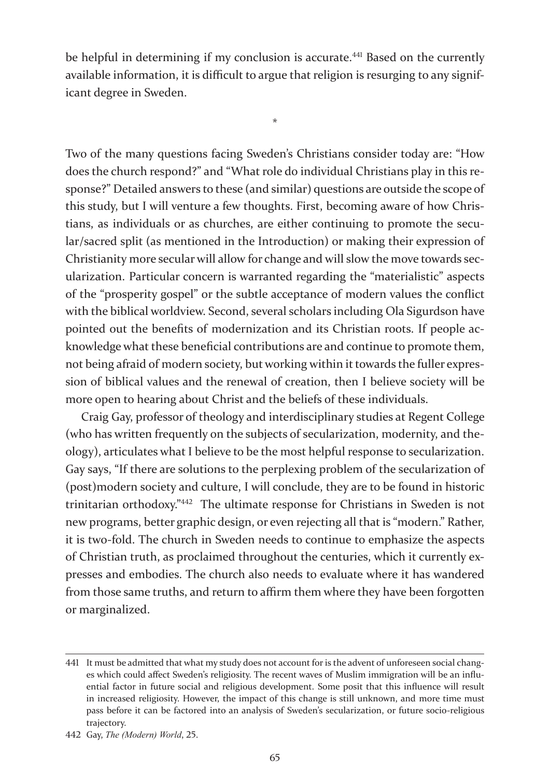be helpful in determining if my conclusion is accurate.<sup>441</sup> Based on the currently available information, it is difficult to argue that religion is resurging to any significant degree in Sweden.

\*

Two of the many questions facing Sweden's Christians consider today are: "How does the church respond?" and "What role do individual Christians play in this response?" Detailed answers to these (and similar) questions are outside the scope of this study, but I will venture a few thoughts. First, becoming aware of how Christians, as individuals or as churches, are either continuing to promote the secular/sacred split (as mentioned in the Introduction) or making their expression of Christianity more secular will allow for change and will slow the move towards secularization. Particular concern is warranted regarding the "materialistic" aspects of the "prosperity gospel" or the subtle acceptance of modern values the conflict with the biblical worldview. Second, several scholars including Ola Sigurdson have pointed out the benefits of modernization and its Christian roots. If people acknowledge what these beneficial contributions are and continue to promote them, not being afraid of modern society, but working within it towards the fuller expression of biblical values and the renewal of creation, then I believe society will be more open to hearing about Christ and the beliefs of these individuals.

Craig Gay, professor of theology and interdisciplinary studies at Regent College (who has written frequently on the subjects of secularization, modernity, and theology), articulates what I believe to be the most helpful response to secularization. Gay says, "If there are solutions to the perplexing problem of the secularization of (post)modern society and culture, I will conclude, they are to be found in historic trinitarian orthodoxy."442 The ultimate response for Christians in Sweden is not new programs, better graphic design, or even rejecting all that is "modern." Rather, it is two-fold. The church in Sweden needs to continue to emphasize the aspects of Christian truth, as proclaimed throughout the centuries, which it currently expresses and embodies. The church also needs to evaluate where it has wandered from those same truths, and return to affirm them where they have been forgotten or marginalized.

<sup>441</sup> It must be admitted that what my study does not account for is the advent of unforeseen social changes which could affect Sweden's religiosity. The recent waves of Muslim immigration will be an influential factor in future social and religious development. Some posit that this influence will result in increased religiosity. However, the impact of this change is still unknown, and more time must pass before it can be factored into an analysis of Sweden's secularization, or future socio-religious trajectory.

<sup>442</sup> Gay, *The (Modern) World*, 25.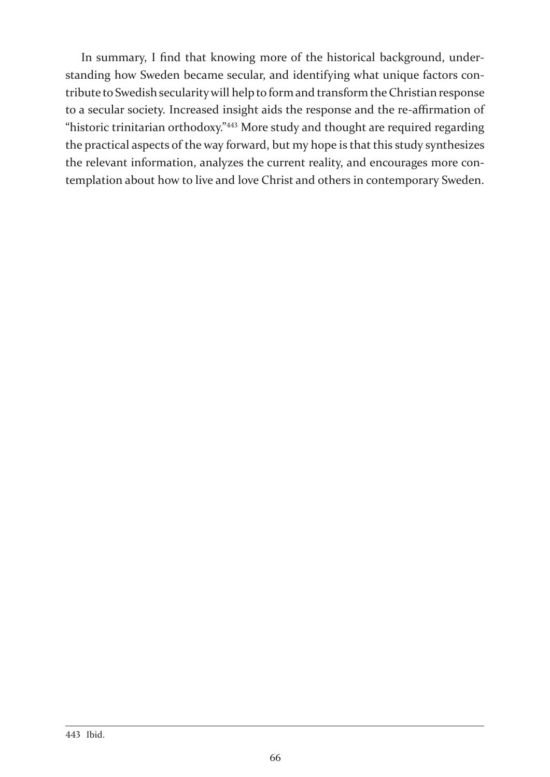In summary, I find that knowing more of the historical background, understanding how Sweden became secular, and identifying what unique factors contribute to Swedish secularity will help to form and transform the Christian response to a secular society. Increased insight aids the response and the re-affirmation of "historic trinitarian orthodoxy."443 More study and thought are required regarding the practical aspects of the way forward, but my hope is that this study synthesizes the relevant information, analyzes the current reality, and encourages more contemplation about how to live and love Christ and others in contemporary Sweden.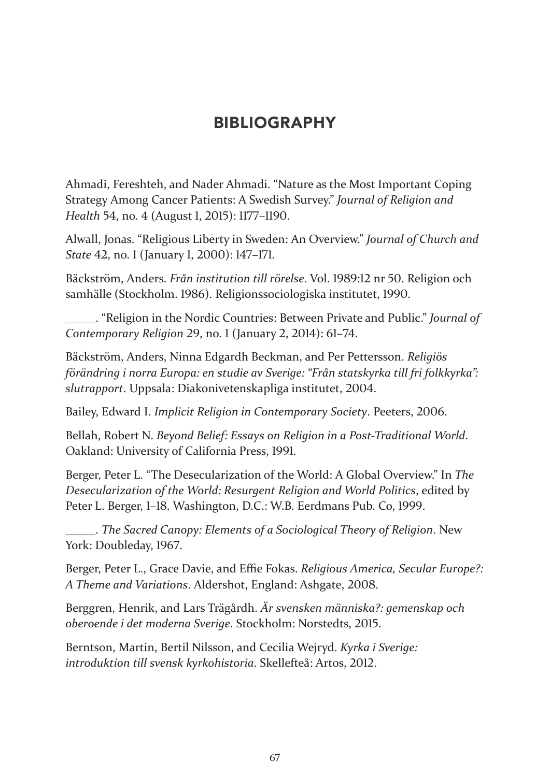# BIBLIOGRAPHY

Ahmadi, Fereshteh, and Nader Ahmadi. "Nature as the Most Important Coping Strategy Among Cancer Patients: A Swedish Survey." *Journal of Religion and Health* 54, no. 4 (August 1, 2015): 1177–1190.

Alwall, Jonas. "Religious Liberty in Sweden: An Overview." *Journal of Church and State* 42, no. 1 (January 1, 2000): 147–171.

Bäckström, Anders. *Från institution till rörelse*. Vol. 1989:12 nr 50. Religion och samhälle (Stockholm. 1986). Religionssociologiska institutet, 1990.

\_\_\_\_\_. "Religion in the Nordic Countries: Between Private and Public." *Journal of Contemporary Religion* 29, no. 1 (January 2, 2014): 61–74.

Bäckström, Anders, Ninna Edgardh Beckman, and Per Pettersson. *Religiös förändring i norra Europa: en studie av Sverige: "Från statskyrka till fri folkkyrka": slutrapport*. Uppsala: Diakonivetenskapliga institutet, 2004.

Bailey, Edward I. *Implicit Religion in Contemporary Society*. Peeters, 2006.

Bellah, Robert N. *Beyond Belief: Essays on Religion in a Post-Traditional World*. Oakland: University of California Press, 1991.

Berger, Peter L. "The Desecularization of the World: A Global Overview." In *The Desecularization of the World: Resurgent Religion and World Politics*, edited by Peter L. Berger, 1–18. Washington, D.C.: W.B. Eerdmans Pub. Co, 1999.

\_\_\_\_\_. *The Sacred Canopy: Elements of a Sociological Theory of Religion*. New York: Doubleday, 1967.

Berger, Peter L., Grace Davie, and Effie Fokas. *Religious America, Secular Europe?: A Theme and Variations*. Aldershot, England: Ashgate, 2008.

Berggren, Henrik, and Lars Trägårdh. *Är svensken människa?: gemenskap och oberoende i det moderna Sverige*. Stockholm: Norstedts, 2015.

Berntson, Martin, Bertil Nilsson, and Cecilia Wejryd. *Kyrka i Sverige: introduktion till svensk kyrkohistoria*. Skellefteå: Artos, 2012.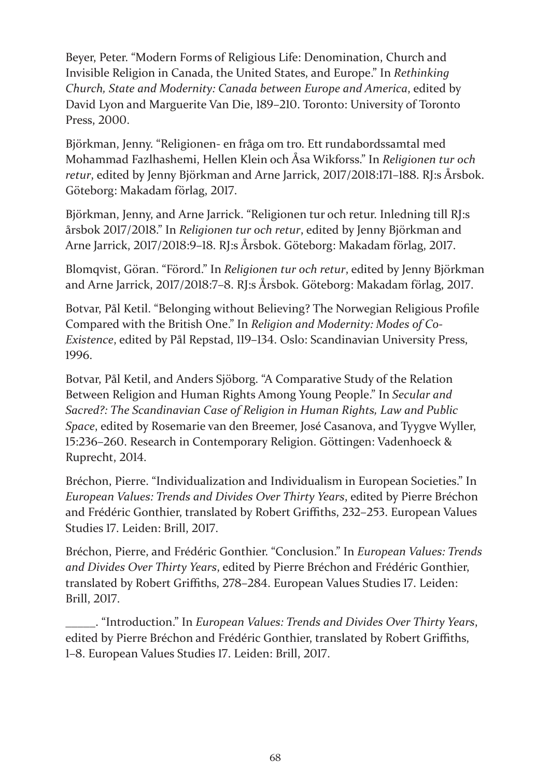Beyer, Peter. "Modern Forms of Religious Life: Denomination, Church and Invisible Religion in Canada, the United States, and Europe." In *Rethinking Church, State and Modernity: Canada between Europe and America*, edited by David Lyon and Marguerite Van Die, 189–210. Toronto: University of Toronto Press, 2000.

Björkman, Jenny. "Religionen- en fråga om tro. Ett rundabordssamtal med Mohammad Fazlhashemi, Hellen Klein och Åsa Wikforss." In *Religionen tur och retur*, edited by Jenny Björkman and Arne Jarrick, 2017/2018:171–188. RJ:s Årsbok. Göteborg: Makadam förlag, 2017.

Björkman, Jenny, and Arne Jarrick. "Religionen tur och retur. Inledning till RJ:s årsbok 2017/2018." In *Religionen tur och retur*, edited by Jenny Björkman and Arne Jarrick, 2017/2018:9–18. RJ:s Årsbok. Göteborg: Makadam förlag, 2017.

Blomqvist, Göran. "Förord." In *Religionen tur och retur*, edited by Jenny Björkman and Arne Jarrick, 2017/2018:7–8. RJ:s Årsbok. Göteborg: Makadam förlag, 2017.

Botvar, Pål Ketil. "Belonging without Believing? The Norwegian Religious Profile Compared with the British One." In *Religion and Modernity: Modes of Co-Existence*, edited by Pål Repstad, 119–134. Oslo: Scandinavian University Press, 1996.

Botvar, Pål Ketil, and Anders Sjöborg. "A Comparative Study of the Relation Between Religion and Human Rights Among Young People." In *Secular and Sacred?: The Scandinavian Case of Religion in Human Rights, Law and Public Space*, edited by Rosemarie van den Breemer, José Casanova, and Tyygve Wyller, 15:236–260. Research in Contemporary Religion. Göttingen: Vadenhoeck & Ruprecht, 2014.

Bréchon, Pierre. "Individualization and Individualism in European Societies." In *European Values: Trends and Divides Over Thirty Years*, edited by Pierre Bréchon and Frédéric Gonthier, translated by Robert Griffiths, 232–253. European Values Studies 17. Leiden: Brill, 2017.

Bréchon, Pierre, and Frédéric Gonthier. "Conclusion." In *European Values: Trends and Divides Over Thirty Years*, edited by Pierre Bréchon and Frédéric Gonthier, translated by Robert Griffiths, 278–284. European Values Studies 17. Leiden: Brill, 2017.

\_\_\_\_\_. "Introduction." In *European Values: Trends and Divides Over Thirty Years*, edited by Pierre Bréchon and Frédéric Gonthier, translated by Robert Griffiths, 1–8. European Values Studies 17. Leiden: Brill, 2017.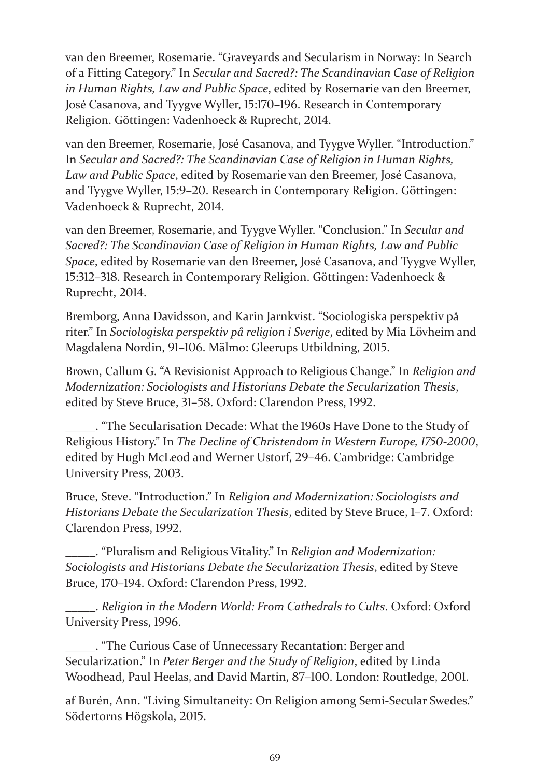van den Breemer, Rosemarie. "Graveyards and Secularism in Norway: In Search of a Fitting Category." In *Secular and Sacred?: The Scandinavian Case of Religion in Human Rights, Law and Public Space*, edited by Rosemarie van den Breemer, José Casanova, and Tyygve Wyller, 15:170–196. Research in Contemporary Religion. Göttingen: Vadenhoeck & Ruprecht, 2014.

van den Breemer, Rosemarie, José Casanova, and Tyygve Wyller. "Introduction." In *Secular and Sacred?: The Scandinavian Case of Religion in Human Rights, Law and Public Space*, edited by Rosemarie van den Breemer, José Casanova, and Tyygve Wyller, 15:9–20. Research in Contemporary Religion. Göttingen: Vadenhoeck & Ruprecht, 2014.

van den Breemer, Rosemarie, and Tyygve Wyller. "Conclusion." In *Secular and Sacred?: The Scandinavian Case of Religion in Human Rights, Law and Public Space*, edited by Rosemarie van den Breemer, José Casanova, and Tyygve Wyller, 15:312–318. Research in Contemporary Religion. Göttingen: Vadenhoeck & Ruprecht, 2014.

Bremborg, Anna Davidsson, and Karin Jarnkvist. "Sociologiska perspektiv på riter." In *Sociologiska perspektiv på religion i Sverige*, edited by Mia Lövheim and Magdalena Nordin, 91–106. Mälmo: Gleerups Utbildning, 2015.

Brown, Callum G. "A Revisionist Approach to Religious Change." In *Religion and Modernization: Sociologists and Historians Debate the Secularization Thesis*, edited by Steve Bruce, 31–58. Oxford: Clarendon Press, 1992.

\_\_\_\_\_. "The Secularisation Decade: What the 1960s Have Done to the Study of Religious History." In *The Decline of Christendom in Western Europe, 1750-2000*, edited by Hugh McLeod and Werner Ustorf, 29–46. Cambridge: Cambridge University Press, 2003.

Bruce, Steve. "Introduction." In *Religion and Modernization: Sociologists and Historians Debate the Secularization Thesis*, edited by Steve Bruce, 1–7. Oxford: Clarendon Press, 1992.

\_\_\_\_\_. "Pluralism and Religious Vitality." In *Religion and Modernization: Sociologists and Historians Debate the Secularization Thesis*, edited by Steve Bruce, 170–194. Oxford: Clarendon Press, 1992.

\_\_\_\_\_. *Religion in the Modern World: From Cathedrals to Cults*. Oxford: Oxford University Press, 1996.

\_\_\_\_\_. "The Curious Case of Unnecessary Recantation: Berger and Secularization." In *Peter Berger and the Study of Religion*, edited by Linda Woodhead, Paul Heelas, and David Martin, 87–100. London: Routledge, 2001.

af Burén, Ann. "Living Simultaneity: On Religion among Semi-Secular Swedes." Södertorns Högskola, 2015.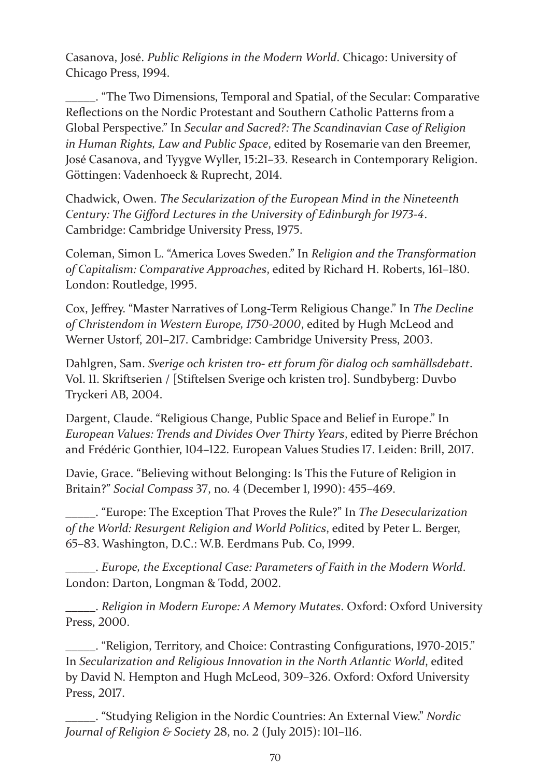Casanova, José. *Public Religions in the Modern World*. Chicago: University of Chicago Press, 1994.

\_\_\_\_\_. "The Two Dimensions, Temporal and Spatial, of the Secular: Comparative Reflections on the Nordic Protestant and Southern Catholic Patterns from a Global Perspective." In *Secular and Sacred?: The Scandinavian Case of Religion in Human Rights, Law and Public Space*, edited by Rosemarie van den Breemer, José Casanova, and Tyygve Wyller, 15:21–33. Research in Contemporary Religion. Göttingen: Vadenhoeck & Ruprecht, 2014.

Chadwick, Owen. *The Secularization of the European Mind in the Nineteenth Century: The Gifford Lectures in the University of Edinburgh for 1973-4*. Cambridge: Cambridge University Press, 1975.

Coleman, Simon L. "America Loves Sweden." In *Religion and the Transformation of Capitalism: Comparative Approaches*, edited by Richard H. Roberts, 161–180. London: Routledge, 1995.

Cox, Jeffrey. "Master Narratives of Long-Term Religious Change." In *The Decline of Christendom in Western Europe, 1750-2000*, edited by Hugh McLeod and Werner Ustorf, 201–217. Cambridge: Cambridge University Press, 2003.

Dahlgren, Sam. *Sverige och kristen tro- ett forum för dialog och samhällsdebatt*. Vol. 11. Skriftserien / [Stiftelsen Sverige och kristen tro]. Sundbyberg: Duvbo Tryckeri AB, 2004.

Dargent, Claude. "Religious Change, Public Space and Belief in Europe." In *European Values: Trends and Divides Over Thirty Years*, edited by Pierre Bréchon and Frédéric Gonthier, 104–122. European Values Studies 17. Leiden: Brill, 2017.

Davie, Grace. "Believing without Belonging: Is This the Future of Religion in Britain?" *Social Compass* 37, no. 4 (December 1, 1990): 455–469.

\_\_\_\_\_. "Europe: The Exception That Proves the Rule?" In *The Desecularization of the World: Resurgent Religion and World Politics*, edited by Peter L. Berger, 65–83. Washington, D.C.: W.B. Eerdmans Pub. Co, 1999.

\_\_\_\_\_. *Europe, the Exceptional Case: Parameters of Faith in the Modern World*. London: Darton, Longman & Todd, 2002.

\_\_\_\_\_. *Religion in Modern Europe: A Memory Mutates*. Oxford: Oxford University Press, 2000.

\_\_\_\_\_. "Religion, Territory, and Choice: Contrasting Configurations, 1970-2015." In *Secularization and Religious Innovation in the North Atlantic World*, edited by David N. Hempton and Hugh McLeod, 309–326. Oxford: Oxford University Press, 2017.

\_\_\_\_\_. "Studying Religion in the Nordic Countries: An External View." *Nordic Journal of Religion & Society* 28, no. 2 (July 2015): 101–116.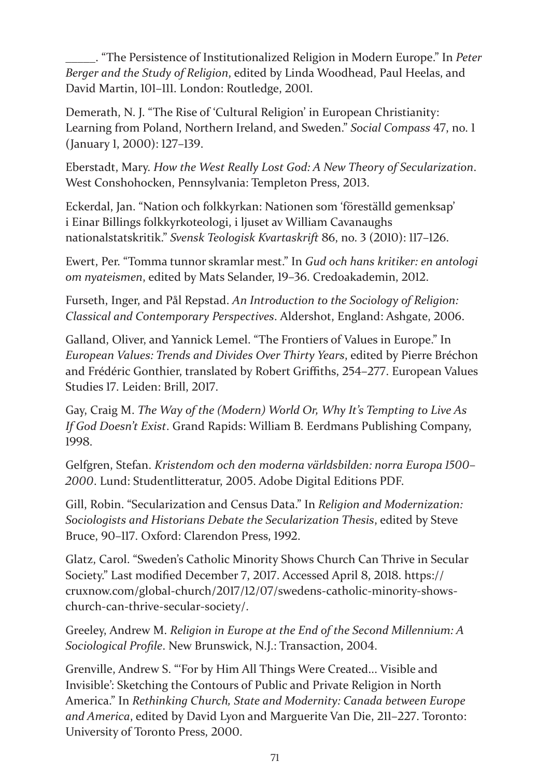\_\_\_\_\_. "The Persistence of Institutionalized Religion in Modern Europe." In *Peter Berger and the Study of Religion*, edited by Linda Woodhead, Paul Heelas, and David Martin, 101–111. London: Routledge, 2001.

Demerath, N. J. "The Rise of 'Cultural Religion' in European Christianity: Learning from Poland, Northern Ireland, and Sweden." *Social Compass* 47, no. 1 (January 1, 2000): 127–139.

Eberstadt, Mary. *How the West Really Lost God: A New Theory of Secularization*. West Conshohocken, Pennsylvania: Templeton Press, 2013.

Eckerdal, Jan. "Nation och folkkyrkan: Nationen som 'föreställd gemenksap' i Einar Billings folkkyrkoteologi, i ljuset av William Cavanaughs nationalstatskritik." *Svensk Teologisk Kvartaskrift* 86, no. 3 (2010): 117–126.

Ewert, Per. "Tomma tunnor skramlar mest." In *Gud och hans kritiker: en antologi om nyateismen*, edited by Mats Selander, 19–36. Credoakademin, 2012.

Furseth, Inger, and Pål Repstad. *An Introduction to the Sociology of Religion: Classical and Contemporary Perspectives*. Aldershot, England: Ashgate, 2006.

Galland, Oliver, and Yannick Lemel. "The Frontiers of Values in Europe." In *European Values: Trends and Divides Over Thirty Years*, edited by Pierre Bréchon and Frédéric Gonthier, translated by Robert Griffiths, 254–277. European Values Studies 17. Leiden: Brill, 2017.

Gay, Craig M. *The Way of the (Modern) World Or, Why It's Tempting to Live As If God Doesn't Exist*. Grand Rapids: William B. Eerdmans Publishing Company, 1998.

Gelfgren, Stefan. *Kristendom och den moderna världsbilden: norra Europa 1500– 2000*. Lund: Studentlitteratur, 2005. Adobe Digital Editions PDF.

Gill, Robin. "Secularization and Census Data." In *Religion and Modernization: Sociologists and Historians Debate the Secularization Thesis*, edited by Steve Bruce, 90–117. Oxford: Clarendon Press, 1992.

Glatz, Carol. "Sweden's Catholic Minority Shows Church Can Thrive in Secular Society." Last modified December 7, 2017. Accessed April 8, 2018. https:// cruxnow.com/global-church/2017/12/07/swedens-catholic-minority-showschurch-can-thrive-secular-society/.

Greeley, Andrew M. *Religion in Europe at the End of the Second Millennium: A Sociological Profile*. New Brunswick, N.J.: Transaction, 2004.

Grenville, Andrew S. "'For by Him All Things Were Created... Visible and Invisible': Sketching the Contours of Public and Private Religion in North America." In *Rethinking Church, State and Modernity: Canada between Europe and America*, edited by David Lyon and Marguerite Van Die, 211–227. Toronto: University of Toronto Press, 2000.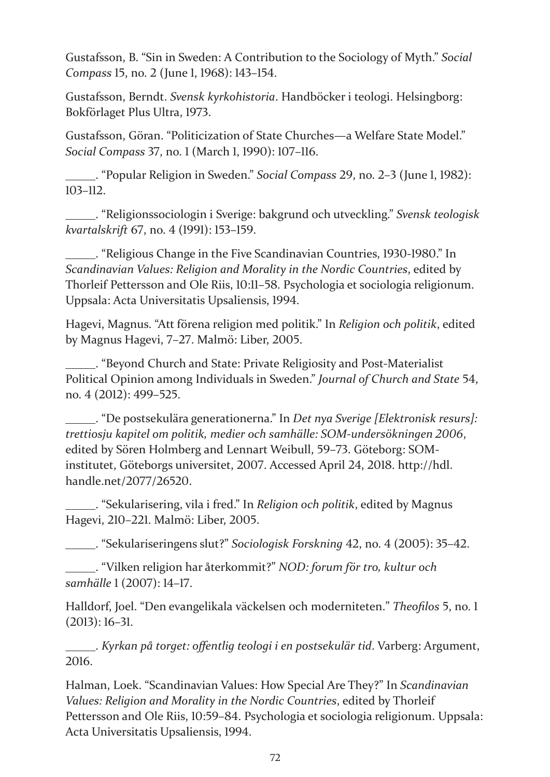Gustafsson, B. "Sin in Sweden: A Contribution to the Sociology of Myth." *Social Compass* 15, no. 2 (June 1, 1968): 143–154.

Gustafsson, Berndt. *Svensk kyrkohistoria*. Handböcker i teologi. Helsingborg: Bokförlaget Plus Ultra, 1973.

Gustafsson, Göran. "Politicization of State Churches—a Welfare State Model." *Social Compass* 37, no. 1 (March 1, 1990): 107–116.

\_\_\_\_\_. "Popular Religion in Sweden." *Social Compass* 29, no. 2–3 (June 1, 1982): 103–112.

\_\_\_\_\_. "Religionssociologin i Sverige: bakgrund och utveckling." *Svensk teologisk kvartalskrift* 67, no. 4 (1991): 153–159.

\_\_\_\_\_. "Religious Change in the Five Scandinavian Countries, 1930-1980." In *Scandinavian Values: Religion and Morality in the Nordic Countries*, edited by Thorleif Pettersson and Ole Riis, 10:11–58. Psychologia et sociologia religionum. Uppsala: Acta Universitatis Upsaliensis, 1994.

Hagevi, Magnus. "Att förena religion med politik." In *Religion och politik*, edited by Magnus Hagevi, 7–27. Malmö: Liber, 2005.

\_\_\_\_\_. "Beyond Church and State: Private Religiosity and Post-Materialist Political Opinion among Individuals in Sweden." *Journal of Church and State* 54, no. 4 (2012): 499–525.

\_\_\_\_\_. "De postsekulära generationerna." In *Det nya Sverige [Elektronisk resurs]: trettiosju kapitel om politik, medier och samhälle: SOM-undersökningen 2006*, edited by Sören Holmberg and Lennart Weibull, 59–73. Göteborg: SOMinstitutet, Göteborgs universitet, 2007. Accessed April 24, 2018. http://hdl. handle.net/2077/26520.

\_\_\_\_\_. "Sekularisering, vila i fred." In *Religion och politik*, edited by Magnus Hagevi, 210–221. Malmö: Liber, 2005.

\_\_\_\_\_. "Sekulariseringens slut?" *Sociologisk Forskning* 42, no. 4 (2005): 35–42.

\_\_\_\_\_. "Vilken religion har återkommit?" *NOD: forum för tro, kultur och samhälle* 1 (2007): 14–17.

Halldorf, Joel. "Den evangelikala väckelsen och moderniteten." *Theofilos* 5, no. 1 (2013): 16–31.

\_\_\_\_\_. *Kyrkan på torget: offentlig teologi i en postsekulär tid*. Varberg: Argument, 2016.

Halman, Loek. "Scandinavian Values: How Special Are They?" In *Scandinavian Values: Religion and Morality in the Nordic Countries*, edited by Thorleif Pettersson and Ole Riis, 10:59–84. Psychologia et sociologia religionum. Uppsala: Acta Universitatis Upsaliensis, 1994.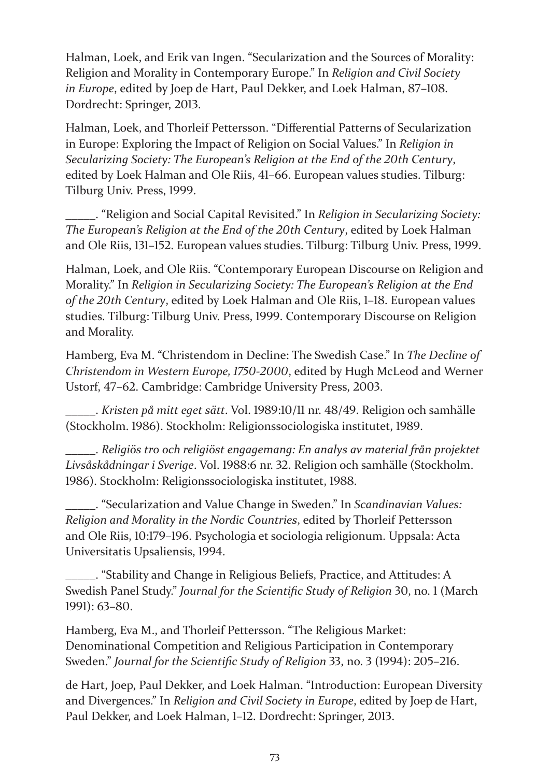Halman, Loek, and Erik van Ingen. "Secularization and the Sources of Morality: Religion and Morality in Contemporary Europe." In *Religion and Civil Society in Europe*, edited by Joep de Hart, Paul Dekker, and Loek Halman, 87–108. Dordrecht: Springer, 2013.

Halman, Loek, and Thorleif Pettersson. "Differential Patterns of Secularization in Europe: Exploring the Impact of Religion on Social Values." In *Religion in Secularizing Society: The European's Religion at the End of the 20th Century*, edited by Loek Halman and Ole Riis, 41–66. European values studies. Tilburg: Tilburg Univ. Press, 1999.

\_\_\_\_\_. "Religion and Social Capital Revisited." In *Religion in Secularizing Society: The European's Religion at the End of the 20th Century*, edited by Loek Halman and Ole Riis, 131–152. European values studies. Tilburg: Tilburg Univ. Press, 1999.

Halman, Loek, and Ole Riis. "Contemporary European Discourse on Religion and Morality." In *Religion in Secularizing Society: The European's Religion at the End of the 20th Century*, edited by Loek Halman and Ole Riis, 1–18. European values studies. Tilburg: Tilburg Univ. Press, 1999. Contemporary Discourse on Religion and Morality.

Hamberg, Eva M. "Christendom in Decline: The Swedish Case." In *The Decline of Christendom in Western Europe, 1750-2000*, edited by Hugh McLeod and Werner Ustorf, 47–62. Cambridge: Cambridge University Press, 2003.

\_\_\_\_\_. *Kristen på mitt eget sätt*. Vol. 1989:10/11 nr. 48/49. Religion och samhälle (Stockholm. 1986). Stockholm: Religionssociologiska institutet, 1989.

\_\_\_\_\_. *Religiös tro och religiöst engagemang: En analys av material från projektet Livsåskådningar i Sverige*. Vol. 1988:6 nr. 32. Religion och samhälle (Stockholm. 1986). Stockholm: Religionssociologiska institutet, 1988.

\_\_\_\_\_. "Secularization and Value Change in Sweden." In *Scandinavian Values: Religion and Morality in the Nordic Countries*, edited by Thorleif Pettersson and Ole Riis, 10:179–196. Psychologia et sociologia religionum. Uppsala: Acta Universitatis Upsaliensis, 1994.

\_\_\_\_\_. "Stability and Change in Religious Beliefs, Practice, and Attitudes: A Swedish Panel Study." *Journal for the Scientific Study of Religion* 30, no. 1 (March 1991): 63–80.

Hamberg, Eva M., and Thorleif Pettersson. "The Religious Market: Denominational Competition and Religious Participation in Contemporary Sweden." *Journal for the Scientific Study of Religion* 33, no. 3 (1994): 205–216.

de Hart, Joep, Paul Dekker, and Loek Halman. "Introduction: European Diversity and Divergences." In *Religion and Civil Society in Europe*, edited by Joep de Hart, Paul Dekker, and Loek Halman, 1–12. Dordrecht: Springer, 2013.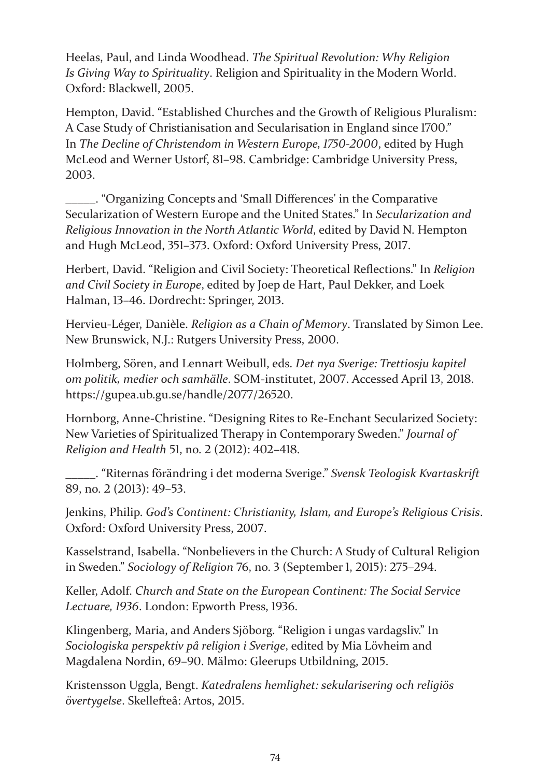Heelas, Paul, and Linda Woodhead. *The Spiritual Revolution: Why Religion Is Giving Way to Spirituality*. Religion and Spirituality in the Modern World. Oxford: Blackwell, 2005.

Hempton, David. "Established Churches and the Growth of Religious Pluralism: A Case Study of Christianisation and Secularisation in England since 1700." In *The Decline of Christendom in Western Europe, 1750-2000*, edited by Hugh McLeod and Werner Ustorf, 81–98. Cambridge: Cambridge University Press, 2003.

\_\_\_\_\_. "Organizing Concepts and 'Small Differences' in the Comparative Secularization of Western Europe and the United States." In *Secularization and Religious Innovation in the North Atlantic World*, edited by David N. Hempton and Hugh McLeod, 351–373. Oxford: Oxford University Press, 2017.

Herbert, David. "Religion and Civil Society: Theoretical Reflections." In *Religion and Civil Society in Europe*, edited by Joep de Hart, Paul Dekker, and Loek Halman, 13–46. Dordrecht: Springer, 2013.

Hervieu-Léger, Danièle. *Religion as a Chain of Memory*. Translated by Simon Lee. New Brunswick, N.J.: Rutgers University Press, 2000.

Holmberg, Sören, and Lennart Weibull, eds. *Det nya Sverige: Trettiosju kapitel om politik, medier och samhälle*. SOM-institutet, 2007. Accessed April 13, 2018. https://gupea.ub.gu.se/handle/2077/26520.

Hornborg, Anne-Christine. "Designing Rites to Re-Enchant Secularized Society: New Varieties of Spiritualized Therapy in Contemporary Sweden." *Journal of Religion and Health* 51, no. 2 (2012): 402–418.

\_\_\_\_\_. "Riternas förändring i det moderna Sverige." *Svensk Teologisk Kvartaskrift* 89, no. 2 (2013): 49–53.

Jenkins, Philip. *God's Continent: Christianity, Islam, and Europe's Religious Crisis*. Oxford: Oxford University Press, 2007.

Kasselstrand, Isabella. "Nonbelievers in the Church: A Study of Cultural Religion in Sweden." *Sociology of Religion* 76, no. 3 (September 1, 2015): 275–294.

Keller, Adolf. *Church and State on the European Continent: The Social Service Lectuare, 1936*. London: Epworth Press, 1936.

Klingenberg, Maria, and Anders Sjöborg. "Religion i ungas vardagsliv." In *Sociologiska perspektiv på religion i Sverige*, edited by Mia Lövheim and Magdalena Nordin, 69–90. Mälmo: Gleerups Utbildning, 2015.

Kristensson Uggla, Bengt. *Katedralens hemlighet: sekularisering och religiös övertygelse*. Skellefteå: Artos, 2015.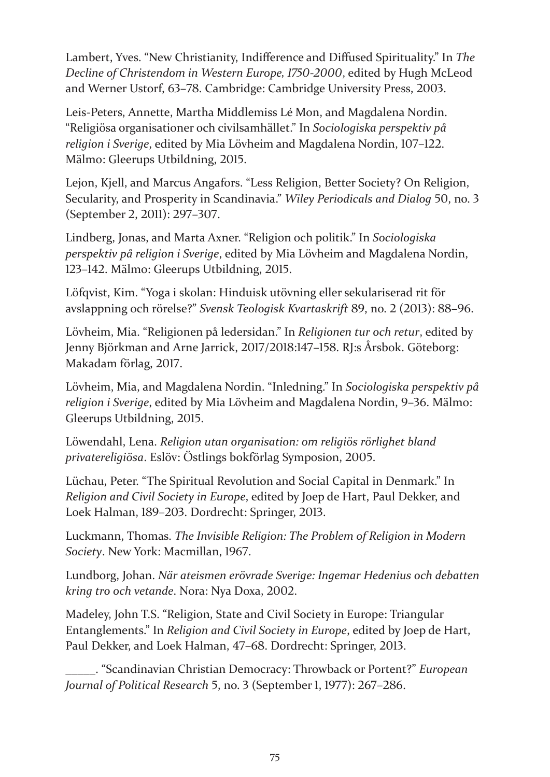Lambert, Yves. "New Christianity, Indifference and Diffused Spirituality." In *The Decline of Christendom in Western Europe, 1750-2000*, edited by Hugh McLeod and Werner Ustorf, 63–78. Cambridge: Cambridge University Press, 2003.

Leis-Peters, Annette, Martha Middlemiss Lé Mon, and Magdalena Nordin. "Religiösa organisationer och civilsamhället." In *Sociologiska perspektiv på religion i Sverige*, edited by Mia Lövheim and Magdalena Nordin, 107–122. Mälmo: Gleerups Utbildning, 2015.

Lejon, Kjell, and Marcus Angafors. "Less Religion, Better Society? On Religion, Secularity, and Prosperity in Scandinavia." *Wiley Periodicals and Dialog* 50, no. 3 (September 2, 2011): 297–307.

Lindberg, Jonas, and Marta Axner. "Religion och politik." In *Sociologiska perspektiv på religion i Sverige*, edited by Mia Lövheim and Magdalena Nordin, 123–142. Mälmo: Gleerups Utbildning, 2015.

Löfqvist, Kim. "Yoga i skolan: Hinduisk utövning eller sekulariserad rit för avslappning och rörelse?" *Svensk Teologisk Kvartaskrift* 89, no. 2 (2013): 88–96.

Lövheim, Mia. "Religionen på ledersidan." In *Religionen tur och retur*, edited by Jenny Björkman and Arne Jarrick, 2017/2018:147–158. RJ:s Årsbok. Göteborg: Makadam förlag, 2017.

Lövheim, Mia, and Magdalena Nordin. "Inledning." In *Sociologiska perspektiv på religion i Sverige*, edited by Mia Lövheim and Magdalena Nordin, 9–36. Mälmo: Gleerups Utbildning, 2015.

Löwendahl, Lena. *Religion utan organisation: om religiös rörlighet bland privatereligiösa*. Eslöv: Östlings bokförlag Symposion, 2005.

Lüchau, Peter. "The Spiritual Revolution and Social Capital in Denmark." In *Religion and Civil Society in Europe*, edited by Joep de Hart, Paul Dekker, and Loek Halman, 189–203. Dordrecht: Springer, 2013.

Luckmann, Thomas. *The Invisible Religion: The Problem of Religion in Modern Society*. New York: Macmillan, 1967.

Lundborg, Johan. *När ateismen erövrade Sverige: Ingemar Hedenius och debatten kring tro och vetande*. Nora: Nya Doxa, 2002.

Madeley, John T.S. "Religion, State and Civil Society in Europe: Triangular Entanglements." In *Religion and Civil Society in Europe*, edited by Joep de Hart, Paul Dekker, and Loek Halman, 47–68. Dordrecht: Springer, 2013.

\_\_\_\_\_. "Scandinavian Christian Democracy: Throwback or Portent?" *European Journal of Political Research* 5, no. 3 (September 1, 1977): 267–286.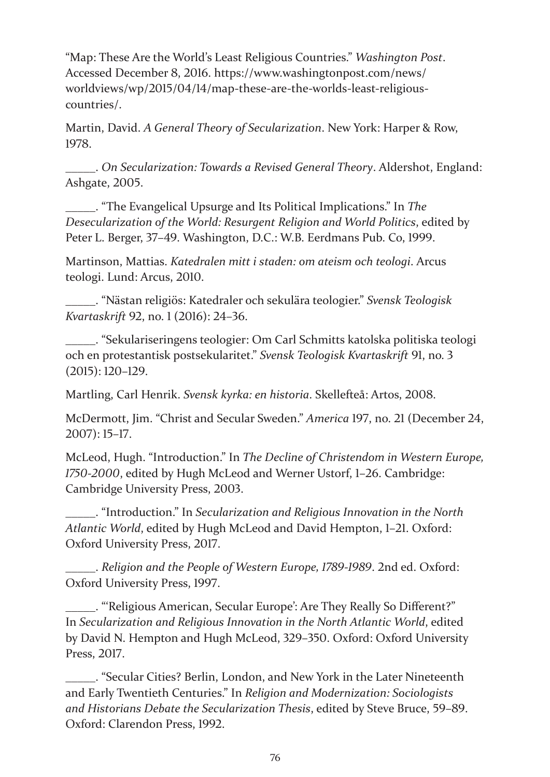"Map: These Are the World's Least Religious Countries." *Washington Post*. Accessed December 8, 2016. https://www.washingtonpost.com/news/ worldviews/wp/2015/04/14/map-these-are-the-worlds-least-religiouscountries/.

Martin, David. *A General Theory of Secularization*. New York: Harper & Row, 1978.

\_\_\_\_\_. *On Secularization: Towards a Revised General Theory*. Aldershot, England: Ashgate, 2005.

\_\_\_\_\_. "The Evangelical Upsurge and Its Political Implications." In *The Desecularization of the World: Resurgent Religion and World Politics*, edited by Peter L. Berger, 37–49. Washington, D.C.: W.B. Eerdmans Pub. Co, 1999.

Martinson, Mattias. *Katedralen mitt i staden: om ateism och teologi*. Arcus teologi. Lund: Arcus, 2010.

\_\_\_\_\_. "Nästan religiös: Katedraler och sekulära teologier." *Svensk Teologisk Kvartaskrift* 92, no. 1 (2016): 24–36.

\_\_\_\_\_. "Sekulariseringens teologier: Om Carl Schmitts katolska politiska teologi och en protestantisk postsekularitet." *Svensk Teologisk Kvartaskrift* 91, no. 3 (2015): 120–129.

Martling, Carl Henrik. *Svensk kyrka: en historia*. Skellefteå: Artos, 2008.

McDermott, Jim. "Christ and Secular Sweden." *America* 197, no. 21 (December 24, 2007): 15–17.

McLeod, Hugh. "Introduction." In *The Decline of Christendom in Western Europe, 1750-2000*, edited by Hugh McLeod and Werner Ustorf, 1–26. Cambridge: Cambridge University Press, 2003.

\_\_\_\_\_. "Introduction." In *Secularization and Religious Innovation in the North Atlantic World*, edited by Hugh McLeod and David Hempton, 1–21. Oxford: Oxford University Press, 2017.

\_\_\_\_\_. *Religion and the People of Western Europe, 1789-1989*. 2nd ed. Oxford: Oxford University Press, 1997.

\_\_\_\_\_. "'Religious American, Secular Europe': Are They Really So Different?" In *Secularization and Religious Innovation in the North Atlantic World*, edited by David N. Hempton and Hugh McLeod, 329–350. Oxford: Oxford University Press, 2017.

\_\_\_\_\_. "Secular Cities? Berlin, London, and New York in the Later Nineteenth and Early Twentieth Centuries." In *Religion and Modernization: Sociologists and Historians Debate the Secularization Thesis*, edited by Steve Bruce, 59–89. Oxford: Clarendon Press, 1992.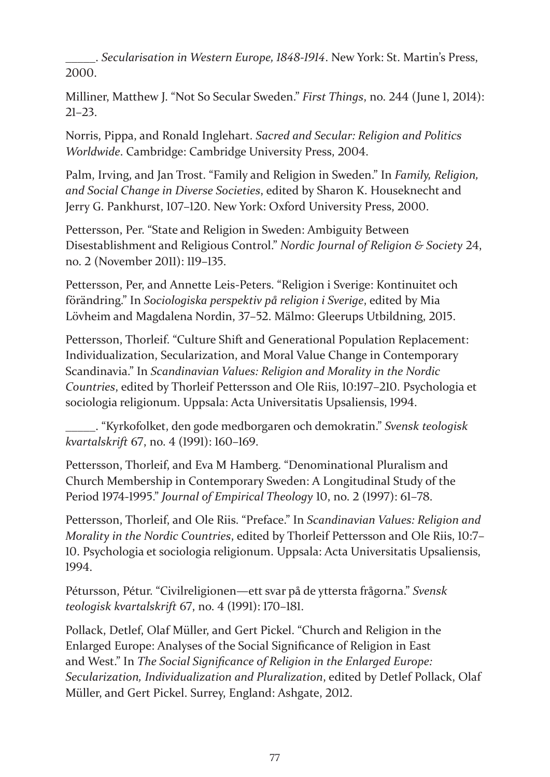\_\_\_\_\_. *Secularisation in Western Europe, 1848-1914*. New York: St. Martin's Press, 2000.

Milliner, Matthew J. "Not So Secular Sweden." *First Things*, no. 244 (June 1, 2014): 21–23.

Norris, Pippa, and Ronald Inglehart. *Sacred and Secular: Religion and Politics Worldwide*. Cambridge: Cambridge University Press, 2004.

Palm, Irving, and Jan Trost. "Family and Religion in Sweden." In *Family, Religion, and Social Change in Diverse Societies*, edited by Sharon K. Houseknecht and Jerry G. Pankhurst, 107–120. New York: Oxford University Press, 2000.

Pettersson, Per. "State and Religion in Sweden: Ambiguity Between Disestablishment and Religious Control." *Nordic Journal of Religion & Society* 24, no. 2 (November 2011): 119–135.

Pettersson, Per, and Annette Leis-Peters. "Religion i Sverige: Kontinuitet och förändring." In *Sociologiska perspektiv på religion i Sverige*, edited by Mia Lövheim and Magdalena Nordin, 37–52. Mälmo: Gleerups Utbildning, 2015.

Pettersson, Thorleif. "Culture Shift and Generational Population Replacement: Individualization, Secularization, and Moral Value Change in Contemporary Scandinavia." In *Scandinavian Values: Religion and Morality in the Nordic Countries*, edited by Thorleif Pettersson and Ole Riis, 10:197–210. Psychologia et sociologia religionum. Uppsala: Acta Universitatis Upsaliensis, 1994.

\_\_\_\_\_. "Kyrkofolket, den gode medborgaren och demokratin." *Svensk teologisk kvartalskrift* 67, no. 4 (1991): 160–169.

Pettersson, Thorleif, and Eva M Hamberg. "Denominational Pluralism and Church Membership in Contemporary Sweden: A Longitudinal Study of the Period 1974-1995." *Journal of Empirical Theology* 10, no. 2 (1997): 61–78.

Pettersson, Thorleif, and Ole Riis. "Preface." In *Scandinavian Values: Religion and Morality in the Nordic Countries*, edited by Thorleif Pettersson and Ole Riis, 10:7– 10. Psychologia et sociologia religionum. Uppsala: Acta Universitatis Upsaliensis, 1994.

Pétursson, Pétur. "Civilreligionen—ett svar på de yttersta frågorna." *Svensk teologisk kvartalskrift* 67, no. 4 (1991): 170–181.

Pollack, Detlef, Olaf Müller, and Gert Pickel. "Church and Religion in the Enlarged Europe: Analyses of the Social Significance of Religion in East and West." In *The Social Significance of Religion in the Enlarged Europe: Secularization, Individualization and Pluralization*, edited by Detlef Pollack, Olaf Müller, and Gert Pickel. Surrey, England: Ashgate, 2012.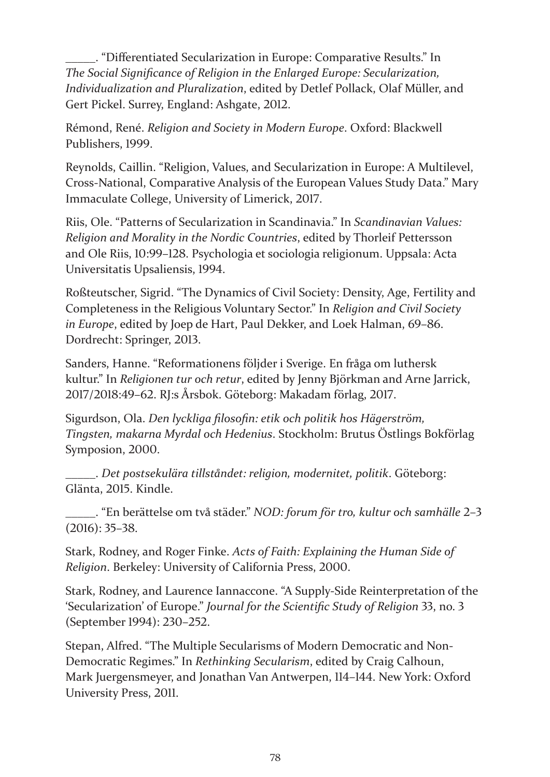\_\_\_\_\_. "Differentiated Secularization in Europe: Comparative Results." In *The Social Significance of Religion in the Enlarged Europe: Secularization, Individualization and Pluralization*, edited by Detlef Pollack, Olaf Müller, and Gert Pickel. Surrey, England: Ashgate, 2012.

Rémond, René. *Religion and Society in Modern Europe*. Oxford: Blackwell Publishers, 1999.

Reynolds, Caillin. "Religion, Values, and Secularization in Europe: A Multilevel, Cross-National, Comparative Analysis of the European Values Study Data." Mary Immaculate College, University of Limerick, 2017.

Riis, Ole. "Patterns of Secularization in Scandinavia." In *Scandinavian Values: Religion and Morality in the Nordic Countries*, edited by Thorleif Pettersson and Ole Riis, 10:99–128. Psychologia et sociologia religionum. Uppsala: Acta Universitatis Upsaliensis, 1994.

Roßteutscher, Sigrid. "The Dynamics of Civil Society: Density, Age, Fertility and Completeness in the Religious Voluntary Sector." In *Religion and Civil Society in Europe*, edited by Joep de Hart, Paul Dekker, and Loek Halman, 69–86. Dordrecht: Springer, 2013.

Sanders, Hanne. "Reformationens följder i Sverige. En fråga om luthersk kultur." In *Religionen tur och retur*, edited by Jenny Björkman and Arne Jarrick, 2017/2018:49–62. RJ:s Årsbok. Göteborg: Makadam förlag, 2017.

Sigurdson, Ola. *Den lyckliga filosofin: etik och politik hos Hägerström, Tingsten, makarna Myrdal och Hedenius*. Stockholm: Brutus Östlings Bokförlag Symposion, 2000.

\_\_\_\_\_. *Det postsekulära tillståndet: religion, modernitet, politik*. Göteborg: Glänta, 2015. Kindle.

\_\_\_\_\_. "En berättelse om två städer." *NOD: forum för tro, kultur och samhälle* 2–3 (2016): 35–38.

Stark, Rodney, and Roger Finke. *Acts of Faith: Explaining the Human Side of Religion*. Berkeley: University of California Press, 2000.

Stark, Rodney, and Laurence Iannaccone. "A Supply-Side Reinterpretation of the 'Secularization' of Europe." *Journal for the Scientific Study of Religion* 33, no. 3 (September 1994): 230–252.

Stepan, Alfred. "The Multiple Secularisms of Modern Democratic and Non-Democratic Regimes." In *Rethinking Secularism*, edited by Craig Calhoun, Mark Juergensmeyer, and Jonathan Van Antwerpen, 114–144. New York: Oxford University Press, 2011.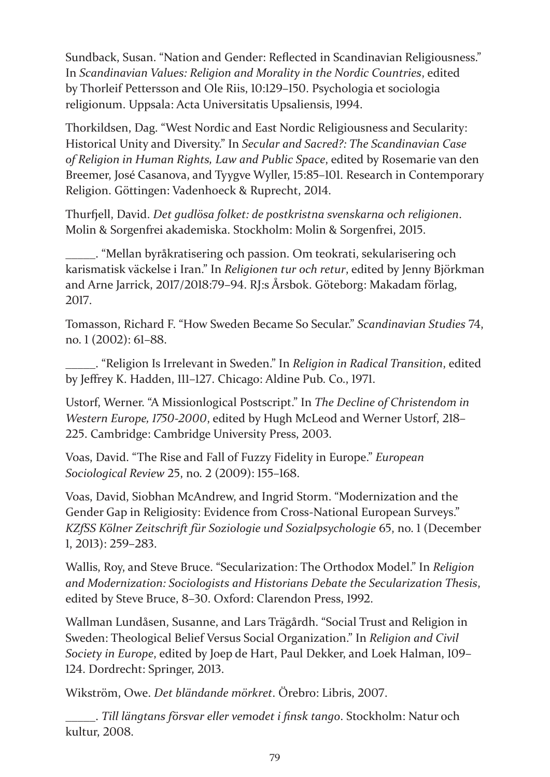Sundback, Susan. "Nation and Gender: Reflected in Scandinavian Religiousness." In *Scandinavian Values: Religion and Morality in the Nordic Countries*, edited by Thorleif Pettersson and Ole Riis, 10:129–150. Psychologia et sociologia religionum. Uppsala: Acta Universitatis Upsaliensis, 1994.

Thorkildsen, Dag. "West Nordic and East Nordic Religiousness and Secularity: Historical Unity and Diversity." In *Secular and Sacred?: The Scandinavian Case of Religion in Human Rights, Law and Public Space*, edited by Rosemarie van den Breemer, José Casanova, and Tyygve Wyller, 15:85–101. Research in Contemporary Religion. Göttingen: Vadenhoeck & Ruprecht, 2014.

Thurfjell, David. *Det gudlösa folket: de postkristna svenskarna och religionen*. Molin & Sorgenfrei akademiska. Stockholm: Molin & Sorgenfrei, 2015.

\_\_\_\_\_. "Mellan byråkratisering och passion. Om teokrati, sekularisering och karismatisk väckelse i Iran." In *Religionen tur och retur*, edited by Jenny Björkman and Arne Jarrick, 2017/2018:79–94. RJ:s Årsbok. Göteborg: Makadam förlag, 2017.

Tomasson, Richard F. "How Sweden Became So Secular." *Scandinavian Studies* 74, no. 1 (2002): 61–88.

\_\_\_\_\_. "Religion Is Irrelevant in Sweden." In *Religion in Radical Transition*, edited by Jeffrey K. Hadden, 111–127. Chicago: Aldine Pub. Co., 1971.

Ustorf, Werner. "A Missionlogical Postscript." In *The Decline of Christendom in Western Europe, 1750-2000*, edited by Hugh McLeod and Werner Ustorf, 218– 225. Cambridge: Cambridge University Press, 2003.

Voas, David. "The Rise and Fall of Fuzzy Fidelity in Europe." *European Sociological Review* 25, no. 2 (2009): 155–168.

Voas, David, Siobhan McAndrew, and Ingrid Storm. "Modernization and the Gender Gap in Religiosity: Evidence from Cross-National European Surveys." *KZfSS Kölner Zeitschrift für Soziologie und Sozialpsychologie* 65, no. 1 (December 1, 2013): 259–283.

Wallis, Roy, and Steve Bruce. "Secularization: The Orthodox Model." In *Religion and Modernization: Sociologists and Historians Debate the Secularization Thesis*, edited by Steve Bruce, 8–30. Oxford: Clarendon Press, 1992.

Wallman Lundåsen, Susanne, and Lars Trägårdh. "Social Trust and Religion in Sweden: Theological Belief Versus Social Organization." In *Religion and Civil Society in Europe*, edited by Joep de Hart, Paul Dekker, and Loek Halman, 109– 124. Dordrecht: Springer, 2013.

Wikström, Owe. *Det bländande mörkret*. Örebro: Libris, 2007.

\_\_\_\_\_. *Till längtans försvar eller vemodet i finsk tango*. Stockholm: Natur och kultur, 2008.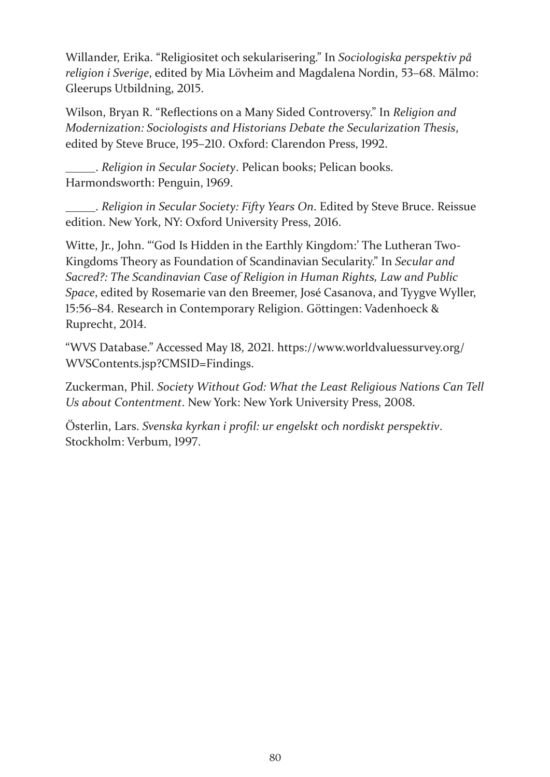Willander, Erika. "Religiositet och sekularisering." In *Sociologiska perspektiv på religion i Sverige*, edited by Mia Lövheim and Magdalena Nordin, 53–68. Mälmo: Gleerups Utbildning, 2015.

Wilson, Bryan R. "Reflections on a Many Sided Controversy." In *Religion and Modernization: Sociologists and Historians Debate the Secularization Thesis*, edited by Steve Bruce, 195–210. Oxford: Clarendon Press, 1992.

\_\_\_\_\_. *Religion in Secular Society*. Pelican books; Pelican books. Harmondsworth: Penguin, 1969.

\_\_\_\_\_. *Religion in Secular Society: Fifty Years On*. Edited by Steve Bruce. Reissue edition. New York, NY: Oxford University Press, 2016.

Witte, Jr., John. "'God Is Hidden in the Earthly Kingdom:' The Lutheran Two-Kingdoms Theory as Foundation of Scandinavian Secularity." In *Secular and Sacred?: The Scandinavian Case of Religion in Human Rights, Law and Public Space*, edited by Rosemarie van den Breemer, José Casanova, and Tyygve Wyller, 15:56–84. Research in Contemporary Religion. Göttingen: Vadenhoeck & Ruprecht, 2014.

"WVS Database." Accessed May 18, 2021. https://www.worldvaluessurvey.org/ WVSContents.jsp?CMSID=Findings.

Zuckerman, Phil. *Society Without God: What the Least Religious Nations Can Tell Us about Contentment*. New York: New York University Press, 2008.

Österlin, Lars. *Svenska kyrkan i profil: ur engelskt och nordiskt perspektiv*. Stockholm: Verbum, 1997.